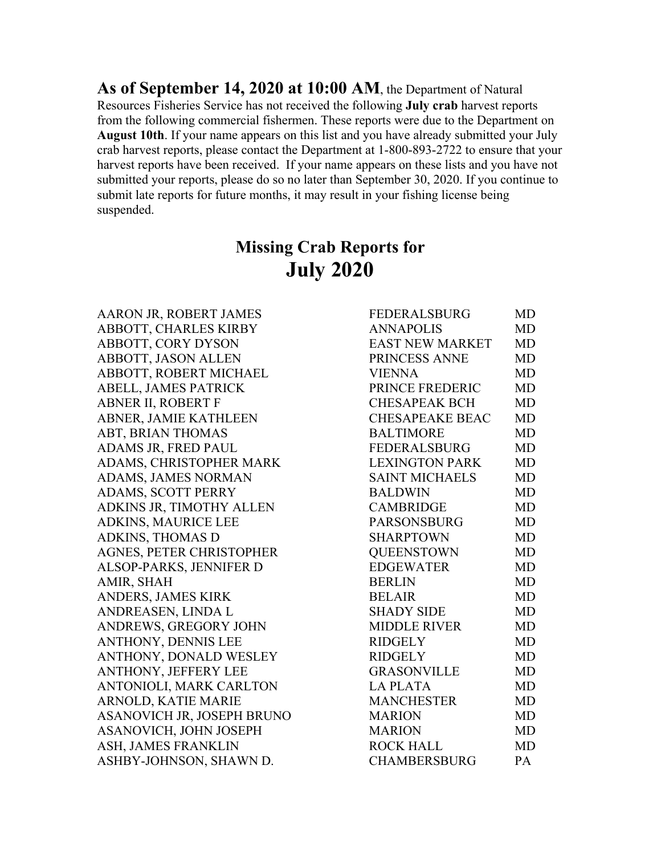**As of September 14, 2020 at 10:00 AM**, the Department of Natural Resources Fisheries Service has not received the following **July crab** harvest reports from the following commercial fishermen. These reports were due to the Department on **August 10th**. If your name appears on this list and you have already submitted your July crab harvest reports, please contact the Department at 1-800-893-2722 to ensure that your harvest reports have been received. If your name appears on these lists and you have not submitted your reports, please do so no later than September 30, 2020. If you continue to submit late reports for future months, it may result in your fishing license being suspended.

## **Missing Crab Reports for July 2020**

AARON JR, ROBERT JAMES ABBOTT, CHARLES KIRBY ABBOTT, CORY DYSON ABBOTT, JASON ALLEN ABBOTT, ROBERT MICHAEL ABELL, JAMES PATRICK ABNER II, ROBERT F ABNER, JAMIE KATHLEEN ABT, BRIAN THOMAS ADAMS JR, FRED PAUL ADAMS, CHRISTOPHER MARK ADAMS, JAMES NORMAN ADAMS, SCOTT PERRY ADKINS JR, TIMOTHY ALLEN ADKINS, MAURICE LEE ADKINS, THOMAS D AGNES, PETER CHRISTOPHER ALSOP-PARKS, JENNIFER D AMIR, SHAH ANDERS, JAMES KIRK ANDREASEN, LINDA L ANDREWS, GREGORY JOHN ANTHONY, DENNIS LEE ANTHONY, DONALD WESLEY ANTHONY, JEFFERY LEE ANTONIOLI, MARK CARLTON ARNOLD, KATIE MARIE ASANOVICH JR, JOSEPH BRUNO ASANOVICH, JOHN JOSEPH ASH, JAMES FRANKLIN ASHBY-JOHNSON, SHAWN D.

| <b>FEDERALSBURG</b>    | <b>MD</b>             |
|------------------------|-----------------------|
| <b>ANNAPOLIS</b>       | <b>MD</b>             |
| EAST NEW MARKET        | <b>MD</b>             |
| PRINCESS ANNE          | <b>MD</b>             |
| <b>VIENNA</b>          | MD                    |
| PRINCE FREDERIC        | <b>MD</b>             |
| <b>CHESAPEAK BCH</b>   | <b>MD</b>             |
| <b>CHESAPEAKE BEAC</b> | <b>MD</b>             |
| <b>BALTIMORE</b>       | <b>MD</b>             |
| FEDERALSBURG           | <b>MD</b>             |
| <b>LEXINGTON PARK</b>  | <b>MD</b>             |
| <b>SAINT MICHAELS</b>  | <b>MD</b>             |
| <b>BALDWIN</b>         | <b>MD</b>             |
| <b>CAMBRIDGE</b>       | MD                    |
| <b>PARSONSBURG</b>     | <b>MD</b>             |
| <b>SHARPTOWN</b>       | <b>MD</b>             |
| <b>OUEENSTOWN</b>      | <b>MD</b>             |
| <b>EDGEWATER</b>       | <b>MD</b>             |
| <b>BERLIN</b>          | MD                    |
| <b>BELAIR</b>          | <b>MD</b>             |
| <b>SHADY SIDE</b>      | <b>MD</b>             |
| <b>MIDDLE RIVER</b>    | <b>MD</b>             |
| <b>RIDGELY</b>         | <b>MD</b>             |
| <b>RIDGELY</b>         | <b>MD</b>             |
| <b>GRASONVILLE</b>     | <b>MD</b>             |
| <b>LA PLATA</b>        | <b>MD</b>             |
| <b>MANCHESTER</b>      | <b>MD</b>             |
| <b>MARION</b>          | <b>MD</b>             |
| <b>MARION</b>          | <b>MD</b>             |
| <b>ROCK HALL</b>       | <b>MD</b>             |
| <b>CHAMRERSRURG</b>    | $\mathbf{p}_{\Delta}$ |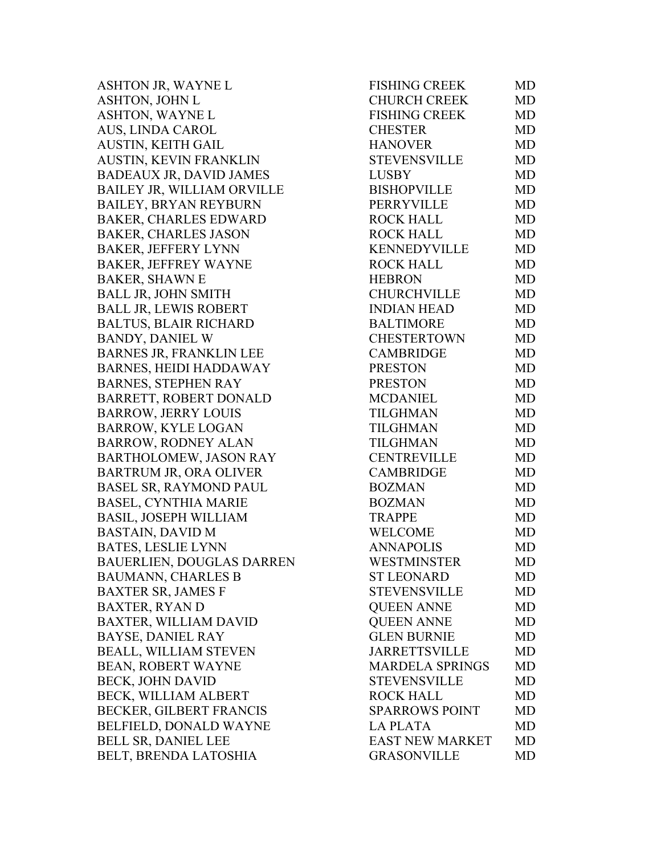ASHTON JR, WAYNE L ASHTON, JOHN L ASHTON, WAYNE L AUS, LINDA CAROL AUSTIN, KEITH GAIL AUSTIN, KEVIN FRANKLIN BADEAUX JR, DAVID JAMES BAILEY JR, WILLIAM ORVILLE BAILEY, BRYAN REYBURN BAKER, CHARLES EDWARD BAKER, CHARLES JASON BAKER, JEFFERY LYNN BAKER, JEFFREY WAYNE BAKER, SHAWN E BALL JR, JOHN SMITH BALL JR, LEWIS ROBERT BALTUS, BLAIR RICHARD BANDY, DANIEL W BARNES JR, FRANKLIN LEE BARNES, HEIDI HADDAWAY BARNES, STEPHEN RAY BARRETT, ROBERT DONALD BARROW, JERRY LOUIS BARROW, KYLE LOGAN BARROW, RODNEY ALAN BARTHOLOMEW, JASON RAY BARTRUM JR, ORA OLIVER BASEL SR, RAYMOND PAUL BASEL, CYNTHIA MARIE BASIL, JOSEPH WILLIAM BASTAIN, DAVID M BATES, LESLIE LYNN BAUERLIEN, DOUGLAS DARREN BAUMANN, CHARLES B BAXTER SR, JAMES F BAXTER, RYAN D BAXTER, WILLIAM DAVID BAYSE, DANIEL RAY BEALL, WILLIAM STEVEN BEAN, ROBERT WAYNE BECK, JOHN DAVID BECK, WILLIAM ALBERT BECKER, GILBERT FRANCIS BELFIELD, DONALD WAYNE BELL SR, DANIEL LEE BELT, BRENDA LATOSHIA

| FISHING CREEK          | MD        |
|------------------------|-----------|
| CHURCH CREEK           | MD        |
| FISHING CREEK          | <b>MD</b> |
| <b>CHESTER</b>         | MD        |
| <b>HANOVER</b>         | MD        |
| <b>STEVENSVILLE</b>    | <b>MD</b> |
| <b>LUSBY</b>           | <b>MD</b> |
| <b>BISHOPVILLE</b>     | <b>MD</b> |
| <b>PERRYVILLE</b>      | <b>MD</b> |
| <b>ROCK HALL</b>       | <b>MD</b> |
| <b>ROCK HALL</b>       | <b>MD</b> |
| KENNEDYVILLE           | <b>MD</b> |
| <b>ROCK HALL</b>       | <b>MD</b> |
| <b>HEBRON</b>          | <b>MD</b> |
| <b>CHURCHVILLE</b>     | <b>MD</b> |
| <b>INDIAN HEAD</b>     | <b>MD</b> |
| <b>BALTIMORE</b>       | <b>MD</b> |
| CHESTERTOWN            | MD        |
| <b>CAMBRIDGE</b>       | <b>MD</b> |
| <b>PRESTON</b>         | <b>MD</b> |
| <b>PRESTON</b>         | <b>MD</b> |
| <b>MCDANIEL</b>        | <b>MD</b> |
| <b>TILGHMAN</b>        | <b>MD</b> |
| <b>TILGHMAN</b>        | <b>MD</b> |
| <b>TILGHMAN</b>        | <b>MD</b> |
| <b>CENTREVILLE</b>     | <b>MD</b> |
| <b>CAMBRIDGE</b>       | <b>MD</b> |
| <b>BOZMAN</b>          | MD        |
| <b>BOZMAN</b>          | MD        |
| <b>TRAPPE</b>          | <b>MD</b> |
| <b>WELCOME</b>         | <b>MD</b> |
| <b>ANNAPOLIS</b>       | <b>MD</b> |
| WESTMINSTER            | MD        |
| <b>ST LEONARD</b>      | MD        |
| <b>STEVENSVILLE</b>    | MD        |
| <b>OUEEN ANNE</b>      | <b>MD</b> |
| <b>QUEEN ANNE</b>      | MD        |
| <b>GLEN BURNIE</b>     | MD        |
| <b>JARRETTSVILLE</b>   | <b>MD</b> |
| <b>MARDELA SPRINGS</b> | <b>MD</b> |
| <b>STEVENSVILLE</b>    | <b>MD</b> |
| <b>ROCK HALL</b>       | <b>MD</b> |
| <b>SPARROWS POINT</b>  | <b>MD</b> |
| <b>LA PLATA</b>        | MD        |
| <b>EAST NEW MARKET</b> | <b>MD</b> |
| <b>GRASONVILLE</b>     | <b>MD</b> |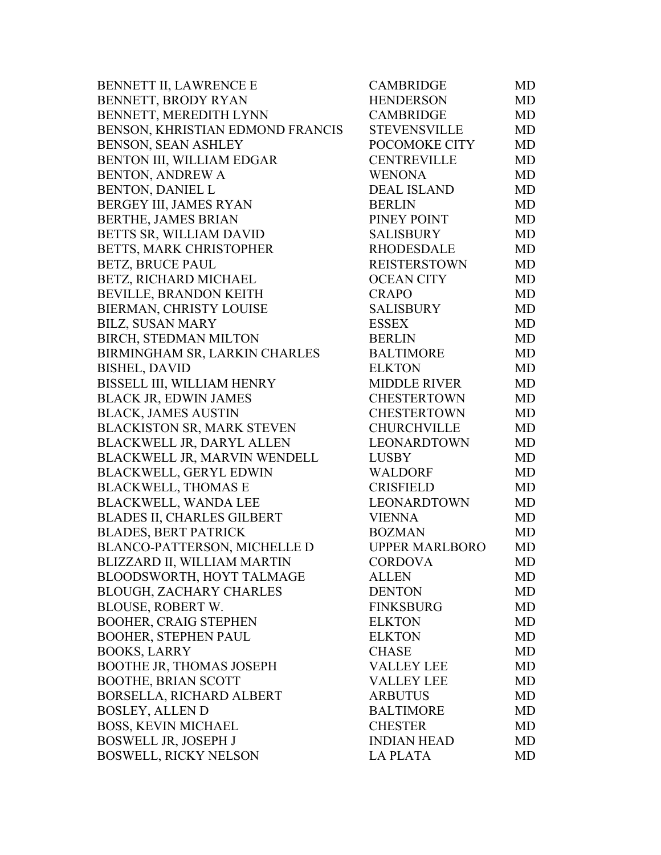| BENNETT II, LAWRENCE E              | <b>CAMBRIDGE</b>      | MD        |
|-------------------------------------|-----------------------|-----------|
| BENNETT, BRODY RYAN                 | <b>HENDERSON</b>      | <b>MD</b> |
| BENNETT, MEREDITH LYNN              | <b>CAMBRIDGE</b>      | <b>MD</b> |
| BENSON, KHRISTIAN EDMOND FRANCIS    | <b>STEVENSVILLE</b>   | MD        |
| BENSON, SEAN ASHLEY                 | POCOMOKE CITY         | MD        |
| BENTON III, WILLIAM EDGAR           | <b>CENTREVILLE</b>    | MD        |
| <b>BENTON, ANDREW A</b>             | <b>WENONA</b>         | MD        |
| <b>BENTON, DANIEL L</b>             | <b>DEAL ISLAND</b>    | MD        |
| BERGEY III, JAMES RYAN              | <b>BERLIN</b>         | MD        |
| BERTHE, JAMES BRIAN                 | PINEY POINT           | MD        |
| BETTS SR, WILLIAM DAVID             | <b>SALISBURY</b>      | MD        |
| BETTS, MARK CHRISTOPHER             | <b>RHODESDALE</b>     | MD        |
| <b>BETZ, BRUCE PAUL</b>             | <b>REISTERSTOWN</b>   | MD        |
| BETZ, RICHARD MICHAEL               | <b>OCEAN CITY</b>     | MD        |
| BEVILLE, BRANDON KEITH              | <b>CRAPO</b>          | MD        |
| BIERMAN, CHRISTY LOUISE             | <b>SALISBURY</b>      | MD        |
| <b>BILZ, SUSAN MARY</b>             | <b>ESSEX</b>          | MD        |
| BIRCH, STEDMAN MILTON               | <b>BERLIN</b>         | <b>MD</b> |
| BIRMINGHAM SR, LARKIN CHARLES       | <b>BALTIMORE</b>      | MD        |
| <b>BISHEL, DAVID</b>                | <b>ELKTON</b>         | MD        |
| BISSELL III, WILLIAM HENRY          | <b>MIDDLE RIVER</b>   | MD        |
| <b>BLACK JR, EDWIN JAMES</b>        | <b>CHESTERTOWN</b>    | MD        |
| <b>BLACK, JAMES AUSTIN</b>          | <b>CHESTERTOWN</b>    | MD        |
| BLACKISTON SR, MARK STEVEN          | <b>CHURCHVILLE</b>    | MD        |
| <b>BLACKWELL JR, DARYL ALLEN</b>    | LEONARDTOWN           | MD        |
| BLACKWELL JR, MARVIN WENDELL        | LUSBY                 | MD        |
| <b>BLACKWELL, GERYL EDWIN</b>       | <b>WALDORF</b>        | MD        |
| <b>BLACKWELL, THOMAS E</b>          | <b>CRISFIELD</b>      | <b>MD</b> |
| <b>BLACKWELL, WANDA LEE</b>         | LEONARDTOWN           | <b>MD</b> |
| <b>BLADES II, CHARLES GILBERT</b>   | <b>VIENNA</b>         | MD        |
| <b>BLADES, BERT PATRICK</b>         | <b>BOZMAN</b>         | MD        |
| <b>BLANCO-PATTERSON, MICHELLE D</b> | <b>UPPER MARLBORO</b> | MD        |
| BLIZZARD II, WILLIAM MARTIN         | <b>CORDOVA</b>        | MD        |
| BLOODSWORTH, HOYT TALMAGE           | <b>ALLEN</b>          | MD.       |
| <b>BLOUGH, ZACHARY CHARLES</b>      | <b>DENTON</b>         | MD        |
| <b>BLOUSE, ROBERT W.</b>            | <b>FINKSBURG</b>      | MD        |
| <b>BOOHER, CRAIG STEPHEN</b>        | <b>ELKTON</b>         | MD        |
| <b>BOOHER, STEPHEN PAUL</b>         | <b>ELKTON</b>         | MD        |
| <b>BOOKS, LARRY</b>                 | <b>CHASE</b>          | <b>MD</b> |
| <b>BOOTHE JR, THOMAS JOSEPH</b>     | <b>VALLEY LEE</b>     | MD        |
| <b>BOOTHE, BRIAN SCOTT</b>          | <b>VALLEY LEE</b>     | MD        |
| BORSELLA, RICHARD ALBERT            | <b>ARBUTUS</b>        | <b>MD</b> |
| <b>BOSLEY, ALLEN D</b>              | <b>BALTIMORE</b>      | <b>MD</b> |
| <b>BOSS, KEVIN MICHAEL</b>          | <b>CHESTER</b>        | MD        |
| <b>BOSWELL JR, JOSEPH J</b>         | <b>INDIAN HEAD</b>    | MD        |
| <b>BOSWELL, RICKY NELSON</b>        | LA PLATA              | MD        |
|                                     |                       |           |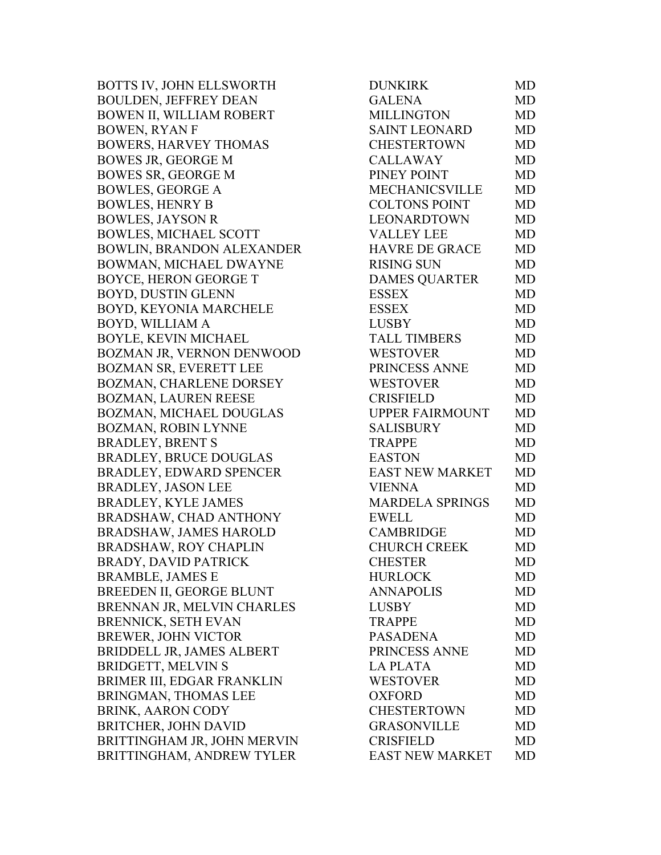BOTTS IV, JOHN ELLSWORTH BOULDEN, JEFFREY DEAN BOWEN II, WILLIAM ROBERT BOWEN, RYAN F BOWERS, HARVEY THOMAS BOWES JR, GEORGE M BOWES SR, GEORGE M BOWLES, GEORGE A BOWLES, HENRY B BOWLES, JAYSON R BOWLES, MICHAEL SCOTT BOWLIN, BRANDON ALEXANDER BOWMAN, MICHAEL DWAYNE BOYCE, HERON GEORGE T BOYD, DUSTIN GLENN BOYD, KEYONIA MARCHELE BOYD, WILLIAM A BOYLE, KEVIN MICHAEL BOZMAN JR, VERNON DENWOOD BOZMAN SR, EVERETT LEE BOZMAN, CHARLENE DORSEY BOZMAN, LAUREN REESE BOZMAN, MICHAEL DOUGLAS BOZMAN, ROBIN LYNNE BRADLEY, BRENT S BRADLEY, BRUCE DOUGLAS BRADLEY, EDWARD SPENCER BRADLEY, JASON LEE BRADLEY, KYLE JAMES BRADSHAW, CHAD ANTHONY BRADSHAW, JAMES HAROLD BRADSHAW, ROY CHAPLIN BRADY, DAVID PATRICK BRAMBLE, JAMES E BREEDEN II, GEORGE BLUNT BRENNAN JR, MELVIN CHARLES BRENNICK, SETH EVAN BREWER, JOHN VICTOR BRIDDELL JR, JAMES ALBERT BRIDGETT, MELVIN S BRIMER III, EDGAR FRANKLIN BRINGMAN, THOMAS LEE BRINK, AARON CODY BRITCHER, JOHN DAVID BRITTINGHAM JR, JOHN MERVIN BRITTINGHAM, ANDREW TYLER

| <b>DUNKIRK</b>         | MD        |
|------------------------|-----------|
| <b>GALENA</b>          | <b>MD</b> |
| <b>MILLINGTON</b>      | <b>MD</b> |
| <b>SAINT LEONARD</b>   | <b>MD</b> |
| <b>CHESTERTOWN</b>     | <b>MD</b> |
| <b>CALLAWAY</b>        | <b>MD</b> |
| PINEY POINT            | <b>MD</b> |
| <b>MECHANICSVILLE</b>  | <b>MD</b> |
| <b>COLTONS POINT</b>   | <b>MD</b> |
| <b>LEONARDTOWN</b>     | <b>MD</b> |
| <b>VALLEY LEE</b>      | <b>MD</b> |
| <b>HAVRE DE GRACE</b>  | <b>MD</b> |
| <b>RISING SUN</b>      | <b>MD</b> |
| <b>DAMES QUARTER</b>   | <b>MD</b> |
| <b>ESSEX</b>           | <b>MD</b> |
| <b>ESSEX</b>           | MD        |
| <b>LUSBY</b>           | <b>MD</b> |
| <b>TALL TIMBERS</b>    | <b>MD</b> |
| <b>WESTOVER</b>        | <b>MD</b> |
| PRINCESS ANNE          | <b>MD</b> |
| <b>WESTOVER</b>        | <b>MD</b> |
| <b>CRISFIELD</b>       | MD        |
| UPPER FAIRMOUNT        | <b>MD</b> |
| <b>SALISBURY</b>       | <b>MD</b> |
| <b>TRAPPE</b>          | <b>MD</b> |
| <b>EASTON</b>          | <b>MD</b> |
| <b>EAST NEW MARKET</b> | <b>MD</b> |
| <b>VIENNA</b>          | <b>MD</b> |
| <b>MARDELA SPRINGS</b> | <b>MD</b> |
| <b>EWELL</b>           | MD        |
| <b>CAMBRIDGE</b>       | MD        |
| <b>CHURCH CREEK</b>    | <b>MD</b> |
| <b>CHESTER</b>         | MD        |
| <b>HURLOCK</b>         | <b>MD</b> |
| <b>ANNAPOLIS</b>       | <b>MD</b> |
| <b>LUSBY</b>           | MD        |
| <b>TRAPPE</b>          | <b>MD</b> |
| <b>PASADENA</b>        | <b>MD</b> |
| PRINCESS ANNE          | <b>MD</b> |
| <b>LAPLATA</b>         | <b>MD</b> |
| <b>WESTOVER</b>        | <b>MD</b> |
| <b>OXFORD</b>          | <b>MD</b> |
| <b>CHESTERTOWN</b>     | <b>MD</b> |
| <b>GRASONVILLE</b>     | <b>MD</b> |
| <b>CRISFIELD</b>       | <b>MD</b> |
| <b>EAST NEW MARKET</b> | MD        |
|                        |           |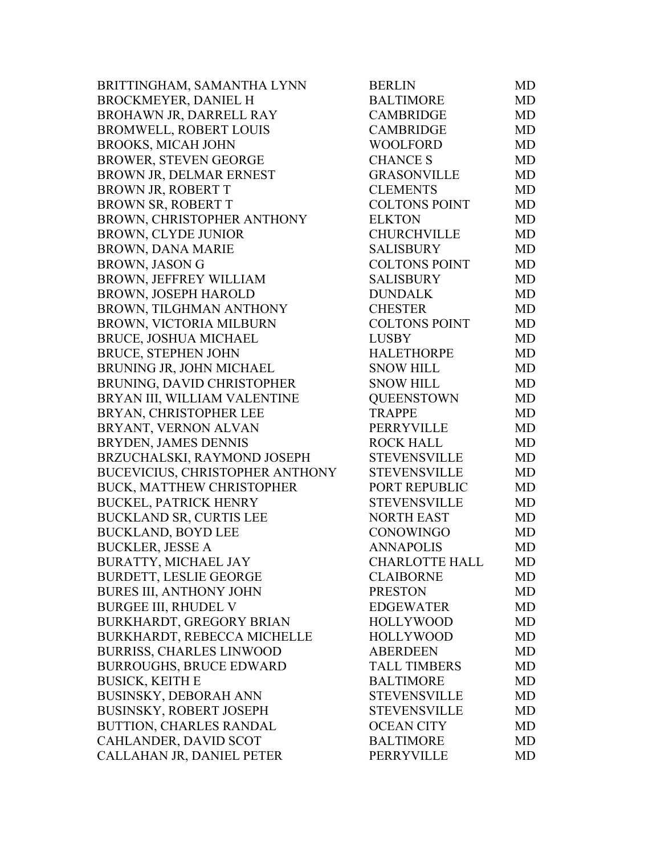BRITTINGHAM, SAMANTHA LYNN BROCKMEYER, DANIEL H BROHAWN JR, DARRELL RAY BROMWELL, ROBERT LOUIS BROOKS, MICAH JOHN BROWER, STEVEN GEORGE BROWN JR, DELMAR ERNEST BROWN JR, ROBERT T BROWN SR, ROBERT T BROWN, CHRISTOPHER ANTHONY BROWN, CLYDE JUNIOR BROWN, DANA MARIE BROWN, JASON G BROWN, JEFFREY WILLIAM BROWN, JOSEPH HAROLD BROWN, TILGHMAN ANTHONY BROWN, VICTORIA MILBURN BRUCE, JOSHUA MICHAEL BRUCE, STEPHEN JOHN BRUNING JR, JOHN MICHAEL BRUNING, DAVID CHRISTOPHER BRYAN III, WILLIAM VALENTINE BRYAN, CHRISTOPHER LEE BRYANT, VERNON ALVAN BRYDEN, JAMES DENNIS BRZUCHALSKI, RAYMOND JOSEPH BUCEVICIUS, CHRISTOPHER ANTHONY BUCK, MATTHEW CHRISTOPHER BUCKEL, PATRICK HENRY BUCKLAND SR, CURTIS LEE BUCKLAND, BOYD LEE BUCKLER, JESSE A BURATTY, MICHAEL JAY BURDETT, LESLIE GEORGE BURES III, ANTHONY JOHN BURGEE III, RHUDEL V BURKHARDT, GREGORY BRIAN BURKHARDT, REBECCA MICHELLE BURRISS, CHARLES LINWOOD BURROUGHS, BRUCE EDWARD BUSICK, KEITH E BUSINSKY, DEBORAH ANN BUSINSKY, ROBERT JOSEPH BUTTION, CHARLES RANDAL CAHLANDER, DAVID SCOT CALLAHAN JR, DANIEL PETER

| <b>BERLIN</b>         | MD        |
|-----------------------|-----------|
| <b>BALTIMORE</b>      | <b>MD</b> |
| <b>CAMBRIDGE</b>      | <b>MD</b> |
| <b>CAMBRIDGE</b>      | MD        |
| <b>WOOLFORD</b>       | <b>MD</b> |
| <b>CHANCE S</b>       | <b>MD</b> |
| <b>GRASONVILLE</b>    | <b>MD</b> |
| <b>CLEMENTS</b>       | <b>MD</b> |
| <b>COLTONS POINT</b>  | <b>MD</b> |
| <b>ELKTON</b>         | <b>MD</b> |
| <b>CHURCHVILLE</b>    | <b>MD</b> |
| <b>SALISBURY</b>      | <b>MD</b> |
| <b>COLTONS POINT</b>  | <b>MD</b> |
| <b>SALISBURY</b>      | <b>MD</b> |
| <b>DUNDALK</b>        | <b>MD</b> |
| <b>CHESTER</b>        | <b>MD</b> |
| <b>COLTONS POINT</b>  | <b>MD</b> |
| <b>LUSBY</b>          | <b>MD</b> |
| <b>HALETHORPE</b>     | <b>MD</b> |
| <b>SNOW HILL</b>      | <b>MD</b> |
| <b>SNOW HILL</b>      | <b>MD</b> |
| <b>QUEENSTOWN</b>     | <b>MD</b> |
| <b>TRAPPE</b>         | MD        |
| <b>PERRYVILLE</b>     | <b>MD</b> |
| <b>ROCK HALL</b>      | <b>MD</b> |
| <b>STEVENSVILLE</b>   | <b>MD</b> |
| <b>STEVENSVILLE</b>   | <b>MD</b> |
| PORT REPUBLIC         | <b>MD</b> |
| <b>STEVENSVILLE</b>   | <b>MD</b> |
| <b>NORTH EAST</b>     | <b>MD</b> |
| CONOWINGO             | MD        |
| <b>ANNAPOLIS</b>      | <b>MD</b> |
| <b>CHARLOTTE HALL</b> | MD        |
| <b>CLAIBORNE</b>      | MD        |
| <b>PRESTON</b>        | <b>MD</b> |
| <b>EDGEWATER</b>      | <b>MD</b> |
| <b>HOLLYWOOD</b>      | <b>MD</b> |
| <b>HOLLYWOOD</b>      | <b>MD</b> |
| <b>ABERDEEN</b>       | <b>MD</b> |
| <b>TALL TIMBERS</b>   | <b>MD</b> |
| <b>BALTIMORE</b>      | MD        |
| <b>STEVENSVILLE</b>   | <b>MD</b> |
| <b>STEVENSVILLE</b>   | <b>MD</b> |
| <b>OCEAN CITY</b>     | <b>MD</b> |
| <b>BALTIMORE</b>      | <b>MD</b> |
| PERRYVILLE            | <b>MD</b> |
|                       |           |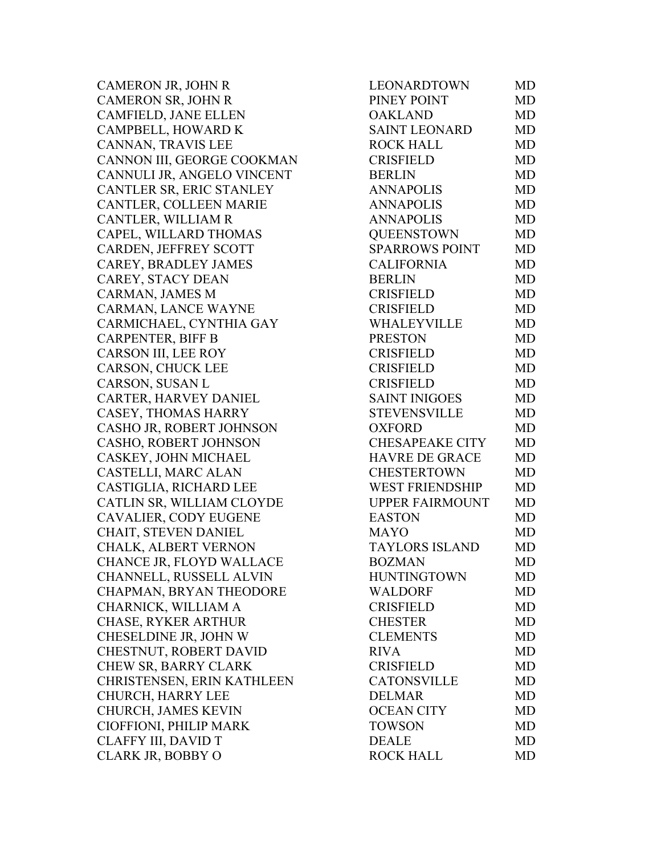CAMERON JR, JOHN R CAMERON SR, JOHN R CAMFIELD, JANE ELLEN CAMPBELL, HOWARD K CANNAN, TRAVIS LEE CANNON III, GEORGE COOKMAN CANNULI JR, ANGELO VINCENT CANTLER SR, ERIC STANLEY CANTLER, COLLEEN MARIE CANTLER, WILLIAM R CAPEL, WILLARD THOMAS CARDEN, JEFFREY SCOTT CAREY, BRADLEY JAMES CAREY, STACY DEAN CARMAN, JAMES M CARMAN, LANCE WAYNE CARMICHAEL, CYNTHIA GAY CARPENTER, BIFF B CARSON III, LEE ROY CARSON, CHUCK LEE CARSON, SUSAN L CARTER, HARVEY DANIEL CASEY, THOMAS HARRY CASHO JR, ROBERT JOHNSON CASHO, ROBERT JOHNSON CASKEY, JOHN MICHAEL CASTELLI, MARC ALAN CASTIGLIA, RICHARD LEE CATLIN SR, WILLIAM CLOYDE CAVALIER, CODY EUGENE CHAIT, STEVEN DANIEL CHALK, ALBERT VERNON CHANCE JR, FLOYD WALLACE CHANNELL, RUSSELL ALVIN CHAPMAN, BRYAN THEODORE CHARNICK, WILLIAM A CHASE, RYKER ARTHUR CHESELDINE JR, JOHN W CHESTNUT, ROBERT DAVID CHEW SR, BARRY CLARK CHRISTENSEN, ERIN KATHLEEN CHURCH, HARRY LEE CHURCH, JAMES KEVIN CIOFFIONI, PHILIP MARK CLAFFY III, DAVID T CLARK JR, BOBBY O

| LEONARDTOWN            | MD        |
|------------------------|-----------|
| PINEY POINT            | <b>MD</b> |
| <b>OAKLAND</b>         | <b>MD</b> |
| SAINT LEONARD          | <b>MD</b> |
| <b>ROCK HALL</b>       | <b>MD</b> |
| <b>CRISFIELD</b>       | <b>MD</b> |
| <b>BERLIN</b>          | <b>MD</b> |
| <b>ANNAPOLIS</b>       | <b>MD</b> |
| <b>ANNAPOLIS</b>       | MD        |
| <b>ANNAPOLIS</b>       | <b>MD</b> |
| <b>QUEENSTOWN</b>      | <b>MD</b> |
| <b>SPARROWS POINT</b>  | <b>MD</b> |
| <b>CALIFORNIA</b>      | MD        |
| <b>BERLIN</b>          | <b>MD</b> |
| <b>CRISFIELD</b>       | <b>MD</b> |
| <b>CRISFIELD</b>       | <b>MD</b> |
| WHALEYVILLE            | <b>MD</b> |
| <b>PRESTON</b>         | <b>MD</b> |
| <b>CRISFIELD</b>       | <b>MD</b> |
| <b>CRISFIELD</b>       | <b>MD</b> |
| <b>CRISFIELD</b>       | <b>MD</b> |
| <b>SAINT INIGOES</b>   | <b>MD</b> |
| <b>STEVENSVILLE</b>    | <b>MD</b> |
| <b>OXFORD</b>          | <b>MD</b> |
| CHESAPEAKE CITY        | <b>MD</b> |
| <b>HAVRE DE GRACE</b>  | MD        |
| <b>CHESTERTOWN</b>     | <b>MD</b> |
| WEST FRIENDSHIP        | <b>MD</b> |
| <b>UPPER FAIRMOUNT</b> | <b>MD</b> |
| <b>EASTON</b>          | <b>MD</b> |
| <b>MAYO</b>            | MD        |
| <b>TAYLORS ISLAND</b>  | <b>MD</b> |
| <b>BOZMAN</b>          | MD        |
| <b>HUNTINGTOWN</b>     | MD        |
| <b>WALDORF</b>         | MD        |
| <b>CRISFIELD</b>       | <b>MD</b> |
| <b>CHESTER</b>         | <b>MD</b> |
| <b>CLEMENTS</b>        | <b>MD</b> |
| <b>RIVA</b>            | <b>MD</b> |
| <b>CRISFIELD</b>       | <b>MD</b> |
| <b>CATONSVILLE</b>     | <b>MD</b> |
| <b>DELMAR</b>          | <b>MD</b> |
| <b>OCEAN CITY</b>      | <b>MD</b> |
| <b>TOWSON</b>          | <b>MD</b> |
| <b>DEALE</b>           | <b>MD</b> |
| <b>ROCK HALL</b>       | <b>MD</b> |
|                        |           |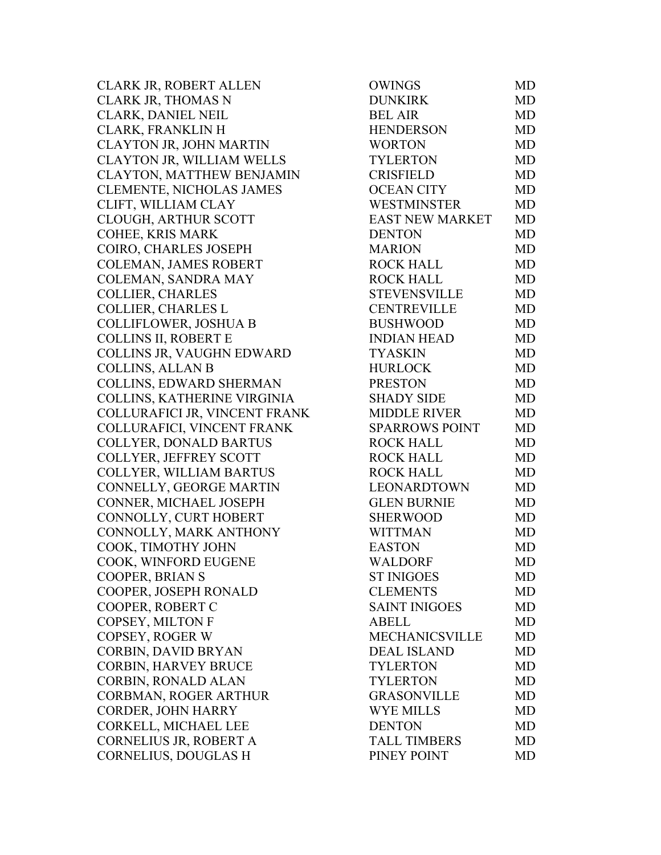CLARK JR, ROBERT ALLEN CLARK JR, THOMAS N CLARK, DANIEL NEIL CLARK, FRANKLIN H CLAYTON JR, JOHN MARTIN CLAYTON JR, WILLIAM WELLS CLAYTON, MATTHEW BENJAMIN CLEMENTE, NICHOLAS JAMES CLIFT, WILLIAM CLAY CLOUGH, ARTHUR SCOTT COHEE, KRIS MARK COIRO, CHARLES JOSEPH COLEMAN, JAMES ROBERT COLEMAN, SANDRA MAY COLLIER, CHARLES COLLIER, CHARLES L COLLIFLOWER, JOSHUA B COLLINS II, ROBERT E COLLINS JR, VAUGHN EDWARD COLLINS, ALLAN B COLLINS, EDWARD SHERMAN COLLINS, KATHERINE VIRGINIA COLLURAFICI JR, VINCENT FRANK COLLURAFICI, VINCENT FRANK COLLYER, DONALD BARTUS COLLYER, JEFFREY SCOTT COLLYER, WILLIAM BARTUS CONNELLY, GEORGE MARTIN CONNER, MICHAEL JOSEPH CONNOLLY, CURT HOBERT CONNOLLY, MARK ANTHONY COOK, TIMOTHY JOHN COOK, WINFORD EUGENE COOPER, BRIAN S COOPER, JOSEPH RONALD COOPER, ROBERT C COPSEY, MILTON F COPSEY, ROGER W CORBIN, DAVID BRYAN CORBIN, HARVEY BRUCE CORBIN, RONALD ALAN CORBMAN, ROGER ARTHUR CORDER, JOHN HARRY CORKELL, MICHAEL LEE CORNELIUS JR, ROBERT A CORNELIUS, DOUGLAS H

| OWINGS                 | MD        |
|------------------------|-----------|
| <b>DUNKIRK</b>         | <b>MD</b> |
| <b>BEL AIR</b>         | MD        |
| <b>HENDERSON</b>       | <b>MD</b> |
| <b>WORTON</b>          | <b>MD</b> |
| <b>TYLERTON</b>        | <b>MD</b> |
| <b>CRISFIELD</b>       | <b>MD</b> |
| <b>OCEAN CITY</b>      | MD        |
| <b>WESTMINSTER</b>     | <b>MD</b> |
| <b>EAST NEW MARKET</b> | <b>MD</b> |
| <b>DENTON</b>          | <b>MD</b> |
| <b>MARION</b>          | <b>MD</b> |
| <b>ROCK HALL</b>       | <b>MD</b> |
| <b>ROCK HALL</b>       | <b>MD</b> |
| STEVENSVILLE           | <b>MD</b> |
| <b>CENTREVILLE</b>     | <b>MD</b> |
| <b>BUSHWOOD</b>        | <b>MD</b> |
| <b>INDIAN HEAD</b>     | <b>MD</b> |
| <b>TYASKIN</b>         | <b>MD</b> |
| <b>HURLOCK</b>         | <b>MD</b> |
| <b>PRESTON</b>         | <b>MD</b> |
| <b>SHADY SIDE</b>      | MD        |
| <b>MIDDLE RIVER</b>    | <b>MD</b> |
| <b>SPARROWS POINT</b>  | <b>MD</b> |
| <b>ROCK HALL</b>       | <b>MD</b> |
| <b>ROCK HALL</b>       | <b>MD</b> |
| <b>ROCK HALL</b>       | <b>MD</b> |
| LEONARDTOWN            | <b>MD</b> |
| <b>GLEN BURNIE</b>     | <b>MD</b> |
| <b>SHERWOOD</b>        | <b>MD</b> |
| <b>WITTMAN</b>         | MD        |
| <b>EASTON</b>          | MD        |
| <b>WALDORF</b>         | MD        |
| <b>ST INIGOES</b>      | MD        |
| <b>CLEMENTS</b>        | <b>MD</b> |
| <b>SAINT INIGOES</b>   | <b>MD</b> |
| <b>ABELL</b>           | <b>MD</b> |
| <b>MECHANICSVILLE</b>  | <b>MD</b> |
| <b>DEAL ISLAND</b>     | <b>MD</b> |
| <b>TYLERTON</b>        | <b>MD</b> |
| <b>TYLERTON</b>        | MD        |
| <b>GRASONVILLE</b>     | <b>MD</b> |
| <b>WYE MILLS</b>       | <b>MD</b> |
| <b>DENTON</b>          | MD        |
| <b>TALL TIMBERS</b>    | <b>MD</b> |
| PINEY POINT            | MD        |
|                        |           |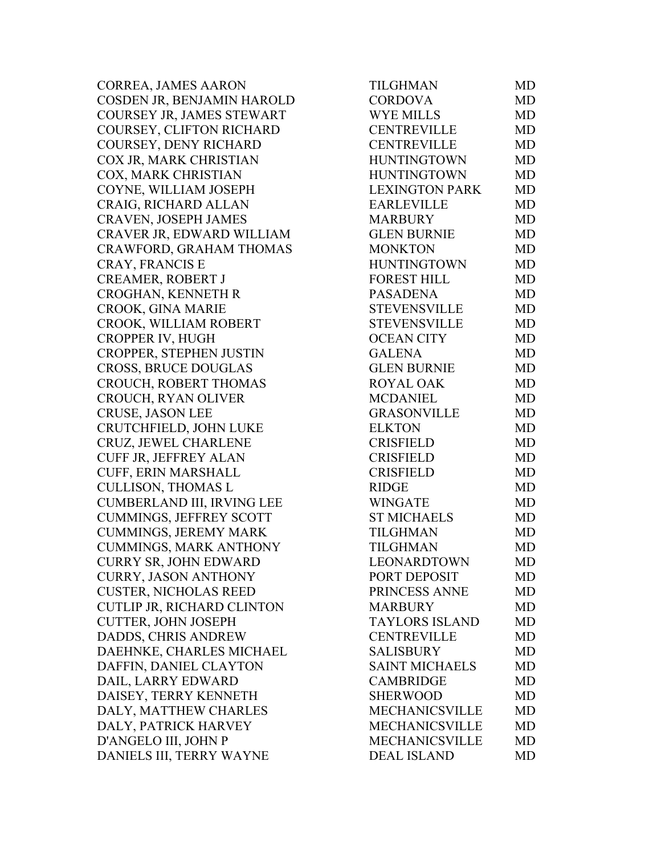CORREA, JAMES AARON COSDEN JR, BENJAMIN HAROLD COURSEY JR, JAMES STEWART COURSEY, CLIFTON RICHARD COURSEY, DENY RICHARD COX JR, MARK CHRISTIAN COX, MARK CHRISTIAN COYNE, WILLIAM JOSEPH CRAIG, RICHARD ALLAN CRAVEN, JOSEPH JAMES CRAVER JR, EDWARD WILLIAM CRAWFORD, GRAHAM THOMAS CRAY, FRANCIS E CREAMER, ROBERT J CROGHAN, KENNETH R CROOK, GINA MARIE CROOK, WILLIAM ROBERT CROPPER IV, HUGH CROPPER, STEPHEN JUSTIN CROSS, BRUCE DOUGLAS CROUCH, ROBERT THOMAS CROUCH, RYAN OLIVER CRUSE, JASON LEE CRUTCHFIELD, JOHN LUKE CRUZ, JEWEL CHARLENE CUFF JR, JEFFREY ALAN CUFF, ERIN MARSHALL CULLISON, THOMAS L CUMBERLAND III, IRVING LEE CUMMINGS, JEFFREY SCOTT CUMMINGS, JEREMY MARK CUMMINGS, MARK ANTHONY CURRY SR, JOHN EDWARD CURRY, JASON ANTHONY **CUSTER, NICHOLAS REED** CUTLIP JR, RICHARD CLINTON CUTTER, JOHN JOSEPH DADDS, CHRIS ANDREW DAEHNKE, CHARLES MICHAEL DAFFIN, DANIEL CLAYTON DAIL, LARRY EDWARD DAISEY, TERRY KENNETH DALY, MATTHEW CHARLES DALY, PATRICK HARVEY D'ANGELO III, JOHN P DANIELS III, TERRY WAYNE

| TILGHMAN              | <b>MD</b> |
|-----------------------|-----------|
| <b>CORDOVA</b>        | MD        |
| <b>WYE MILLS</b>      | <b>MD</b> |
| <b>CENTREVILLE</b>    | <b>MD</b> |
| <b>CENTREVILLE</b>    | <b>MD</b> |
| HUNTINGTOWN           | <b>MD</b> |
| <b>HUNTINGTOWN</b>    | <b>MD</b> |
| <b>LEXINGTON PARK</b> | MD        |
| <b>EARLEVILLE</b>     | <b>MD</b> |
| <b>MARBURY</b>        | <b>MD</b> |
| <b>GLEN BURNIE</b>    | <b>MD</b> |
| <b>MONKTON</b>        | <b>MD</b> |
| <b>HUNTINGTOWN</b>    | <b>MD</b> |
| <b>FOREST HILL</b>    | <b>MD</b> |
| <b>PASADENA</b>       | <b>MD</b> |
| STEVENSVILLE          | MD        |
| STEVENSVILLE          | <b>MD</b> |
| <b>OCEAN CITY</b>     | MD        |
| <b>GALENA</b>         | <b>MD</b> |
| <b>GLEN BURNIE</b>    | <b>MD</b> |
| <b>ROYAL OAK</b>      | <b>MD</b> |
| <b>MCDANIEL</b>       | <b>MD</b> |
| <b>GRASONVILLE</b>    | <b>MD</b> |
| <b>ELKTON</b>         | <b>MD</b> |
| <b>CRISFIELD</b>      | <b>MD</b> |
| <b>CRISFIELD</b>      | <b>MD</b> |
| <b>CRISFIELD</b>      | <b>MD</b> |
| <b>RIDGE</b>          | <b>MD</b> |
| <b>WINGATE</b>        | <b>MD</b> |
| <b>ST MICHAELS</b>    | <b>MD</b> |
| <b>TILGHMAN</b>       | MD        |
| <b>TILGHMAN</b>       | <b>MD</b> |
| <b>LEONARDTOWN</b>    | MD        |
| PORT DEPOSIT          | <b>MD</b> |
| PRINCESS ANNE         | MD        |
| <b>MARBURY</b>        | <b>MD</b> |
| <b>TAYLORS ISLAND</b> | <b>MD</b> |
| <b>CENTREVILLE</b>    | <b>MD</b> |
| <b>SALISBURY</b>      | <b>MD</b> |
| <b>SAINT MICHAELS</b> | <b>MD</b> |
| <b>CAMBRIDGE</b>      | <b>MD</b> |
| <b>SHERWOOD</b>       | <b>MD</b> |
| <b>MECHANICSVILLE</b> | <b>MD</b> |
| <b>MECHANICSVILLE</b> | <b>MD</b> |
| <b>MECHANICSVILLE</b> | <b>MD</b> |
| <b>DEAL ISLAND</b>    | <b>MD</b> |
|                       |           |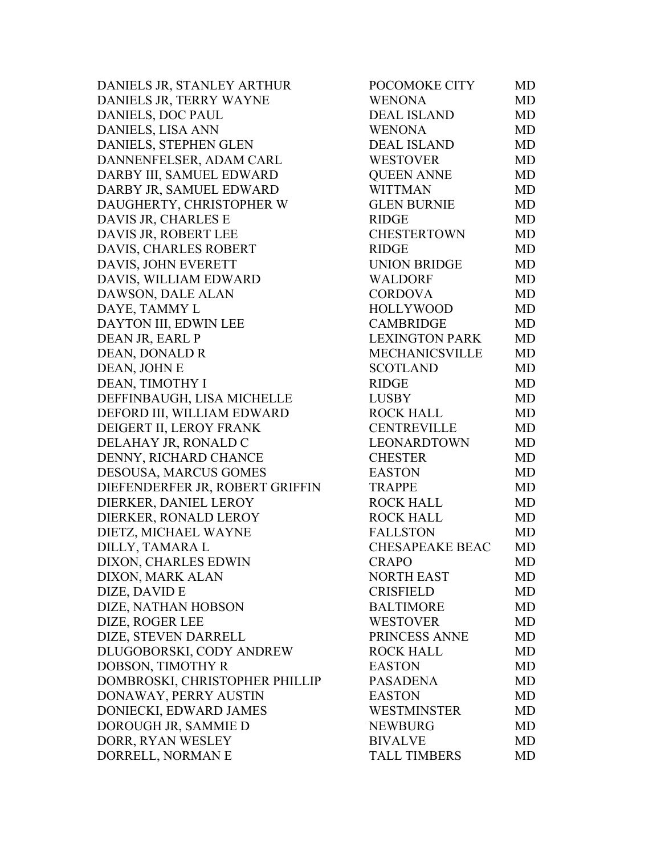DANIELS JR, STANLEY ARTHUR DANIELS JR, TERRY WAYNE DANIELS, DOC PAUL DANIELS, LISA ANN DANIELS, STEPHEN GLEN DANNENFELSER, ADAM CARL DARBY III, SAMUEL EDWARD DARBY JR, SAMUEL EDWARD DAUGHERTY, CHRISTOPHER W DAVIS JR, CHARLES E DAVIS JR, ROBERT LEE DAVIS, CHARLES ROBERT DAVIS, JOHN EVERETT DAVIS, WILLIAM EDWARD DAWSON, DALE ALAN DAYE, TAMMY L DAYTON III, EDWIN LEE DEAN JR, EARL P DEAN, DONALD R DEAN, JOHN E DEAN, TIMOTHY I DEFFINBAUGH, LISA MICHELLE DEFORD III, WILLIAM EDWARD DEIGERT II, LEROY FRANK DELAHAY JR, RONALD C DENNY, RICHARD CHANCE DESOUSA, MARCUS GOMES DIEFENDERFER JR, ROBERT GRIFFIN DIERKER, DANIEL LEROY DIERKER, RONALD LEROY DIETZ, MICHAEL WAYNE DILLY, TAMARA L DIXON, CHARLES EDWIN DIXON, MARK ALAN DIZE, DAVID E DIZE, NATHAN HOBSON DIZE, ROGER LEE DIZE, STEVEN DARRELL DLUGOBORSKI, CODY ANDREW DOBSON, TIMOTHY R DOMBROSKI, CHRISTOPHER PHILLIP DONAWAY, PERRY AUSTIN DONIECKI, EDWARD JAMES DOROUGH JR, SAMMIE D DORR, RYAN WESLEY DORRELL, NORMAN E

| POCOMOKE CITY          | MD        |
|------------------------|-----------|
| <b>WENONA</b>          | <b>MD</b> |
| <b>DEAL ISLAND</b>     | MD        |
| <b>WENONA</b>          | <b>MD</b> |
| <b>DEAL ISLAND</b>     | <b>MD</b> |
| <b>WESTOVER</b>        | <b>MD</b> |
| <b>QUEEN ANNE</b>      | <b>MD</b> |
| <b>WITTMAN</b>         | <b>MD</b> |
| <b>GLEN BURNIE</b>     | <b>MD</b> |
| <b>RIDGE</b>           | MD        |
| <b>CHESTERTOWN</b>     | <b>MD</b> |
| <b>RIDGE</b>           | <b>MD</b> |
| <b>UNION BRIDGE</b>    | MD        |
| <b>WALDORF</b>         | <b>MD</b> |
| <b>CORDOVA</b>         | <b>MD</b> |
| <b>HOLLYWOOD</b>       | <b>MD</b> |
| <b>CAMBRIDGE</b>       | <b>MD</b> |
| <b>LEXINGTON PARK</b>  | <b>MD</b> |
| <b>MECHANICSVILLE</b>  | <b>MD</b> |
| <b>SCOTLAND</b>        | <b>MD</b> |
| <b>RIDGE</b>           | <b>MD</b> |
| <b>LUSBY</b>           | <b>MD</b> |
| <b>ROCK HALL</b>       | MD        |
| <b>CENTREVILLE</b>     | <b>MD</b> |
| <b>LEONARDTOWN</b>     | <b>MD</b> |
| <b>CHESTER</b>         | MD        |
| <b>EASTON</b>          | <b>MD</b> |
| <b>TRAPPE</b>          | MD        |
| <b>ROCK HALL</b>       | <b>MD</b> |
| <b>ROCK HALL</b>       | MD        |
| <b>FALLSTON</b>        | <b>MD</b> |
| <b>CHESAPEAKE BEAC</b> | <b>MD</b> |
| <b>CRAPO</b>           | MD        |
| <b>NORTH EAST</b>      | <b>MD</b> |
| <b>CRISFIELD</b>       | <b>MD</b> |
| <b>BALTIMORE</b>       | <b>MD</b> |
| <b>WESTOVER</b>        | <b>MD</b> |
| PRINCESS ANNE          | <b>MD</b> |
| <b>ROCK HALL</b>       | <b>MD</b> |
| <b>EASTON</b>          | <b>MD</b> |
| <b>PASADENA</b>        | <b>MD</b> |
| <b>EASTON</b>          | <b>MD</b> |
| WESTMINSTER            | <b>MD</b> |
| <b>NEWBURG</b>         | <b>MD</b> |
| <b>BIVALVE</b>         | <b>MD</b> |
| <b>TALL TIMBERS</b>    | <b>MD</b> |
|                        |           |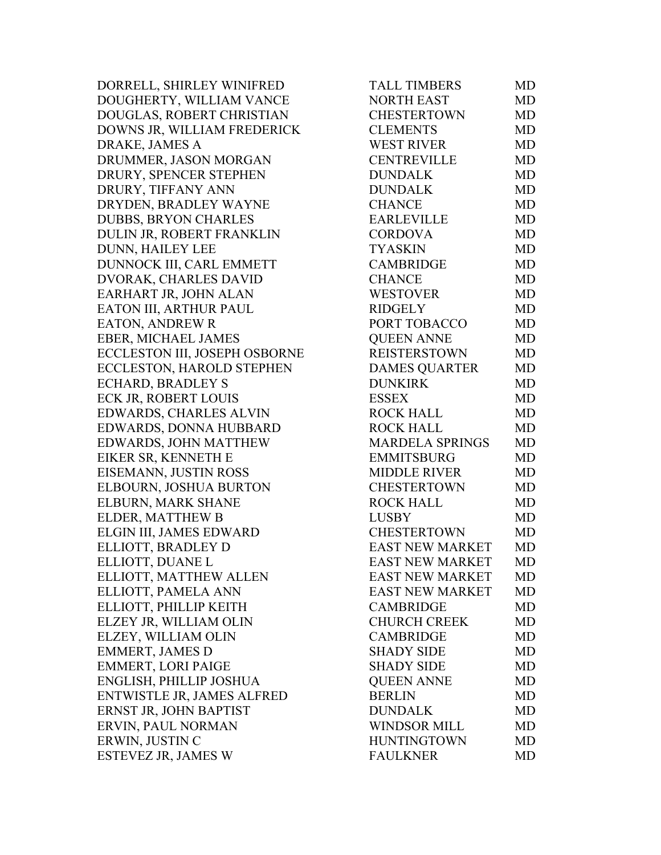DORRELL, SHIRLEY WINIFRED DOUGHERTY, WILLIAM VANCE DOUGLAS, ROBERT CHRISTIAN DOWNS JR, WILLIAM FREDERICK DRAKE, JAMES A DRUMMER, JASON MORGAN DRURY, SPENCER STEPHEN DRURY, TIFFANY ANN DRYDEN, BRADLEY WAYNE DUBBS, BRYON CHARLES DULIN JR, ROBERT FRANKLIN DUNN, HAILEY LEE DUNNOCK III, CARL EMMETT DVORAK, CHARLES DAVID EARHART JR, JOHN ALAN EATON III, ARTHUR PAUL EATON, ANDREW R EBER, MICHAEL JAMES ECCLESTON III, JOSEPH OSBORNE ECCLESTON, HAROLD STEPHEN ECHARD, BRADLEY S ECK JR, ROBERT LOUIS EDWARDS, CHARLES ALVIN EDWARDS, DONNA HUBBARD EDWARDS, JOHN MATTHEW EIKER SR, KENNETH E EISEMANN, JUSTIN ROSS ELBOURN, JOSHUA BURTON ELBURN, MARK SHANE ELDER, MATTHEW B ELGIN III, JAMES EDWARD ELLIOTT, BRADLEY D ELLIOTT, DUANE L ELLIOTT, MATTHEW ALLEN ELLIOTT, PAMELA ANN ELLIOTT, PHILLIP KEITH ELZEY JR, WILLIAM OLIN ELZEY, WILLIAM OLIN EMMERT, JAMES D EMMERT, LORI PAIGE ENGLISH, PHILLIP JOSHUA ENTWISTLE JR, JAMES ALFRED ERNST JR, JOHN BAPTIST ERVIN, PAUL NORMAN ERWIN, JUSTIN C ESTEVEZ JR, JAMES W

| <b>TALL TIMBERS</b>    | MD        |
|------------------------|-----------|
| <b>NORTH EAST</b>      | MD        |
| <b>CHESTERTOWN</b>     | MD        |
| <b>CLEMENTS</b>        | <b>MD</b> |
| <b>WEST RIVER</b>      | <b>MD</b> |
| <b>CENTREVILLE</b>     | <b>MD</b> |
| <b>DUNDALK</b>         | <b>MD</b> |
| <b>DUNDALK</b>         | <b>MD</b> |
| CHANCE                 | <b>MD</b> |
| <b>EARLEVILLE</b>      | <b>MD</b> |
| <b>CORDOVA</b>         | <b>MD</b> |
| <b>TYASKIN</b>         | MD        |
| <b>CAMBRIDGE</b>       | MD        |
| <b>CHANCE</b>          | <b>MD</b> |
| <b>WESTOVER</b>        | MD        |
| <b>RIDGELY</b>         | <b>MD</b> |
| PORT TOBACCO           | MD        |
| <b>QUEEN ANNE</b>      | MD        |
| <b>REISTERSTOWN</b>    | <b>MD</b> |
| <b>DAMES QUARTER</b>   | <b>MD</b> |
| <b>DUNKIRK</b>         | <b>MD</b> |
| ESSEX                  | MD        |
| <b>ROCK HALL</b>       | MD        |
| <b>ROCK HALL</b>       | MD        |
| <b>MARDELA SPRINGS</b> | <b>MD</b> |
| <b>EMMITSBURG</b>      | MD        |
| <b>MIDDLE RIVER</b>    | <b>MD</b> |
| <b>CHESTERTOWN</b>     | <b>MD</b> |
| <b>ROCK HALL</b>       | <b>MD</b> |
| <b>LUSBY</b>           | <b>MD</b> |
| <b>CHESTERTOWN</b>     | MD        |
| <b>EAST NEW MARKET</b> | MD        |
| <b>EAST NEW MARKET</b> | MD        |
| <b>EAST NEW MARKET</b> | <b>MD</b> |
| <b>EAST NEW MARKET</b> | <b>MD</b> |
| <b>CAMBRIDGE</b>       | <b>MD</b> |
| <b>CHURCH CREEK</b>    | <b>MD</b> |
| <b>CAMBRIDGE</b>       | <b>MD</b> |
| <b>SHADY SIDE</b>      | <b>MD</b> |
| <b>SHADY SIDE</b>      | <b>MD</b> |
| <b>OUEEN ANNE</b>      | <b>MD</b> |
| <b>BERLIN</b>          | <b>MD</b> |
| <b>DUNDALK</b>         | <b>MD</b> |
| <b>WINDSOR MILL</b>    | <b>MD</b> |
| <b>HUNTINGTOWN</b>     | <b>MD</b> |
| <b>FAULKNER</b>        | <b>MD</b> |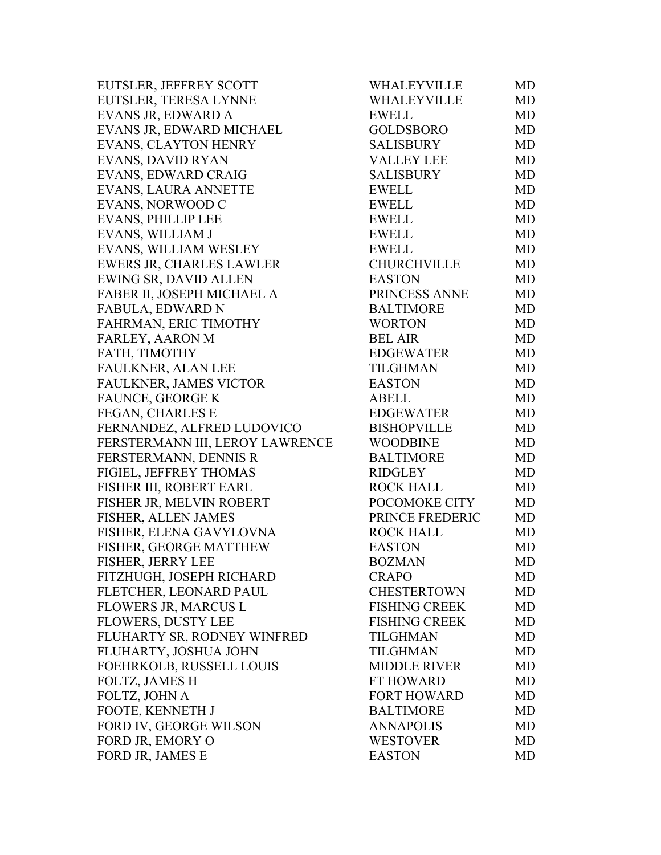| EUTSLER, JEFFREY SCOTT          | <b>WHALEYVILLE</b>   | MD        |
|---------------------------------|----------------------|-----------|
| EUTSLER, TERESA LYNNE           | WHALEYVILLE          | <b>MD</b> |
| EVANS JR, EDWARD A              | <b>EWELL</b>         | <b>MD</b> |
| EVANS JR, EDWARD MICHAEL        | <b>GOLDSBORO</b>     | <b>MD</b> |
| EVANS, CLAYTON HENRY            | SALISBURY            | <b>MD</b> |
| <b>EVANS, DAVID RYAN</b>        | <b>VALLEY LEE</b>    | <b>MD</b> |
| EVANS, EDWARD CRAIG             | <b>SALISBURY</b>     | <b>MD</b> |
| EVANS, LAURA ANNETTE            | <b>EWELL</b>         | <b>MD</b> |
| EVANS, NORWOOD C                | <b>EWELL</b>         | <b>MD</b> |
| <b>EVANS, PHILLIP LEE</b>       | <b>EWELL</b>         | <b>MD</b> |
| EVANS, WILLIAM J                | EWELL                | <b>MD</b> |
| EVANS, WILLIAM WESLEY           | <b>EWELL</b>         | MD        |
| EWERS JR, CHARLES LAWLER        | <b>CHURCHVILLE</b>   | <b>MD</b> |
| EWING SR, DAVID ALLEN           | <b>EASTON</b>        | <b>MD</b> |
| FABER II, JOSEPH MICHAEL A      | PRINCESS ANNE        | <b>MD</b> |
| FABULA, EDWARD N                | <b>BALTIMORE</b>     | <b>MD</b> |
| FAHRMAN, ERIC TIMOTHY           | <b>WORTON</b>        | <b>MD</b> |
| FARLEY, AARON M                 | <b>BEL AIR</b>       | <b>MD</b> |
| FATH, TIMOTHY                   | EDGEWATER            | <b>MD</b> |
| <b>FAULKNER, ALAN LEE</b>       | <b>TILGHMAN</b>      | <b>MD</b> |
| FAULKNER, JAMES VICTOR          | <b>EASTON</b>        | <b>MD</b> |
| FAUNCE, GEORGE K                | <b>ABELL</b>         | <b>MD</b> |
| FEGAN, CHARLES E                | EDGEWATER            | <b>MD</b> |
| FERNANDEZ, ALFRED LUDOVICO      | <b>BISHOPVILLE</b>   | <b>MD</b> |
| FERSTERMANN III, LEROY LAWRENCE | <b>WOODBINE</b>      | <b>MD</b> |
| FERSTERMANN, DENNIS R           | <b>BALTIMORE</b>     | <b>MD</b> |
| FIGIEL, JEFFREY THOMAS          | <b>RIDGLEY</b>       | <b>MD</b> |
| FISHER III, ROBERT EARL         | <b>ROCK HALL</b>     | <b>MD</b> |
| FISHER JR, MELVIN ROBERT        | POCOMOKE CITY        | <b>MD</b> |
| FISHER, ALLEN JAMES             | PRINCE FREDERIC      | <b>MD</b> |
| FISHER, ELENA GAVYLOVNA         | <b>ROCK HALL</b>     | <b>MD</b> |
| FISHER, GEORGE MATTHEW          | <b>EASTON</b>        | <b>MD</b> |
| FISHER, JERRY LEE               | <b>BOZMAN</b>        | MD        |
| FITZHUGH, JOSEPH RICHARD        | <b>CRAPO</b>         | MD        |
| FLETCHER, LEONARD PAUL          | <b>CHESTERTOWN</b>   | <b>MD</b> |
| <b>FLOWERS JR, MARCUS L</b>     | <b>FISHING CREEK</b> | <b>MD</b> |
| <b>FLOWERS, DUSTY LEE</b>       | <b>FISHING CREEK</b> | <b>MD</b> |
| FLUHARTY SR, RODNEY WINFRED     | <b>TILGHMAN</b>      | <b>MD</b> |
| FLUHARTY, JOSHUA JOHN           | <b>TILGHMAN</b>      | <b>MD</b> |
| FOEHRKOLB, RUSSELL LOUIS        | <b>MIDDLE RIVER</b>  | <b>MD</b> |
| <b>FOLTZ, JAMES H</b>           | FT HOWARD            | MD        |
| FOLTZ, JOHN A                   | <b>FORT HOWARD</b>   | MD        |
| FOOTE, KENNETH J                | <b>BALTIMORE</b>     | <b>MD</b> |
| FORD IV, GEORGE WILSON          | <b>ANNAPOLIS</b>     | <b>MD</b> |
| FORD JR, EMORY O                | <b>WESTOVER</b>      | MD        |
| FORD JR, JAMES E                | <b>EASTON</b>        | <b>MD</b> |
|                                 |                      |           |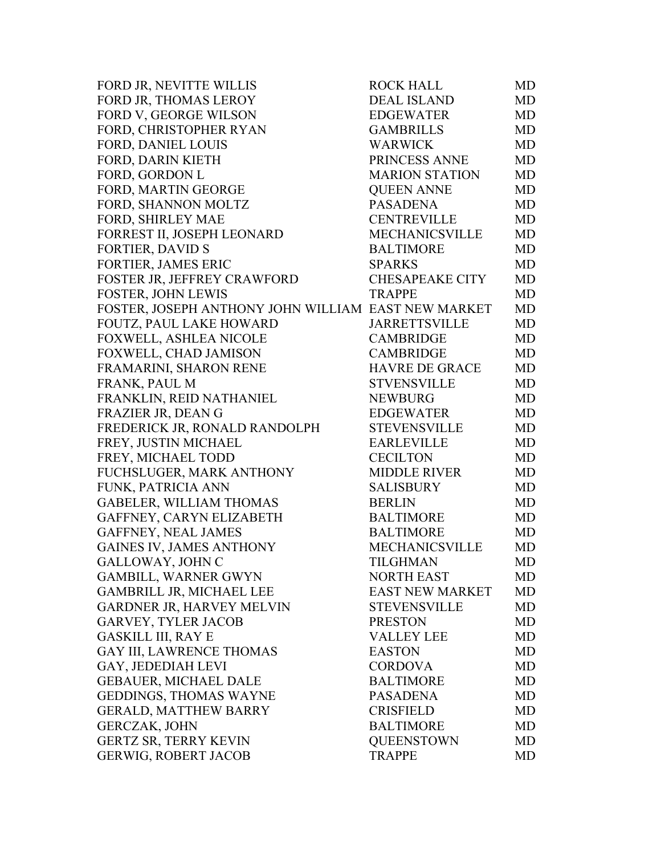| FORD JR, NEVITTE WILLIS                             | <b>ROCK HALL</b>       | MD        |
|-----------------------------------------------------|------------------------|-----------|
| FORD JR, THOMAS LEROY                               | DEAL ISLAND            | MD        |
| FORD V, GEORGE WILSON                               | EDGEWATER              | MD        |
| FORD, CHRISTOPHER RYAN                              | <b>GAMBRILLS</b>       | MD        |
| <b>FORD, DANIEL LOUIS</b>                           | <b>WARWICK</b>         | MD        |
| FORD, DARIN KIETH                                   | PRINCESS ANNE          | MD        |
| FORD, GORDON L                                      | <b>MARION STATION</b>  | MD        |
| FORD, MARTIN GEORGE                                 | <b>QUEEN ANNE</b>      | MD        |
| FORD, SHANNON MOLTZ                                 | <b>PASADENA</b>        | MD        |
| FORD, SHIRLEY MAE                                   | <b>CENTREVILLE</b>     | MD        |
| FORREST II, JOSEPH LEONARD                          | MECHANICSVILLE         | MD        |
| <b>FORTIER, DAVID S</b>                             | <b>BALTIMORE</b>       | MD        |
| FORTIER, JAMES ERIC                                 | <b>SPARKS</b>          | MD        |
| FOSTER JR, JEFFREY CRAWFORD                         | <b>CHESAPEAKE CITY</b> | MD        |
| <b>FOSTER, JOHN LEWIS</b>                           | <b>TRAPPE</b>          | MD        |
| FOSTER, JOSEPH ANTHONY JOHN WILLIAM EAST NEW MARKET |                        | MD        |
| FOUTZ, PAUL LAKE HOWARD                             | <b>JARRETTSVILLE</b>   | MD        |
| FOXWELL, ASHLEA NICOLE                              | <b>CAMBRIDGE</b>       | MD        |
| FOXWELL, CHAD JAMISON                               | <b>CAMBRIDGE</b>       | MD        |
| FRAMARINI, SHARON RENE                              | <b>HAVRE DE GRACE</b>  | <b>MD</b> |
| FRANK, PAUL M                                       | <b>STVENSVILLE</b>     | MD        |
| FRANKLIN, REID NATHANIEL                            | <b>NEWBURG</b>         | MD        |
| FRAZIER JR, DEAN G                                  | <b>EDGEWATER</b>       | MD        |
| FREDERICK JR, RONALD RANDOLPH                       | <b>STEVENSVILLE</b>    | MD        |
| FREY, JUSTIN MICHAEL                                | <b>EARLEVILLE</b>      | MD        |
| FREY, MICHAEL TODD                                  | <b>CECILTON</b>        | MD        |
| FUCHSLUGER, MARK ANTHONY                            | <b>MIDDLE RIVER</b>    | MD        |
| FUNK, PATRICIA ANN                                  | <b>SALISBURY</b>       | MD        |
| <b>GABELER, WILLIAM THOMAS</b>                      | <b>BERLIN</b>          | MD        |
| GAFFNEY, CARYN ELIZABETH                            | <b>BALTIMORE</b>       | MD        |
| GAFFNEY, NEAL JAMES                                 | <b>BALTIMORE</b>       | MD        |
| <b>GAINES IV, JAMES ANTHONY</b>                     | <b>MECHANICSVILLE</b>  | MD        |
| GALLOWAY, JOHN C                                    | TILGHMAN               | MD        |
| <b>GAMBILL, WARNER GWYN</b>                         | <b>NORTH EAST</b>      | MD        |
| <b>GAMBRILL JR, MICHAEL LEE</b>                     | <b>EAST NEW MARKET</b> | MD        |
| GARDNER JR, HARVEY MELVIN                           | <b>STEVENSVILLE</b>    | MD        |
| <b>GARVEY, TYLER JACOB</b>                          | <b>PRESTON</b>         | MD        |
| <b>GASKILL III, RAY E</b>                           | <b>VALLEY LEE</b>      | MD        |
| <b>GAY III, LAWRENCE THOMAS</b>                     | <b>EASTON</b>          | MD        |
| GAY, JEDEDIAH LEVI                                  | <b>CORDOVA</b>         | MD        |
| <b>GEBAUER, MICHAEL DALE</b>                        | <b>BALTIMORE</b>       | MD        |
| <b>GEDDINGS, THOMAS WAYNE</b>                       | <b>PASADENA</b>        | MD        |
| <b>GERALD, MATTHEW BARRY</b>                        | <b>CRISFIELD</b>       | MD        |
| <b>GERCZAK, JOHN</b>                                | <b>BALTIMORE</b>       | MD        |
| <b>GERTZ SR, TERRY KEVIN</b>                        | <b>QUEENSTOWN</b>      | MD        |
| <b>GERWIG, ROBERT JACOB</b>                         | <b>TRAPPE</b>          | MD        |
|                                                     |                        |           |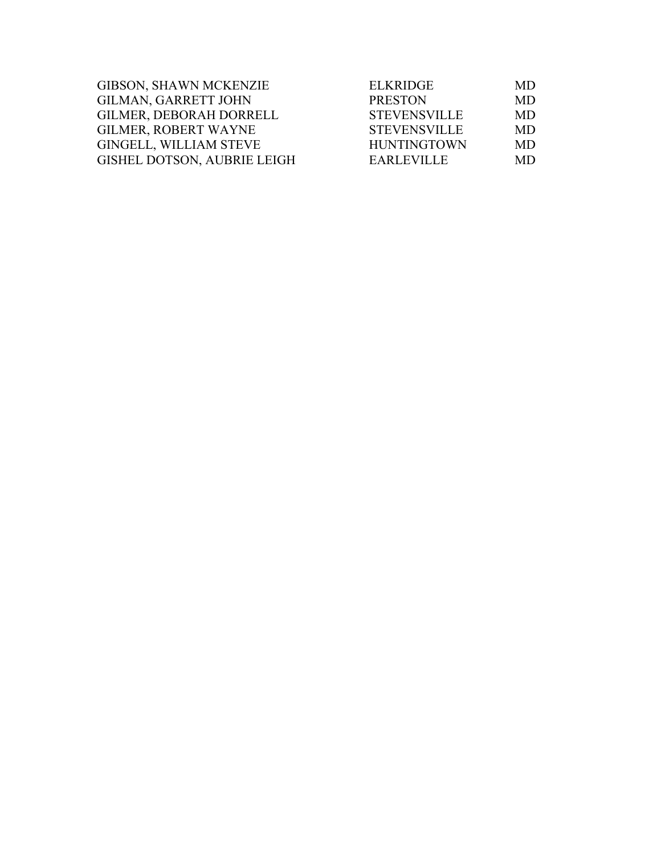| GIBSON, SHAWN MCKENZIE             | <b>ELKRIDGE</b>     | MD        |
|------------------------------------|---------------------|-----------|
| <b>GILMAN, GARRETT JOHN</b>        | <b>PRESTON</b>      | <b>MD</b> |
| <b>GILMER, DEBORAH DORRELL</b>     | <b>STEVENSVILLE</b> | MD.       |
| <b>GILMER, ROBERT WAYNE</b>        | <b>STEVENSVILLE</b> | MD.       |
| <b>GINGELL, WILLIAM STEVE</b>      | <b>HUNTINGTOWN</b>  | <b>MD</b> |
| <b>GISHEL DOTSON, AUBRIE LEIGH</b> | <b>EARLEVILLE</b>   | MD.       |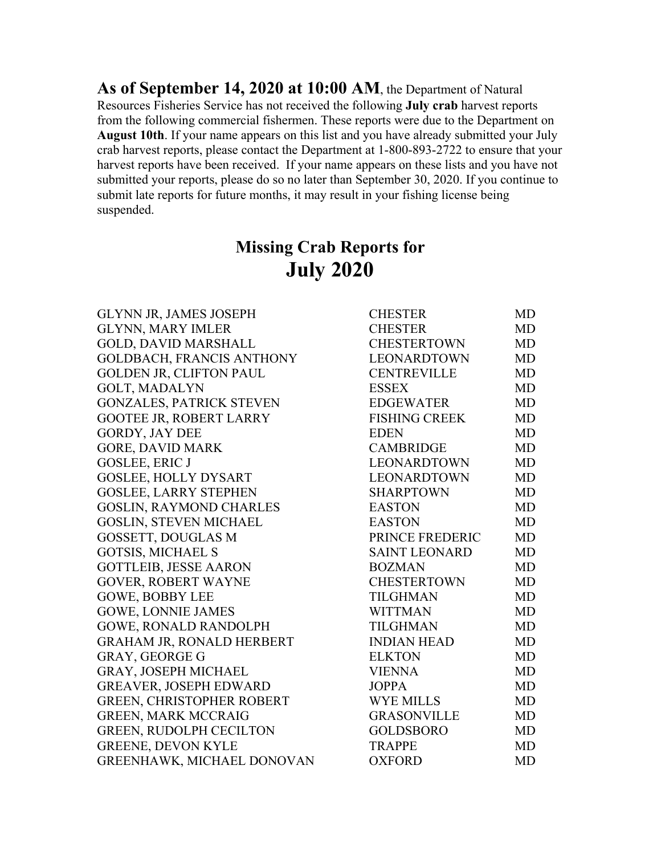**As of September 14, 2020 at 10:00 AM**, the Department of Natural Resources Fisheries Service has not received the following **July crab** harvest reports from the following commercial fishermen. These reports were due to the Department on **August 10th**. If your name appears on this list and you have already submitted your July crab harvest reports, please contact the Department at 1-800-893-2722 to ensure that your harvest reports have been received. If your name appears on these lists and you have not submitted your reports, please do so no later than September 30, 2020. If you continue to submit late reports for future months, it may result in your fishing license being suspended.

## **Missing Crab Reports for July 2020**

| <b>CHESTER</b>       | MD        |
|----------------------|-----------|
| <b>CHESTER</b>       | <b>MD</b> |
| <b>CHESTERTOWN</b>   | <b>MD</b> |
| <b>LEONARDTOWN</b>   | MD        |
| <b>CENTREVILLE</b>   | <b>MD</b> |
| <b>ESSEX</b>         | <b>MD</b> |
| <b>EDGEWATER</b>     | <b>MD</b> |
| <b>FISHING CREEK</b> | <b>MD</b> |
| <b>EDEN</b>          | <b>MD</b> |
| <b>CAMBRIDGE</b>     | <b>MD</b> |
| <b>LEONARDTOWN</b>   | <b>MD</b> |
| <b>LEONARDTOWN</b>   | <b>MD</b> |
| <b>SHARPTOWN</b>     | MD        |
| <b>EASTON</b>        | MD        |
| <b>EASTON</b>        | <b>MD</b> |
| PRINCE FREDERIC      | MD        |
| <b>SAINT LEONARD</b> | <b>MD</b> |
| <b>BOZMAN</b>        | <b>MD</b> |
| <b>CHESTERTOWN</b>   | <b>MD</b> |
| <b>TILGHMAN</b>      | <b>MD</b> |
| <b>WITTMAN</b>       | <b>MD</b> |
| <b>TILGHMAN</b>      | <b>MD</b> |
| <b>INDIAN HEAD</b>   | <b>MD</b> |
| <b>ELKTON</b>        | MD        |
| <b>VIENNA</b>        | <b>MD</b> |
| <b>JOPPA</b>         | MD        |
| <b>WYE MILLS</b>     | <b>MD</b> |
| <b>GRASONVILLE</b>   | <b>MD</b> |
| <b>GOLDSBORO</b>     | <b>MD</b> |
| <b>TRAPPE</b>        | <b>MD</b> |
| <b>OXFORD</b>        | <b>MD</b> |
|                      |           |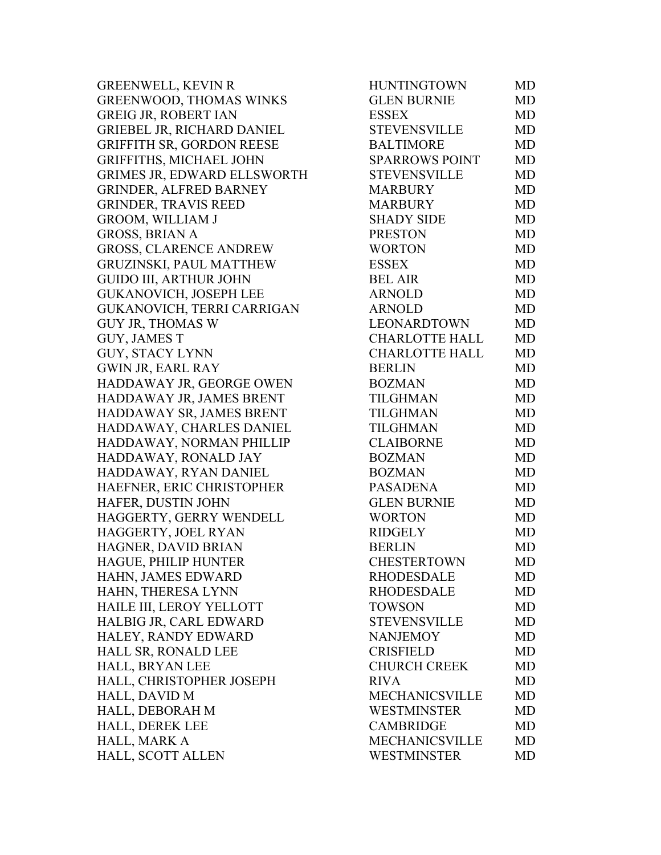GREENWELL, KEVIN R GREENWOOD, THOMAS WINKS GREIG JR, ROBERT IAN GRIEBEL JR, RICHARD DANIEL GRIFFITH SR, GORDON REESE GRIFFITHS, MICHAEL JOHN GRIMES JR, EDWARD ELLSWORTH GRINDER, ALFRED BARNEY GRINDER, TRAVIS REED GROOM, WILLIAM J GROSS, BRIAN A GROSS, CLARENCE ANDREW GRUZINSKI, PAUL MATTHEW GUIDO III, ARTHUR JOHN GUKANOVICH, JOSEPH LEE GUKANOVICH, TERRI CARRIGAN GUY JR, THOMAS W GUY, JAMES T GUY, STACY LYNN GWIN JR, EARL RAY HADDAWAY JR, GEORGE OWEN HADDAWAY JR, JAMES BRENT HADDAWAY SR, JAMES BRENT HADDAWAY, CHARLES DANIEL HADDAWAY, NORMAN PHILLIP HADDAWAY, RONALD JAY HADDAWAY, RYAN DANIEL HAEFNER, ERIC CHRISTOPHER HAFER, DUSTIN JOHN HAGGERTY, GERRY WENDELL HAGGERTY, JOEL RYAN HAGNER, DAVID BRIAN HAGUE, PHILIP HUNTER HAHN, JAMES EDWARD HAHN, THERESA LYNN HAILE III, LEROY YELLOTT HALBIG JR, CARL EDWARD HALEY, RANDY EDWARD HALL SR, RONALD LEE HALL, BRYAN LEE HALL, CHRISTOPHER JOSEPH HALL, DAVID M HALL, DEBORAH M HALL, DEREK LEE HALL, MARK A HALL, SCOTT ALLEN

| <b>HUNTINGTOWN</b>    | <b>MD</b> |
|-----------------------|-----------|
| <b>GLEN BURNIE</b>    | <b>MD</b> |
| <b>ESSEX</b>          | <b>MD</b> |
| <b>STEVENSVILLE</b>   | <b>MD</b> |
| <b>BALTIMORE</b>      | <b>MD</b> |
| <b>SPARROWS POINT</b> | <b>MD</b> |
| <b>STEVENSVILLE</b>   | <b>MD</b> |
| <b>MARBURY</b>        | <b>MD</b> |
| <b>MARBURY</b>        | <b>MD</b> |
| <b>SHADY SIDE</b>     | <b>MD</b> |
| <b>PRESTON</b>        | <b>MD</b> |
| <b>WORTON</b>         | <b>MD</b> |
| <b>ESSEX</b>          | <b>MD</b> |
| <b>BEL AIR</b>        | <b>MD</b> |
| <b>ARNOLD</b>         | <b>MD</b> |
| <b>ARNOLD</b>         | <b>MD</b> |
| <b>LEONARDTOWN</b>    | <b>MD</b> |
| CHARLOTTE HALL        |           |
|                       | MD        |
| <b>CHARLOTTE HALL</b> | <b>MD</b> |
| <b>BERLIN</b>         | <b>MD</b> |
| <b>BOZMAN</b>         | <b>MD</b> |
| <b>TILGHMAN</b>       | <b>MD</b> |
| <b>TILGHMAN</b>       | MD        |
| <b>TILGHMAN</b>       | <b>MD</b> |
| <b>CLAIBORNE</b>      | <b>MD</b> |
| <b>BOZMAN</b>         | <b>MD</b> |
| <b>BOZMAN</b>         | <b>MD</b> |
| <b>PASADENA</b>       | <b>MD</b> |
| <b>GLEN BURNIE</b>    | MD        |
| <b>WORTON</b>         | <b>MD</b> |
| <b>RIDGELY</b>        | <b>MD</b> |
| <b>BERLIN</b>         | <b>MD</b> |
| <b>CHESTERTOWN</b>    | MD        |
| <b>RHODESDALE</b>     | MD        |
| <b>RHODESDALE</b>     | <b>MD</b> |
| <b>TOWSON</b>         | MD        |
| <b>STEVENSVILLE</b>   | <b>MD</b> |
| <b>NANJEMOY</b>       | MD        |
| <b>CRISFIELD</b>      | MD        |
| <b>CHURCH CREEK</b>   | <b>MD</b> |
| <b>RIVA</b>           | <b>MD</b> |
| <b>MECHANICSVILLE</b> | <b>MD</b> |
| WESTMINSTER           | <b>MD</b> |
| <b>CAMBRIDGE</b>      | <b>MD</b> |
| <b>MECHANICSVILLE</b> | <b>MD</b> |
| <b>WESTMINSTER</b>    | <b>MD</b> |
|                       |           |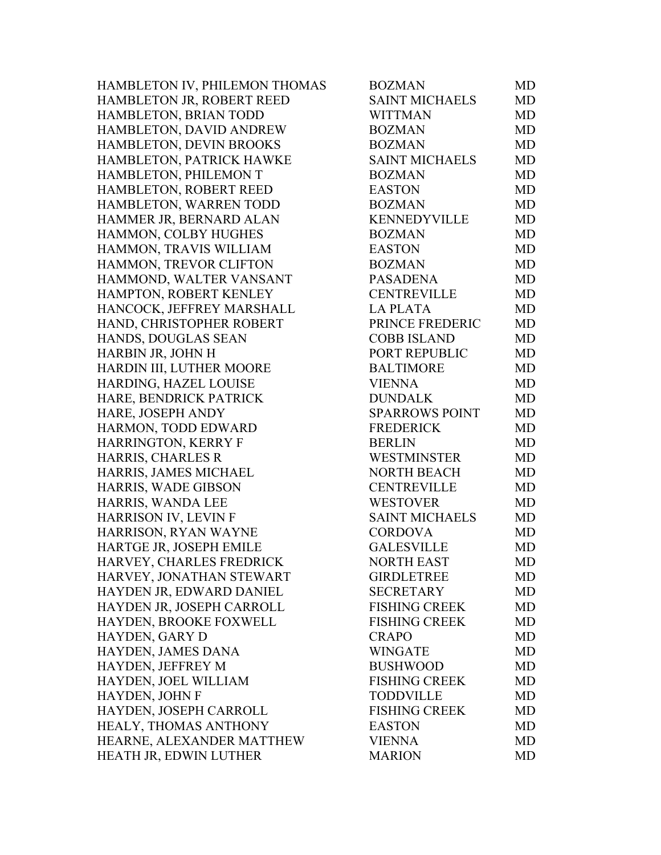| HAMBLETON IV, PHILEMON THOMAS | <b>BOZMAN</b>         | MD        |
|-------------------------------|-----------------------|-----------|
| HAMBLETON JR, ROBERT REED     | <b>SAINT MICHAELS</b> | MD        |
| HAMBLETON, BRIAN TODD         | <b>WITTMAN</b>        | MD        |
| HAMBLETON, DAVID ANDREW       | <b>BOZMAN</b>         | MD        |
| HAMBLETON, DEVIN BROOKS       | <b>BOZMAN</b>         | MD        |
| HAMBLETON, PATRICK HAWKE      | <b>SAINT MICHAELS</b> | MD        |
| HAMBLETON, PHILEMON T         | <b>BOZMAN</b>         | MD        |
| HAMBLETON, ROBERT REED        | <b>EASTON</b>         | MD        |
| HAMBLETON, WARREN TODD        | <b>BOZMAN</b>         | <b>MD</b> |
| HAMMER JR, BERNARD ALAN       | <b>KENNEDYVILLE</b>   | MD        |
| HAMMON, COLBY HUGHES          | <b>BOZMAN</b>         | MD        |
| HAMMON, TRAVIS WILLIAM        | <b>EASTON</b>         | MD        |
| HAMMON, TREVOR CLIFTON        | <b>BOZMAN</b>         | MD        |
| HAMMOND, WALTER VANSANT       | <b>PASADENA</b>       | MD        |
| HAMPTON, ROBERT KENLEY        | <b>CENTREVILLE</b>    | MD        |
| HANCOCK, JEFFREY MARSHALL     | <b>LA PLATA</b>       | <b>MD</b> |
| HAND, CHRISTOPHER ROBERT      | PRINCE FREDERIC       | MD        |
| HANDS, DOUGLAS SEAN           | <b>COBB ISLAND</b>    | MD        |
| HARBIN JR, JOHN H             | PORT REPUBLIC         | <b>MD</b> |
| HARDIN III, LUTHER MOORE      | <b>BALTIMORE</b>      | MD        |
| HARDING, HAZEL LOUISE         | <b>VIENNA</b>         | MD        |
| HARE, BENDRICK PATRICK        | <b>DUNDALK</b>        | MD        |
| HARE, JOSEPH ANDY             | <b>SPARROWS POINT</b> | MD        |
| HARMON, TODD EDWARD           | <b>FREDERICK</b>      | MD        |
| <b>HARRINGTON, KERRY F</b>    | <b>BERLIN</b>         | MD        |
| HARRIS, CHARLES R             | <b>WESTMINSTER</b>    | MD        |
| HARRIS, JAMES MICHAEL         | <b>NORTH BEACH</b>    | MD        |
| HARRIS, WADE GIBSON           | <b>CENTREVILLE</b>    | MD        |
| HARRIS, WANDA LEE             | <b>WESTOVER</b>       | MD        |
| HARRISON IV, LEVIN F          | <b>SAINT MICHAELS</b> | MD        |
| HARRISON, RYAN WAYNE          | <b>CORDOVA</b>        | MD        |
| HARTGE JR, JOSEPH EMILE       | <b>GALESVILLE</b>     | MD        |
| HARVEY, CHARLES FREDRICK      | NORTH EAST            | MD        |
| HARVEY, JONATHAN STEWART      | <b>GIRDLETREE</b>     | MD        |
| HAYDEN JR, EDWARD DANIEL      | <b>SECRETARY</b>      | MD        |
| HAYDEN JR, JOSEPH CARROLL     | <b>FISHING CREEK</b>  | MD        |
| HAYDEN, BROOKE FOXWELL        | <b>FISHING CREEK</b>  | MD        |
| HAYDEN, GARY D                | <b>CRAPO</b>          | MD        |
| HAYDEN, JAMES DANA            | <b>WINGATE</b>        | MD        |
| HAYDEN, JEFFREY M             | <b>BUSHWOOD</b>       | MD        |
| HAYDEN, JOEL WILLIAM          | <b>FISHING CREEK</b>  | MD        |
| HAYDEN, JOHN F                | <b>TODDVILLE</b>      | MD        |
| HAYDEN, JOSEPH CARROLL        | <b>FISHING CREEK</b>  | MD        |
| HEALY, THOMAS ANTHONY         | <b>EASTON</b>         | MD        |
| HEARNE, ALEXANDER MATTHEW     | <b>VIENNA</b>         | MD        |
| HEATH JR, EDWIN LUTHER        | <b>MARION</b>         | MD        |
|                               |                       |           |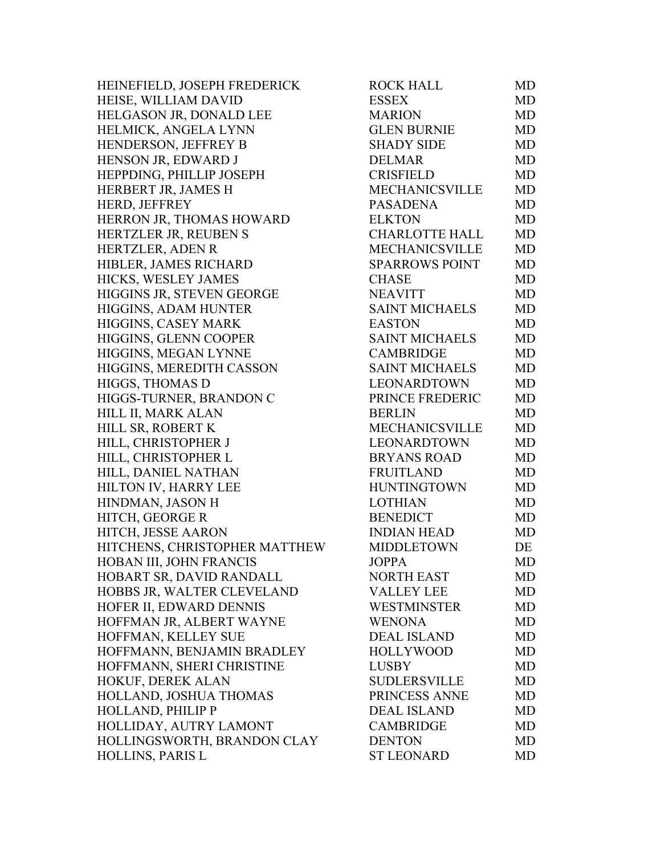| HEINEFIELD, JOSEPH FREDERICK  | <b>ROCK HALL</b>      | MD        |
|-------------------------------|-----------------------|-----------|
| HEISE, WILLIAM DAVID          | <b>ESSEX</b>          | MD        |
| HELGASON JR, DONALD LEE       | <b>MARION</b>         | <b>MD</b> |
| HELMICK, ANGELA LYNN          | <b>GLEN BURNIE</b>    | <b>MD</b> |
| HENDERSON, JEFFREY B          | <b>SHADY SIDE</b>     | <b>MD</b> |
| HENSON JR, EDWARD J           | <b>DELMAR</b>         | MD        |
| HEPPDING, PHILLIP JOSEPH      | <b>CRISFIELD</b>      | MD        |
| HERBERT JR, JAMES H           | <b>MECHANICSVILLE</b> | <b>MD</b> |
| HERD, JEFFREY                 | <b>PASADENA</b>       | MD        |
| HERRON JR, THOMAS HOWARD      | <b>ELKTON</b>         | MD        |
| HERTZLER JR, REUBEN S         | <b>CHARLOTTE HALL</b> | <b>MD</b> |
| HERTZLER, ADEN R              | <b>MECHANICSVILLE</b> | <b>MD</b> |
| HIBLER, JAMES RICHARD         | <b>SPARROWS POINT</b> | MD        |
| HICKS, WESLEY JAMES           | <b>CHASE</b>          | <b>MD</b> |
| HIGGINS JR, STEVEN GEORGE     | <b>NEAVITT</b>        | <b>MD</b> |
| HIGGINS, ADAM HUNTER          | <b>SAINT MICHAELS</b> | MD        |
| HIGGINS, CASEY MARK           | <b>EASTON</b>         | <b>MD</b> |
| HIGGINS, GLENN COOPER         | <b>SAINT MICHAELS</b> | <b>MD</b> |
| HIGGINS, MEGAN LYNNE          | <b>CAMBRIDGE</b>      | MD        |
| HIGGINS, MEREDITH CASSON      | <b>SAINT MICHAELS</b> | MD        |
| HIGGS, THOMAS D               | <b>LEONARDTOWN</b>    | <b>MD</b> |
| HIGGS-TURNER, BRANDON C       | PRINCE FREDERIC       | <b>MD</b> |
| HILL II, MARK ALAN            | <b>BERLIN</b>         | MD        |
| HILL SR, ROBERT K             | MECHANICSVILLE        | <b>MD</b> |
| HILL, CHRISTOPHER J           | LEONARDTOWN           | <b>MD</b> |
| HILL, CHRISTOPHER L           | <b>BRYANS ROAD</b>    | MD        |
| HILL, DANIEL NATHAN           | <b>FRUITLAND</b>      | <b>MD</b> |
| HILTON IV, HARRY LEE          | <b>HUNTINGTOWN</b>    | <b>MD</b> |
| HINDMAN, JASON H              | <b>LOTHIAN</b>        | MD        |
| HITCH, GEORGE R               | <b>BENEDICT</b>       | MD        |
| HITCH, JESSE AARON            | <b>INDIAN HEAD</b>    | <b>MD</b> |
| HITCHENS, CHRISTOPHER MATTHEW | <b>MIDDLETOWN</b>     | DE        |
| HOBAN III, JOHN FRANCIS       | <b>JOPPA</b>          | MD        |
| HOBART SR, DAVID RANDALL      | <b>NORTH EAST</b>     | MD        |
| HOBBS JR, WALTER CLEVELAND    | <b>VALLEY LEE</b>     | MD        |
| HOFER II, EDWARD DENNIS       | WESTMINSTER           | MD        |
| HOFFMAN JR, ALBERT WAYNE      | <b>WENONA</b>         | MD        |
| HOFFMAN, KELLEY SUE           | <b>DEAL ISLAND</b>    | MD        |
| HOFFMANN, BENJAMIN BRADLEY    | <b>HOLLYWOOD</b>      | <b>MD</b> |
| HOFFMANN, SHERI CHRISTINE     | LUSBY                 | <b>MD</b> |
| HOKUF, DEREK ALAN             | <b>SUDLERSVILLE</b>   | MD        |
| HOLLAND, JOSHUA THOMAS        | PRINCESS ANNE         | MD        |
| HOLLAND, PHILIP P             | <b>DEAL ISLAND</b>    | <b>MD</b> |
| HOLLIDAY, AUTRY LAMONT        | <b>CAMBRIDGE</b>      | MD        |
| HOLLINGSWORTH, BRANDON CLAY   | <b>DENTON</b>         | MD        |
| <b>HOLLINS, PARIS L</b>       | <b>ST LEONARD</b>     | <b>MD</b> |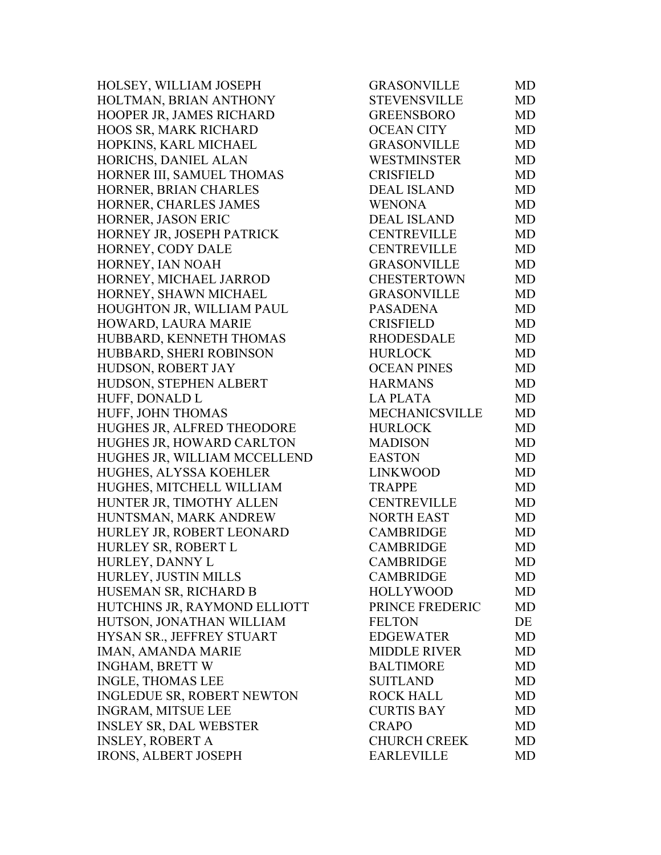HOLSEY, WILLIAM JOSEPH HOLTMAN, BRIAN ANTHONY HOOPER JR, JAMES RICHARD HOOS SR, MARK RICHARD HOPKINS, KARL MICHAEL HORICHS, DANIEL ALAN HORNER III, SAMUEL THOMAS HORNER, BRIAN CHARLES HORNER, CHARLES JAMES HORNER, JASON ERIC HORNEY JR, JOSEPH PATRICK HORNEY, CODY DALE HORNEY, IAN NOAH HORNEY, MICHAEL JARROD HORNEY, SHAWN MICHAEL HOUGHTON JR, WILLIAM PAUL HOWARD, LAURA MARIE HUBBARD, KENNETH THOMAS HUBBARD, SHERI ROBINSON HUDSON, ROBERT JAY HUDSON, STEPHEN ALBERT HUFF, DONALD L HUFF, JOHN THOMAS HUGHES JR, ALFRED THEODORE HUGHES JR, HOWARD CARLTON HUGHES JR, WILLIAM MCCELLEND HUGHES, ALYSSA KOEHLER HUGHES, MITCHELL WILLIAM HUNTER JR, TIMOTHY ALLEN HUNTSMAN, MARK ANDREW HURLEY JR, ROBERT LEONARD HURLEY SR, ROBERT L HURLEY, DANNY L HURLEY, JUSTIN MILLS HUSEMAN SR, RICHARD B HUTCHINS JR, RAYMOND ELLIOTT HUTSON, JONATHAN WILLIAM HYSAN SR., JEFFREY STUART IMAN, AMANDA MARIE INGHAM, BRETT W INGLE, THOMAS LEE INGLEDUE SR, ROBERT NEWTON INGRAM, MITSUE LEE INSLEY SR, DAL WEBSTER INSLEY, ROBERT A IRONS, ALBERT JOSEPH

| GRASONVILLE         | MD        |
|---------------------|-----------|
| STEVENSVILLE        | MD        |
| <b>GREENSBORO</b>   | <b>MD</b> |
| <b>OCEAN CITY</b>   | <b>MD</b> |
| <b>GRASONVILLE</b>  | <b>MD</b> |
| WESTMINSTER         | <b>MD</b> |
| <b>CRISFIELD</b>    | <b>MD</b> |
| <b>DEAL ISLAND</b>  | <b>MD</b> |
| <b>WENONA</b>       | <b>MD</b> |
| <b>DEAL ISLAND</b>  | <b>MD</b> |
| <b>CENTREVILLE</b>  | <b>MD</b> |
| <b>CENTREVILLE</b>  | <b>MD</b> |
| <b>GRASONVILLE</b>  | <b>MD</b> |
| CHESTERTOWN         | <b>MD</b> |
| GRASONVILLE         | <b>MD</b> |
| <b>PASADENA</b>     | <b>MD</b> |
| <b>CRISFIELD</b>    | <b>MD</b> |
| <b>RHODESDALE</b>   | <b>MD</b> |
| <b>HURLOCK</b>      | <b>MD</b> |
| <b>OCEAN PINES</b>  | <b>MD</b> |
| <b>HARMANS</b>      | <b>MD</b> |
| <b>LA PLATA</b>     | <b>MD</b> |
| MECHANICSVILLE      | <b>MD</b> |
| <b>HURLOCK</b>      | <b>MD</b> |
| <b>MADISON</b>      | <b>MD</b> |
| <b>EASTON</b>       | <b>MD</b> |
| <b>LINKWOOD</b>     | <b>MD</b> |
| <b>TRAPPE</b>       | <b>MD</b> |
| <b>CENTREVILLE</b>  | <b>MD</b> |
| <b>NORTH EAST</b>   | <b>MD</b> |
| <b>CAMBRIDGE</b>    | <b>MD</b> |
| <b>CAMBRIDGE</b>    | <b>MD</b> |
| <b>CAMBRIDGE</b>    | MD        |
| <b>CAMBRIDGE</b>    | <b>MD</b> |
| <b>HOLLYWOOD</b>    | <b>MD</b> |
| PRINCE FREDERIC     | <b>MD</b> |
| <b>FELTON</b>       | DE        |
| <b>EDGEWATER</b>    | <b>MD</b> |
| <b>MIDDLE RIVER</b> | <b>MD</b> |
| <b>BALTIMORE</b>    | <b>MD</b> |
| <b>SUITLAND</b>     | <b>MD</b> |
|                     |           |
| <b>ROCK HALL</b>    | <b>MD</b> |
| <b>CURTIS BAY</b>   | <b>MD</b> |
| <b>CRAPO</b>        | <b>MD</b> |
| <b>CHURCH CREEK</b> | <b>MD</b> |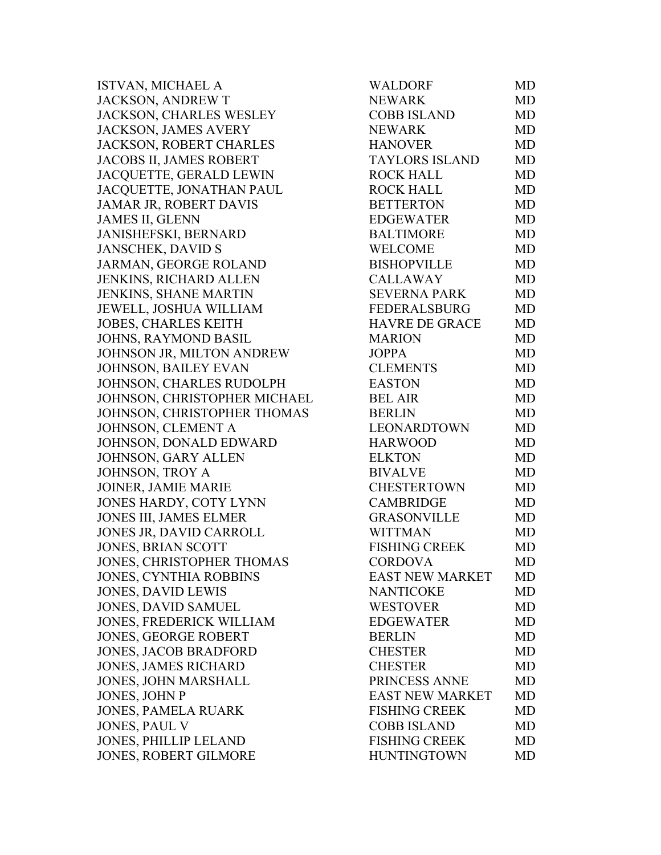ISTVAN, MICHAEL A JACKSON, ANDREW T JACKSON, CHARLES WESLEY JACKSON, JAMES AVERY JACKSON, ROBERT CHARLES JACOBS II, JAMES ROBERT JACQUETTE, GERALD LEWIN JACQUETTE, JONATHAN PAUL JAMAR JR, ROBERT DAVIS JAMES II, GLENN JANISHEFSKI, BERNARD JANSCHEK, DAVID S JARMAN, GEORGE ROLAND JENKINS, RICHARD ALLEN JENKINS, SHANE MARTIN JEWELL, JOSHUA WILLIAM JOBES, CHARLES KEITH JOHNS, RAYMOND BASIL JOHNSON JR, MILTON ANDREW JOHNSON, BAILEY EVAN JOHNSON, CHARLES RUDOLPH JOHNSON, CHRISTOPHER MICHAEL JOHNSON, CHRISTOPHER THOMAS JOHNSON, CLEMENT A JOHNSON, DONALD EDWARD JOHNSON, GARY ALLEN JOHNSON, TROY A JOINER, JAMIE MARIE JONES HARDY, COTY LYNN JONES III, JAMES ELMER JONES JR, DAVID CARROLL JONES, BRIAN SCOTT JONES, CHRISTOPHER THOMAS JONES, CYNTHIA ROBBINS JONES, DAVID LEWIS JONES, DAVID SAMUEL JONES, FREDERICK WILLIAM JONES, GEORGE ROBERT JONES, JACOB BRADFORD JONES, JAMES RICHARD JONES, JOHN MARSHALL JONES, JOHN P JONES, PAMELA RUARK JONES, PAUL V JONES, PHILLIP LELAND JONES, ROBERT GILMORE

| WALDORF                | <b>MD</b> |
|------------------------|-----------|
| <b>NEWARK</b>          | MD        |
| <b>COBB ISLAND</b>     | <b>MD</b> |
| <b>NEWARK</b>          | <b>MD</b> |
| <b>HANOVER</b>         | <b>MD</b> |
| TAYLORS ISLAND         | <b>MD</b> |
| <b>ROCK HALL</b>       | <b>MD</b> |
| <b>ROCK HALL</b>       | MD        |
| <b>BETTERTON</b>       | <b>MD</b> |
| <b>EDGEWATER</b>       | <b>MD</b> |
| <b>BALTIMORE</b>       | <b>MD</b> |
| <b>WELCOME</b>         | MD        |
| <b>BISHOPVILLE</b>     | <b>MD</b> |
| <b>CALLAWAY</b>        | <b>MD</b> |
| <b>SEVERNA PARK</b>    | <b>MD</b> |
| <b>FEDERALSBURG</b>    | <b>MD</b> |
| HAVRE DE GRACE         | <b>MD</b> |
| <b>MARION</b>          | MD        |
| <b>JOPPA</b>           | <b>MD</b> |
| <b>CLEMENTS</b>        | <b>MD</b> |
| <b>EASTON</b>          | <b>MD</b> |
| <b>BEL AIR</b>         | MD        |
| <b>BERLIN</b>          | MD        |
| <b>LEONARDTOWN</b>     | <b>MD</b> |
| <b>HARWOOD</b>         | <b>MD</b> |
| <b>ELKTON</b>          | <b>MD</b> |
| <b>BIVALVE</b>         | <b>MD</b> |
| <b>CHESTERTOWN</b>     | MD        |
| <b>CAMBRIDGE</b>       | <b>MD</b> |
| <b>GRASONVILLE</b>     | <b>MD</b> |
| <b>WITTMAN</b>         | <b>MD</b> |
| <b>FISHING CREEK</b>   | <b>MD</b> |
| <b>CORDOVA</b>         | MD        |
| <b>EAST NEW MARKET</b> | MD        |
| <b>NANTICOKE</b>       | <b>MD</b> |
| <b>WESTOVER</b>        | <b>MD</b> |
| <b>EDGEWATER</b>       | <b>MD</b> |
| <b>BERLIN</b>          | <b>MD</b> |
| <b>CHESTER</b>         | MD        |
| <b>CHESTER</b>         | <b>MD</b> |
| PRINCESS ANNE          | <b>MD</b> |
| <b>EAST NEW MARKET</b> | <b>MD</b> |
| <b>FISHING CREEK</b>   | <b>MD</b> |
| <b>COBB ISLAND</b>     | <b>MD</b> |
| <b>FISHING CREEK</b>   | <b>MD</b> |
| <b>HUNTINGTOWN</b>     | MD        |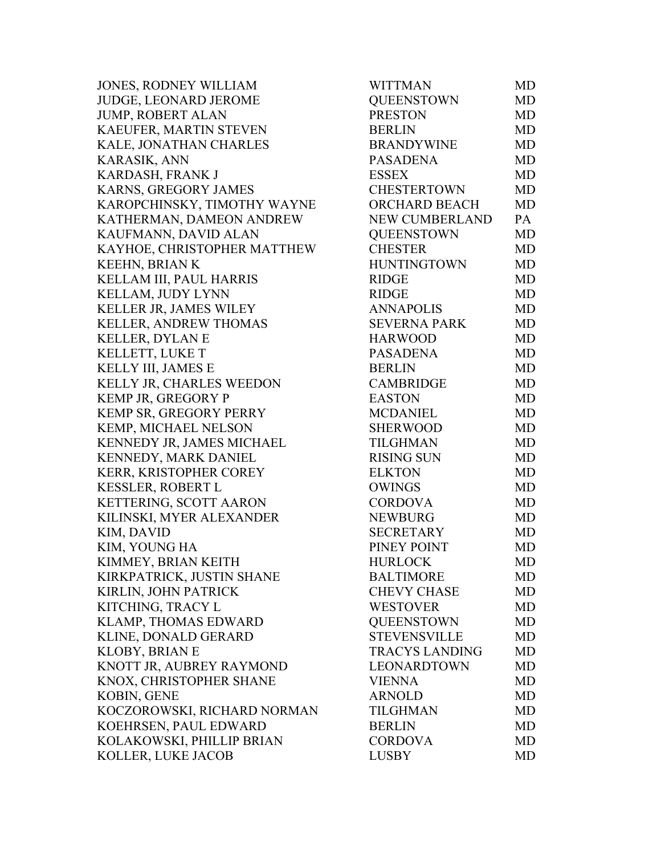JONES, RODNEY WILLIAM JUDGE, LEONARD JEROME JUMP, ROBERT ALAN KAEUFER, MARTIN STEVEN KALE, JONATHAN CHARLES KARASIK, ANN KARDASH, FRANK J KARNS, GREGORY JAMES KAROPCHINSKY, TIMOTHY WAYNE KATHERMAN, DAMEON ANDREW KAUFMANN, DAVID ALAN KAYHOE, CHRISTOPHER MATTHEW KEEHN, BRIAN K KELLAM III, PAUL HARRIS KELLAM, JUDY LYNN KELLER JR, JAMES WILEY KELLER, ANDREW THOMAS KELLER, DYLAN E KELLETT, LUKE T KELLY III, JAMES E KELLY JR, CHARLES WEEDON KEMP JR, GREGORY P KEMP SR, GREGORY PERRY KEMP, MICHAEL NELSON KENNEDY JR, JAMES MICHAEL KENNEDY, MARK DANIEL KERR, KRISTOPHER COREY KESSLER, ROBERT L KETTERING, SCOTT AARON KILINSKI, MYER ALEXANDER KIM, DAVID KIM, YOUNG HA KIMMEY, BRIAN KEITH KIRKPATRICK, JUSTIN SHANE KIRLIN, JOHN PATRICK KITCHING, TRACY L KLAMP, THOMAS EDWARD KLINE, DONALD GERARD KLOBY, BRIAN E KNOTT JR, AUBREY RAYMOND KNOX, CHRISTOPHER SHANE KOBIN, GENE KOCZOROWSKI, RICHARD NORMAN KOEHRSEN, PAUL EDWARD KOLAKOWSKI, PHILLIP BRIAN KOLLER, LUKE JACOB

| WITTMAN               | MD        |
|-----------------------|-----------|
| <b>QUEENSTOWN</b>     | MD        |
| <b>PRESTON</b>        | MD        |
| <b>BERLIN</b>         | <b>MD</b> |
| <b>BRANDYWINE</b>     | <b>MD</b> |
| <b>PASADENA</b>       | <b>MD</b> |
| <b>ESSEX</b>          | MD        |
| <b>CHESTERTOWN</b>    | <b>MD</b> |
| ORCHARD BEACH         | MD        |
| <b>NEW CUMBERLAND</b> | PA        |
| <b>QUEENSTOWN</b>     | <b>MD</b> |
| <b>CHESTER</b>        | MD        |
| <b>HUNTINGTOWN</b>    | <b>MD</b> |
| <b>RIDGE</b>          | <b>MD</b> |
| <b>RIDGE</b>          | <b>MD</b> |
| <b>ANNAPOLIS</b>      | MD        |
| <b>SEVERNA PARK</b>   | <b>MD</b> |
| <b>HARWOOD</b>        | <b>MD</b> |
| <b>PASADENA</b>       | <b>MD</b> |
| <b>BERLIN</b>         | <b>MD</b> |
| <b>CAMBRIDGE</b>      | <b>MD</b> |
| <b>EASTON</b>         | MD        |
| <b>MCDANIEL</b>       | MD        |
| <b>SHERWOOD</b>       | <b>MD</b> |
| <b>TILGHMAN</b>       | <b>MD</b> |
| <b>RISING SUN</b>     | MD        |
| <b>ELKTON</b>         | <b>MD</b> |
| <b>OWINGS</b>         | <b>MD</b> |
| <b>CORDOVA</b>        | <b>MD</b> |
| <b>NEWBURG</b>        | <b>MD</b> |
| <b>SECRETARY</b>      | MD        |
| PINEY POINT           | <b>MD</b> |
| <b>HURLOCK</b>        | MD        |
| <b>BALTIMORE</b>      | MD        |
| <b>CHEVY CHASE</b>    | MD        |
| <b>WESTOVER</b>       | MD        |
| <b>QUEENSTOWN</b>     | MD        |
| <b>STEVENSVILLE</b>   | <b>MD</b> |
| <b>TRACYS LANDING</b> | MD        |
| <b>LEONARDTOWN</b>    | MD        |
| <b>VIENNA</b>         | MD        |
| <b>ARNOLD</b>         | MD        |
| <b>TILGHMAN</b>       | <b>MD</b> |
| <b>BERLIN</b>         | MD        |
| <b>CORDOVA</b>        | MD        |
| <b>LUSBY</b>          | MD        |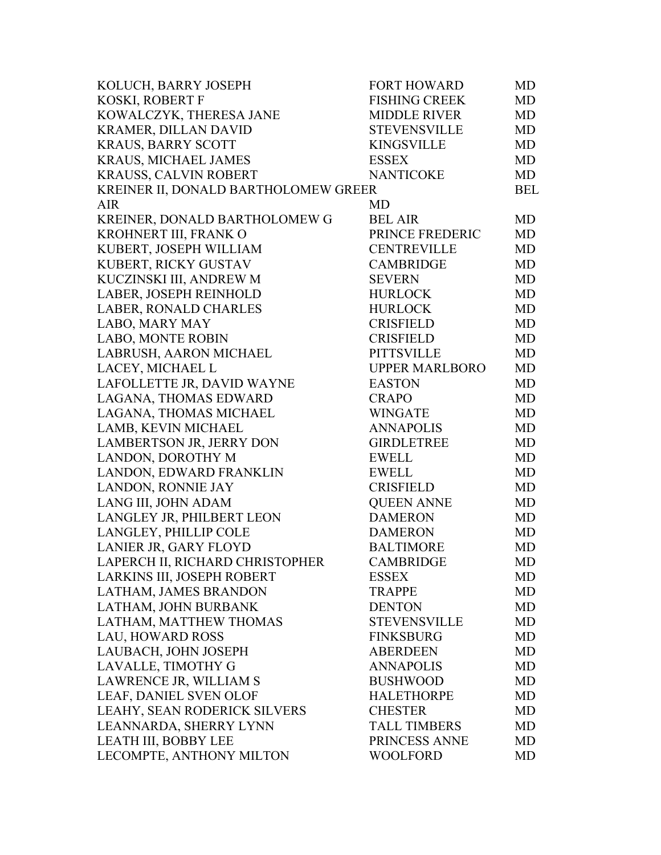| KOLUCH, BARRY JOSEPH                 | <b>FORT HOWARD</b>    | MD         |
|--------------------------------------|-----------------------|------------|
| KOSKI, ROBERT F                      | <b>FISHING CREEK</b>  | MD         |
| KOWALCZYK, THERESA JANE              | <b>MIDDLE RIVER</b>   | MD         |
| KRAMER, DILLAN DAVID                 | <b>STEVENSVILLE</b>   | <b>MD</b>  |
| <b>KRAUS, BARRY SCOTT</b>            | <b>KINGSVILLE</b>     | MD         |
| KRAUS, MICHAEL JAMES                 | <b>ESSEX</b>          | MD         |
| KRAUSS, CALVIN ROBERT                | <b>NANTICOKE</b>      | MD         |
| KREINER II, DONALD BARTHOLOMEW GREER |                       | <b>BEL</b> |
| <b>AIR</b>                           | MD                    |            |
| KREINER, DONALD BARTHOLOMEW G        | <b>BEL AIR</b>        | MD         |
| KROHNERT III, FRANK O                | PRINCE FREDERIC       | MD         |
| KUBERT, JOSEPH WILLIAM               | <b>CENTREVILLE</b>    | MD         |
| KUBERT, RICKY GUSTAV                 | <b>CAMBRIDGE</b>      | MD         |
| KUCZINSKI III, ANDREW M              | <b>SEVERN</b>         | MD         |
| LABER, JOSEPH REINHOLD               | <b>HURLOCK</b>        | MD         |
| LABER, RONALD CHARLES                | <b>HURLOCK</b>        | MD         |
| LABO, MARY MAY                       | <b>CRISFIELD</b>      | MD         |
| <b>LABO, MONTE ROBIN</b>             | <b>CRISFIELD</b>      | MD         |
| LABRUSH, AARON MICHAEL               | <b>PITTSVILLE</b>     | MD         |
| LACEY, MICHAEL L                     | <b>UPPER MARLBORO</b> | MD         |
| LAFOLLETTE JR, DAVID WAYNE           | <b>EASTON</b>         | MD         |
| LAGANA, THOMAS EDWARD                | <b>CRAPO</b>          | MD         |
| LAGANA, THOMAS MICHAEL               | <b>WINGATE</b>        | MD         |
| LAMB, KEVIN MICHAEL                  | <b>ANNAPOLIS</b>      | MD         |
| LAMBERTSON JR, JERRY DON             | <b>GIRDLETREE</b>     | MD         |
| LANDON, DOROTHY M                    | <b>EWELL</b>          | MD         |
| LANDON, EDWARD FRANKLIN              | <b>EWELL</b>          | MD         |
| LANDON, RONNIE JAY                   | <b>CRISFIELD</b>      | MD         |
| LANG III, JOHN ADAM                  | <b>QUEEN ANNE</b>     | MD         |
| LANGLEY JR, PHILBERT LEON            | <b>DAMERON</b>        | MD         |
| LANGLEY, PHILLIP COLE                | <b>DAMERON</b>        | MD         |
| LANIER JR, GARY FLOYD                | <b>BALTIMORE</b>      | MD         |
| LAPERCH II, RICHARD CHRISTOPHER      | <b>CAMBRIDGE</b>      | MD         |
| LARKINS III, JOSEPH ROBERT           | <b>ESSEX</b>          | MD         |
| LATHAM, JAMES BRANDON                | <b>TRAPPE</b>         | MD         |
| LATHAM, JOHN BURBANK                 | <b>DENTON</b>         | <b>MD</b>  |
| LATHAM, MATTHEW THOMAS               | <b>STEVENSVILLE</b>   | <b>MD</b>  |
| <b>LAU, HOWARD ROSS</b>              | <b>FINKSBURG</b>      | MD         |
| LAUBACH, JOHN JOSEPH                 | <b>ABERDEEN</b>       | MD         |
| LAVALLE, TIMOTHY G                   | <b>ANNAPOLIS</b>      | <b>MD</b>  |
| LAWRENCE JR, WILLIAM S               | <b>BUSHWOOD</b>       | <b>MD</b>  |
| LEAF, DANIEL SVEN OLOF               | <b>HALETHORPE</b>     | MD         |
| LEAHY, SEAN RODERICK SILVERS         | <b>CHESTER</b>        | MD         |
| LEANNARDA, SHERRY LYNN               | <b>TALL TIMBERS</b>   | MD         |
| LEATH III, BOBBY LEE                 | PRINCESS ANNE         | MD         |
| LECOMPTE, ANTHONY MILTON             | <b>WOOLFORD</b>       | MD         |
|                                      |                       |            |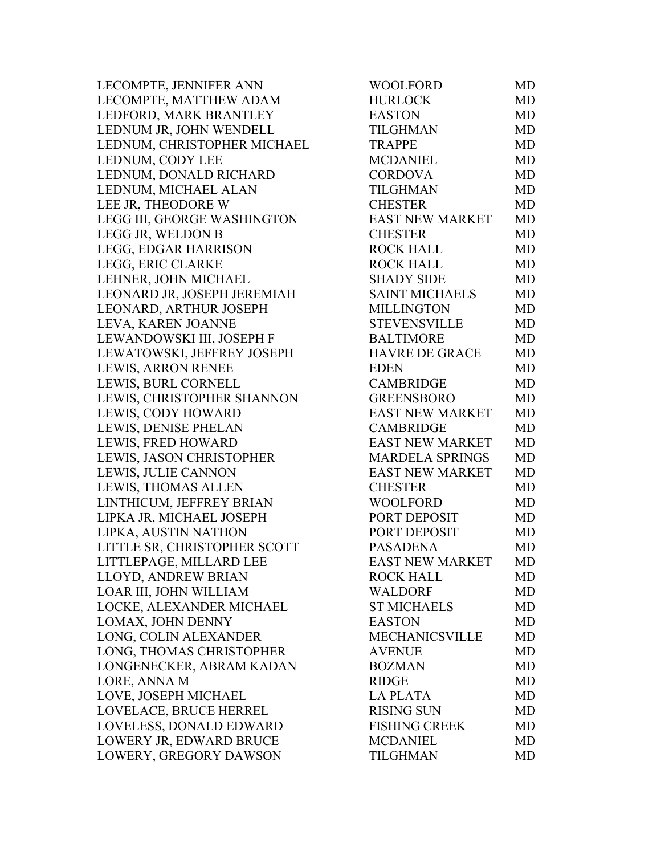| LECOMPTE, JENNIFER ANN       | WOOLFORD               | MD        |
|------------------------------|------------------------|-----------|
| LECOMPTE, MATTHEW ADAM       | <b>HURLOCK</b>         | <b>MD</b> |
| LEDFORD, MARK BRANTLEY       | <b>EASTON</b>          | <b>MD</b> |
| LEDNUM JR, JOHN WENDELL      | <b>TILGHMAN</b>        | MD        |
| LEDNUM, CHRISTOPHER MICHAEL  | <b>TRAPPE</b>          | <b>MD</b> |
| LEDNUM, CODY LEE             | <b>MCDANIEL</b>        | <b>MD</b> |
| LEDNUM, DONALD RICHARD       | <b>CORDOVA</b>         | <b>MD</b> |
| LEDNUM, MICHAEL ALAN         | <b>TILGHMAN</b>        | <b>MD</b> |
| LEE JR, THEODORE W           | <b>CHESTER</b>         | MD        |
| LEGG III, GEORGE WASHINGTON  | <b>EAST NEW MARKET</b> | <b>MD</b> |
| LEGG JR, WELDON B            | <b>CHESTER</b>         | MD        |
| LEGG, EDGAR HARRISON         | <b>ROCK HALL</b>       | MD        |
| LEGG, ERIC CLARKE            | <b>ROCK HALL</b>       | <b>MD</b> |
| LEHNER, JOHN MICHAEL         | <b>SHADY SIDE</b>      | <b>MD</b> |
| LEONARD JR, JOSEPH JEREMIAH  | <b>SAINT MICHAELS</b>  | <b>MD</b> |
| LEONARD, ARTHUR JOSEPH       | <b>MILLINGTON</b>      | <b>MD</b> |
| LEVA, KAREN JOANNE           | <b>STEVENSVILLE</b>    | <b>MD</b> |
| LEWANDOWSKI III, JOSEPH F    | <b>BALTIMORE</b>       | <b>MD</b> |
| LEWATOWSKI, JEFFREY JOSEPH   | <b>HAVRE DE GRACE</b>  | <b>MD</b> |
| LEWIS, ARRON RENEE           | <b>EDEN</b>            | <b>MD</b> |
| LEWIS, BURL CORNELL          | <b>CAMBRIDGE</b>       | <b>MD</b> |
| LEWIS, CHRISTOPHER SHANNON   | <b>GREENSBORO</b>      | <b>MD</b> |
| LEWIS, CODY HOWARD           | <b>EAST NEW MARKET</b> | <b>MD</b> |
| LEWIS, DENISE PHELAN         | <b>CAMBRIDGE</b>       | <b>MD</b> |
| LEWIS, FRED HOWARD           | <b>EAST NEW MARKET</b> | <b>MD</b> |
| LEWIS, JASON CHRISTOPHER     | <b>MARDELA SPRINGS</b> | <b>MD</b> |
| LEWIS, JULIE CANNON          | <b>EAST NEW MARKET</b> | <b>MD</b> |
| LEWIS, THOMAS ALLEN          | <b>CHESTER</b>         | <b>MD</b> |
| LINTHICUM, JEFFREY BRIAN     | <b>WOOLFORD</b>        | MD        |
| LIPKA JR, MICHAEL JOSEPH     | PORT DEPOSIT           | <b>MD</b> |
| LIPKA, AUSTIN NATHON         | PORT DEPOSIT           | MD        |
| LITTLE SR, CHRISTOPHER SCOTT | <b>PASADENA</b>        | <b>MD</b> |
| LITTLEPAGE, MILLARD LEE      | <b>EAST NEW MARKET</b> | MD        |
| LLOYD, ANDREW BRIAN          | <b>ROCK HALL</b>       | <b>MD</b> |
| LOAR III, JOHN WILLIAM       | <b>WALDORF</b>         | <b>MD</b> |
| LOCKE, ALEXANDER MICHAEL     | <b>ST MICHAELS</b>     | <b>MD</b> |
| LOMAX, JOHN DENNY            | <b>EASTON</b>          | <b>MD</b> |
| LONG, COLIN ALEXANDER        | <b>MECHANICSVILLE</b>  | <b>MD</b> |
| LONG, THOMAS CHRISTOPHER     | <b>AVENUE</b>          | MD        |
| LONGENECKER, ABRAM KADAN     | <b>BOZMAN</b>          | <b>MD</b> |
| LORE, ANNA M                 | <b>RIDGE</b>           | MD        |
| LOVE, JOSEPH MICHAEL         | <b>LA PLATA</b>        | MD        |
| LOVELACE, BRUCE HERREL       | <b>RISING SUN</b>      | <b>MD</b> |
| LOVELESS, DONALD EDWARD      | <b>FISHING CREEK</b>   | <b>MD</b> |
| LOWERY JR, EDWARD BRUCE      | <b>MCDANIEL</b>        | <b>MD</b> |
| LOWERY, GREGORY DAWSON       | <b>TILGHMAN</b>        | <b>MD</b> |
|                              |                        |           |

| WOOLFORD               | MD        |
|------------------------|-----------|
| <b>HURLOCK</b>         | MD        |
| <b>EASTON</b>          | <b>MD</b> |
| <b>TILGHMAN</b>        | <b>MD</b> |
| <b>TRAPPE</b>          | <b>MD</b> |
| <b>MCDANIEL</b>        | <b>MD</b> |
| <b>CORDOVA</b>         | <b>MD</b> |
| <b>TILGHMAN</b>        | <b>MD</b> |
| <b>CHESTER</b>         | <b>MD</b> |
| <b>EAST NEW MARKET</b> | <b>MD</b> |
| <b>CHESTER</b>         | <b>MD</b> |
| <b>ROCK HALL</b>       | <b>MD</b> |
| <b>ROCK HALL</b>       | <b>MD</b> |
| <b>SHADY SIDE</b>      | <b>MD</b> |
| <b>SAINT MICHAELS</b>  | <b>MD</b> |
| <b>MILLINGTON</b>      | <b>MD</b> |
| <b>STEVENSVILLE</b>    | <b>MD</b> |
| <b>BALTIMORE</b>       | <b>MD</b> |
| <b>HAVRE DE GRACE</b>  | <b>MD</b> |
| <b>EDEN</b>            | <b>MD</b> |
| <b>CAMBRIDGE</b>       | <b>MD</b> |
| <b>GREENSBORO</b>      | <b>MD</b> |
| <b>EAST NEW MARKET</b> | <b>MD</b> |
| <b>CAMBRIDGE</b>       | MD        |
| <b>EAST NEW MARKET</b> | <b>MD</b> |
| <b>MARDELA SPRINGS</b> | <b>MD</b> |
| <b>EAST NEW MARKET</b> | <b>MD</b> |
| <b>CHESTER</b>         | <b>MD</b> |
| <b>WOOLFORD</b>        | <b>MD</b> |
| PORT DEPOSIT           | <b>MD</b> |
| PORT DEPOSIT           | <b>MD</b> |
| <b>PASADENA</b>        | <b>MD</b> |
| EAST NEW MARKET        | <b>MD</b> |
| <b>ROCK HALL</b>       | MD        |
| <b>WALDORF</b>         | MD        |
| <b>ST MICHAELS</b>     | MD        |
| <b>EASTON</b>          | <b>MD</b> |
| <b>MECHANICSVILLE</b>  | <b>MD</b> |
| <b>AVENUE</b>          | <b>MD</b> |
| <b>BOZMAN</b>          | <b>MD</b> |
| <b>RIDGE</b>           | MD        |
| <b>LA PLATA</b>        | <b>MD</b> |
| <b>RISING SUN</b>      | <b>MD</b> |
| <b>FISHING CREEK</b>   | MD        |
| <b>MCDANIEL</b>        | <b>MD</b> |
| <b>TILGHMAN</b>        | <b>MD</b> |
|                        |           |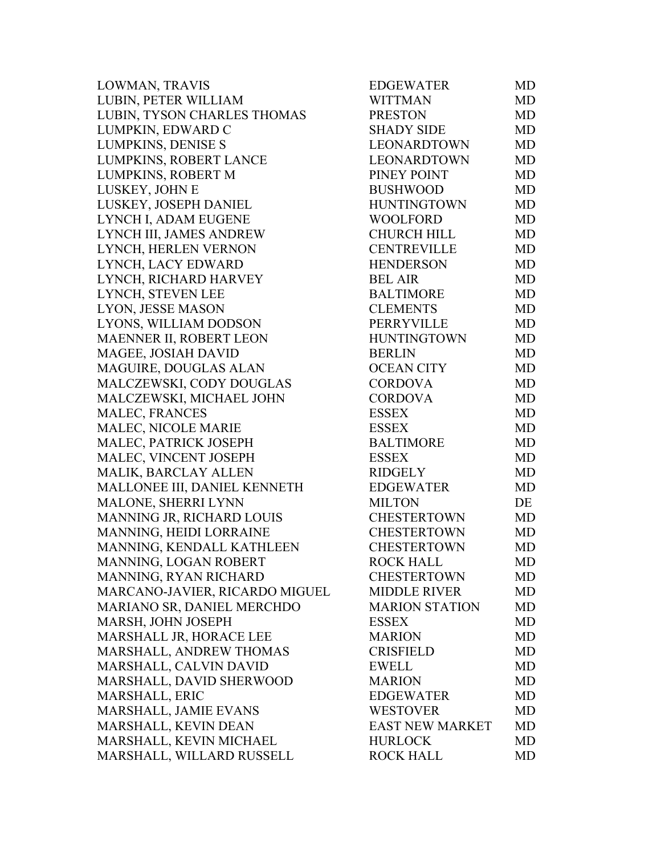| LOWMAN, TRAVIS                 | <b>EDGEWATER</b>       | MD        |
|--------------------------------|------------------------|-----------|
| LUBIN, PETER WILLIAM           | <b>WITTMAN</b>         | MD        |
| LUBIN, TYSON CHARLES THOMAS    | <b>PRESTON</b>         | MD        |
| LUMPKIN, EDWARD C              | <b>SHADY SIDE</b>      | MD        |
| LUMPKINS, DENISE S             | <b>LEONARDTOWN</b>     | <b>MD</b> |
| LUMPKINS, ROBERT LANCE         | <b>LEONARDTOWN</b>     | MD        |
| LUMPKINS, ROBERT M             | PINEY POINT            | MD        |
| LUSKEY, JOHN E                 | <b>BUSHWOOD</b>        | MD        |
| LUSKEY, JOSEPH DANIEL          | <b>HUNTINGTOWN</b>     | MD        |
| LYNCH I, ADAM EUGENE           | <b>WOOLFORD</b>        | MD        |
| LYNCH III, JAMES ANDREW        | <b>CHURCH HILL</b>     | MD        |
| LYNCH, HERLEN VERNON           | <b>CENTREVILLE</b>     | <b>MD</b> |
| LYNCH, LACY EDWARD             | <b>HENDERSON</b>       | MD        |
| LYNCH, RICHARD HARVEY          | <b>BEL AIR</b>         | MD        |
| LYNCH, STEVEN LEE              | <b>BALTIMORE</b>       | MD        |
| LYON, JESSE MASON              | <b>CLEMENTS</b>        | MD        |
| LYONS, WILLIAM DODSON          | PERRYVILLE             | MD        |
| MAENNER II, ROBERT LEON        | <b>HUNTINGTOWN</b>     | MD        |
| MAGEE, JOSIAH DAVID            | <b>BERLIN</b>          | MD        |
| MAGUIRE, DOUGLAS ALAN          | <b>OCEAN CITY</b>      | MD        |
| MALCZEWSKI, CODY DOUGLAS       | <b>CORDOVA</b>         | MD        |
| MALCZEWSKI, MICHAEL JOHN       | <b>CORDOVA</b>         | MD        |
| MALEC, FRANCES                 | <b>ESSEX</b>           | MD        |
| MALEC, NICOLE MARIE            | <b>ESSEX</b>           | MD        |
| MALEC, PATRICK JOSEPH          | <b>BALTIMORE</b>       | MD        |
| MALEC, VINCENT JOSEPH          | <b>ESSEX</b>           | MD        |
| MALIK, BARCLAY ALLEN           | <b>RIDGELY</b>         | MD        |
| MALLONEE III, DANIEL KENNETH   | <b>EDGEWATER</b>       | MD        |
| MALONE, SHERRI LYNN            | <b>MILTON</b>          | DE        |
| MANNING JR, RICHARD LOUIS      | <b>CHESTERTOWN</b>     | MD        |
| MANNING, HEIDI LORRAINE        | <b>CHESTERTOWN</b>     | <b>MD</b> |
| MANNING, KENDALL KATHLEEN      | <b>CHESTERTOWN</b>     | MD        |
| MANNING, LOGAN ROBERT          | <b>ROCK HALL</b>       | MD        |
| MANNING, RYAN RICHARD          | <b>CHESTERTOWN</b>     | MD        |
| MARCANO-JAVIER, RICARDO MIGUEL | <b>MIDDLE RIVER</b>    | MD        |
| MARIANO SR, DANIEL MERCHDO     | <b>MARION STATION</b>  | MD        |
| MARSH, JOHN JOSEPH             | <b>ESSEX</b>           | MD        |
| MARSHALL JR, HORACE LEE        | <b>MARION</b>          | MD.       |
| MARSHALL, ANDREW THOMAS        | <b>CRISFIELD</b>       | MD        |
| MARSHALL, CALVIN DAVID         | <b>EWELL</b>           | MD        |
| MARSHALL, DAVID SHERWOOD       | <b>MARION</b>          | MD        |
| <b>MARSHALL, ERIC</b>          | <b>EDGEWATER</b>       | MD        |
| MARSHALL, JAMIE EVANS          | <b>WESTOVER</b>        | MD        |
| MARSHALL, KEVIN DEAN           | <b>EAST NEW MARKET</b> | MD        |
| MARSHALL, KEVIN MICHAEL        | <b>HURLOCK</b>         | MD        |
| MARSHALL, WILLARD RUSSELL      | <b>ROCK HALL</b>       | MD        |
|                                |                        |           |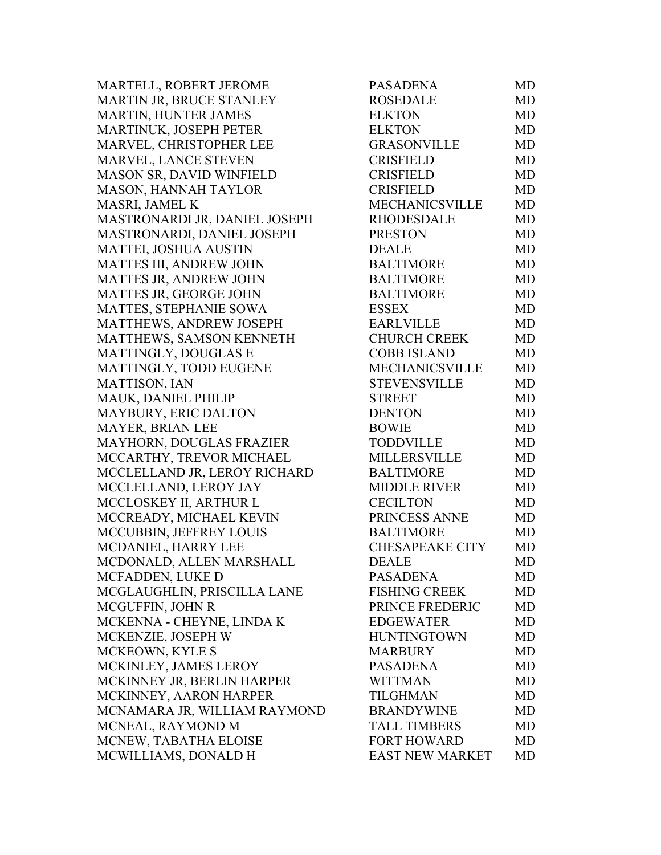MARTELL, ROBERT JEROME MARTIN JR, BRUCE STANLEY MARTIN, HUNTER JAMES MARTINUK, JOSEPH PETER MARVEL, CHRISTOPHER LEE MARVEL, LANCE STEVEN MASON SR, DAVID WINFIELD MASON, HANNAH TAYLOR MASRI, JAMEL K MASTRONARDI JR, DANIEL JOSEPH MASTRONARDI, DANIEL JOSEPH MATTEI, JOSHUA AUSTIN MATTES III, ANDREW JOHN MATTES JR, ANDREW JOHN MATTES JR, GEORGE JOHN MATTES, STEPHANIE SOWA MATTHEWS, ANDREW JOSEPH MATTHEWS, SAMSON KENNETH MATTINGLY, DOUGLAS E MATTINGLY, TODD EUGENE MATTISON, IAN MAUK, DANIEL PHILIP MAYBURY, ERIC DALTON MAYER, BRIAN LEE MAYHORN, DOUGLAS FRAZIER MCCARTHY, TREVOR MICHAEL MCCLELLAND JR, LEROY RICHARD MCCLELLAND, LEROY JAY MCCLOSKEY II, ARTHUR L MCCREADY, MICHAEL KEVIN MCCUBBIN, JEFFREY LOUIS MCDANIEL, HARRY LEE MCDONALD, ALLEN MARSHALL MCFADDEN, LUKE D MCGLAUGHLIN, PRISCILLA LANE MCGUFFIN, JOHN R MCKENNA - CHEYNE, LINDA K MCKENZIE, JOSEPH W MCKEOWN, KYLE S MCKINLEY, JAMES LEROY MCKINNEY JR, BERLIN HARPER MCKINNEY, AARON HARPER MCNAMARA JR, WILLIAM RAYMOND MCNEAL, RAYMOND M MCNEW, TABATHA ELOISE MCWILLIAMS, DONALD H

| <b>PASADENA</b>        | <b>MD</b> |
|------------------------|-----------|
| <b>ROSEDALE</b>        | <b>MD</b> |
| <b>ELKTON</b>          | <b>MD</b> |
| <b>ELKTON</b>          | <b>MD</b> |
| <b>GRASONVILLE</b>     | <b>MD</b> |
| <b>CRISFIELD</b>       | <b>MD</b> |
| <b>CRISFIELD</b>       | <b>MD</b> |
| <b>CRISFIELD</b>       | <b>MD</b> |
| MECHANICSVILLE         | <b>MD</b> |
| <b>RHODESDALE</b>      | <b>MD</b> |
| <b>PRESTON</b>         | <b>MD</b> |
| <b>DEALE</b>           | <b>MD</b> |
| <b>BALTIMORE</b>       | <b>MD</b> |
| <b>BALTIMORE</b>       | <b>MD</b> |
| <b>BALTIMORE</b>       | <b>MD</b> |
| <b>ESSEX</b>           | <b>MD</b> |
| <b>EARLVILLE</b>       | <b>MD</b> |
| <b>CHURCH CREEK</b>    | <b>MD</b> |
| <b>COBB ISLAND</b>     | <b>MD</b> |
| MECHANICSVILLE         | <b>MD</b> |
| <b>STEVENSVILLE</b>    | <b>MD</b> |
| <b>STREET</b>          | <b>MD</b> |
| <b>DENTON</b>          | <b>MD</b> |
| <b>BOWIE</b>           | <b>MD</b> |
| <b>TODDVILLE</b>       | <b>MD</b> |
| <b>MILLERSVILLE</b>    | <b>MD</b> |
| <b>BALTIMORE</b>       | <b>MD</b> |
| <b>MIDDLE RIVER</b>    | <b>MD</b> |
| <b>CECILTON</b>        | <b>MD</b> |
| PRINCESS ANNE          | <b>MD</b> |
| <b>BALTIMORE</b>       | <b>MD</b> |
| <b>CHESAPEAKE CITY</b> | <b>MD</b> |
| <b>DEALE</b>           | MD        |
| <b>PASADENA</b>        | MD        |
| <b>FISHING CREEK</b>   | <b>MD</b> |
| PRINCE FREDERIC        | MD        |
| <b>EDGEWATER</b>       | <b>MD</b> |
| <b>HUNTINGTOWN</b>     | <b>MD</b> |
| <b>MARBURY</b>         | <b>MD</b> |
| <b>PASADENA</b>        | <b>MD</b> |
| <b>WITTMAN</b>         | <b>MD</b> |
| <b>TILGHMAN</b>        | <b>MD</b> |
| <b>BRANDYWINE</b>      | <b>MD</b> |
| <b>TALL TIMBERS</b>    | MD        |
| <b>FORT HOWARD</b>     | MD        |
| <b>EAST NEW MARKET</b> | MD        |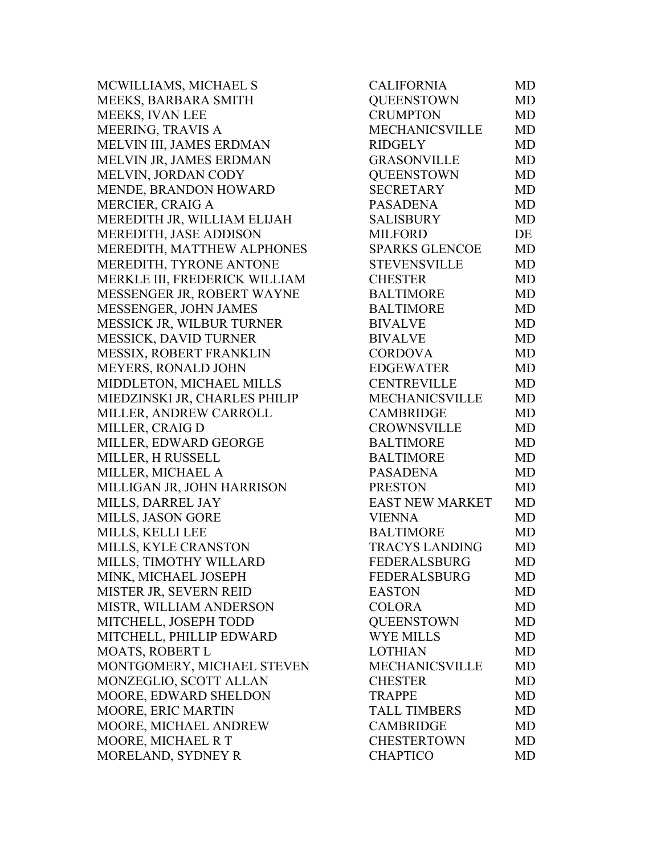MCWILLIAMS, MICHAEL S MEEKS, BARBARA SMITH MEEKS, IVAN LEE MEERING, TRAVIS A MELVIN III, JAMES ERDMAN MELVIN JR, JAMES ERDMAN MELVIN, JORDAN CODY MENDE, BRANDON HOWARD MERCIER, CRAIG A MEREDITH JR, WILLIAM ELIJAH MEREDITH, JASE ADDISON MEREDITH, MATTHEW ALPHONES MEREDITH, TYRONE ANTONE MERKLE III, FREDERICK WILLIAM MESSENGER JR, ROBERT WAYNE MESSENGER, JOHN JAMES MESSICK JR, WILBUR TURNER MESSICK, DAVID TURNER MESSIX, ROBERT FRANKLIN MEYERS, RONALD JOHN MIDDLETON, MICHAEL MILLS MIEDZINSKI JR, CHARLES PHILIP MILLER, ANDREW CARROLL MILLER, CRAIG D MILLER, EDWARD GEORGE MILLER, H RUSSELL MILLER, MICHAEL A MILLIGAN JR, JOHN HARRISON MILLS, DARREL JAY MILLS, JASON GORE MILLS, KELLI LEE BALTIMORE MD MILLS, KYLE CRANSTON MILLS, TIMOTHY WILLARD MINK, MICHAEL JOSEPH MISTER JR, SEVERN REID MISTR, WILLIAM ANDERSON MITCHELL, JOSEPH TODD MITCHELL, PHILLIP EDWARD MOATS, ROBERT L MONTGOMERY, MICHAEL STEVEN MONZEGLIO, SCOTT ALLAN MOORE, EDWARD SHELDON MOORE, ERIC MARTIN MOORE, MICHAEL ANDREW MOORE, MICHAEL R T MORELAND, SYDNEY R

| MD<br><b>MD</b><br><b>MD</b><br><b>MD</b><br><b>MD</b><br>MD<br><b>MD</b><br>MD<br><b>MD</b><br>DE<br><b>MD</b><br><b>MD</b> |
|------------------------------------------------------------------------------------------------------------------------------|
|                                                                                                                              |
|                                                                                                                              |
|                                                                                                                              |
|                                                                                                                              |
|                                                                                                                              |
|                                                                                                                              |
|                                                                                                                              |
|                                                                                                                              |
|                                                                                                                              |
|                                                                                                                              |
|                                                                                                                              |
|                                                                                                                              |
| <b>MD</b>                                                                                                                    |
| <b>MD</b>                                                                                                                    |
| <b>MD</b>                                                                                                                    |
| <b>MD</b>                                                                                                                    |
| <b>MD</b>                                                                                                                    |
| MD                                                                                                                           |
| <b>MD</b>                                                                                                                    |
| <b>MD</b>                                                                                                                    |
| MD                                                                                                                           |
| MD                                                                                                                           |
| <b>MD</b>                                                                                                                    |
| <b>MD</b>                                                                                                                    |
| MD                                                                                                                           |
| MD                                                                                                                           |
| <b>MD</b>                                                                                                                    |
| <b>MD</b>                                                                                                                    |
| <b>MD</b>                                                                                                                    |
| MD                                                                                                                           |
| <b>MD</b>                                                                                                                    |
|                                                                                                                              |
| MD                                                                                                                           |
| MD                                                                                                                           |
| MD                                                                                                                           |
| MD                                                                                                                           |
| <b>MD</b>                                                                                                                    |
| MD                                                                                                                           |
| <b>MD</b>                                                                                                                    |
| <b>MD</b>                                                                                                                    |
| <b>MD</b>                                                                                                                    |
| <b>MD</b>                                                                                                                    |
| <b>MD</b>                                                                                                                    |
| <b>MD</b>                                                                                                                    |
| MD                                                                                                                           |
|                                                                                                                              |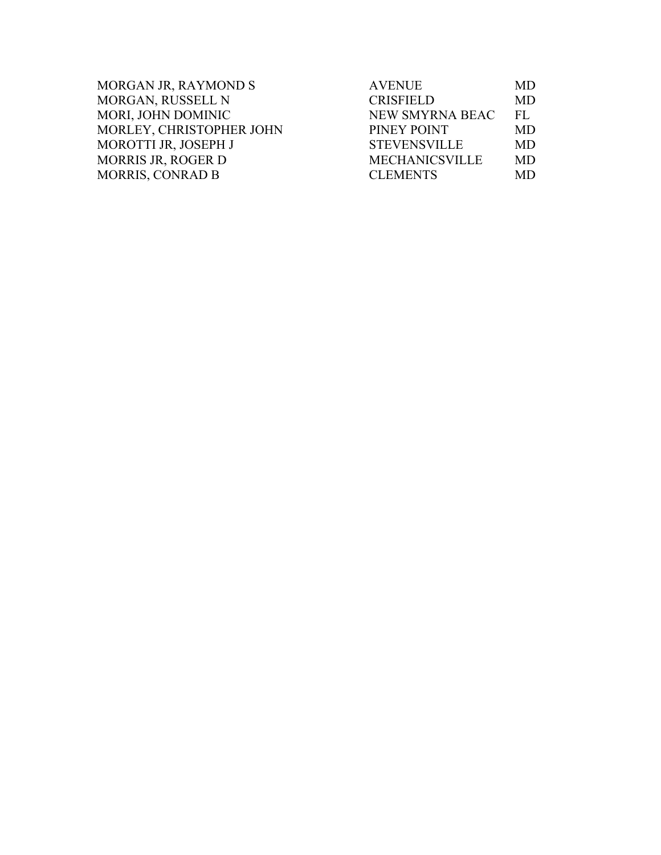| MORGAN JR, RAYMOND S      | <b>AVENUE</b>         | MD.       |
|---------------------------|-----------------------|-----------|
| MORGAN, RUSSELL N         | <b>CRISFIELD</b>      | <b>MD</b> |
| MORI, JOHN DOMINIC        | NEW SMYRNA BEAC       | FI.       |
| MORLEY, CHRISTOPHER JOHN  | PINEY POINT           | MD.       |
| MOROTTI JR, JOSEPH J      | <b>STEVENSVILLE</b>   | <b>MD</b> |
| <b>MORRIS JR, ROGER D</b> | <b>MECHANICSVILLE</b> | <b>MD</b> |
| <b>MORRIS, CONRAD B</b>   | <b>CLEMENTS</b>       | MD.       |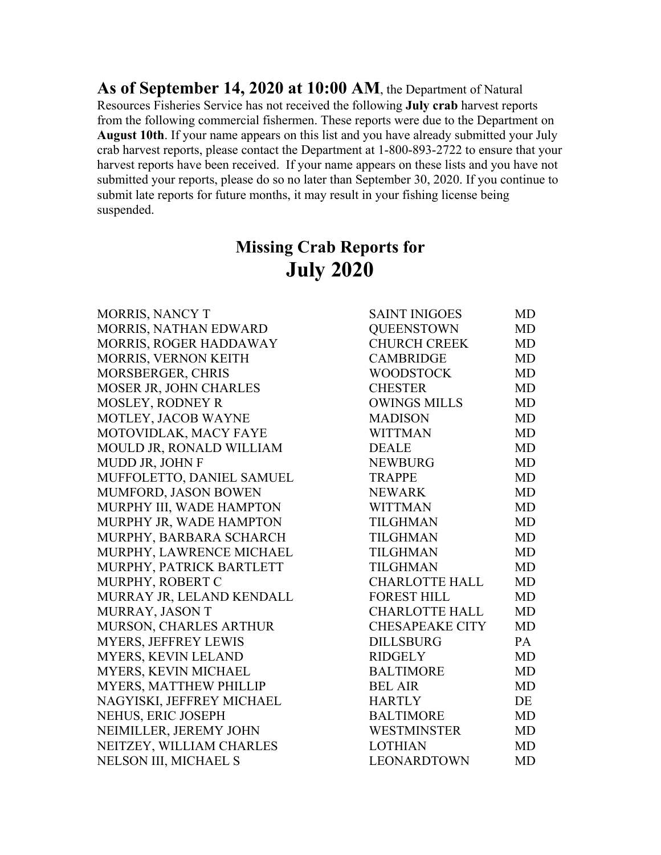**As of September 14, 2020 at 10:00 AM**, the Department of Natural Resources Fisheries Service has not received the following **July crab** harvest reports from the following commercial fishermen. These reports were due to the Department on **August 10th**. If your name appears on this list and you have already submitted your July crab harvest reports, please contact the Department at 1-800-893-2722 to ensure that your harvest reports have been received. If your name appears on these lists and you have not submitted your reports, please do so no later than September 30, 2020. If you continue to submit late reports for future months, it may result in your fishing license being suspended.

## **Missing Crab Reports for July 2020**

| <b>MORRIS, NANCY T</b>        | <b>SAINT INIGOES</b>   | MD        |
|-------------------------------|------------------------|-----------|
| MORRIS, NATHAN EDWARD         | <b>QUEENSTOWN</b>      | <b>MD</b> |
| MORRIS, ROGER HADDAWAY        | <b>CHURCH CREEK</b>    | <b>MD</b> |
| <b>MORRIS, VERNON KEITH</b>   | <b>CAMBRIDGE</b>       | <b>MD</b> |
| <b>MORSBERGER, CHRIS</b>      | <b>WOODSTOCK</b>       | <b>MD</b> |
| <b>MOSER JR, JOHN CHARLES</b> | <b>CHESTER</b>         | MD        |
| <b>MOSLEY, RODNEY R</b>       | <b>OWINGS MILLS</b>    | <b>MD</b> |
| MOTLEY, JACOB WAYNE           | <b>MADISON</b>         | <b>MD</b> |
| MOTOVIDLAK, MACY FAYE         | <b>WITTMAN</b>         | <b>MD</b> |
| MOULD JR, RONALD WILLIAM      | <b>DEALE</b>           | <b>MD</b> |
| MUDD JR, JOHN F               | <b>NEWBURG</b>         | <b>MD</b> |
| MUFFOLETTO, DANIEL SAMUEL     | <b>TRAPPE</b>          | <b>MD</b> |
| MUMFORD, JASON BOWEN          | <b>NEWARK</b>          | <b>MD</b> |
| MURPHY III, WADE HAMPTON      | <b>WITTMAN</b>         | <b>MD</b> |
| MURPHY JR, WADE HAMPTON       | TILGHMAN               | <b>MD</b> |
| MURPHY, BARBARA SCHARCH       | TILGHMAN               | <b>MD</b> |
| MURPHY, LAWRENCE MICHAEL      | <b>TILGHMAN</b>        | <b>MD</b> |
| MURPHY, PATRICK BARTLETT      | <b>TILGHMAN</b>        | <b>MD</b> |
| MURPHY, ROBERT C              | <b>CHARLOTTE HALL</b>  | <b>MD</b> |
| MURRAY JR, LELAND KENDALL     | <b>FOREST HILL</b>     | <b>MD</b> |
| MURRAY, JASON T               | <b>CHARLOTTE HALL</b>  | <b>MD</b> |
| MURSON, CHARLES ARTHUR        | <b>CHESAPEAKE CITY</b> | <b>MD</b> |
| <b>MYERS, JEFFREY LEWIS</b>   | <b>DILLSBURG</b>       | PA        |
| MYERS, KEVIN LELAND           | <b>RIDGELY</b>         | <b>MD</b> |
| MYERS, KEVIN MICHAEL          | <b>BALTIMORE</b>       | <b>MD</b> |
| <b>MYERS, MATTHEW PHILLIP</b> | <b>BEL AIR</b>         | <b>MD</b> |
| NAGYISKI, JEFFREY MICHAEL     | <b>HARTLY</b>          | DE        |
| NEHUS, ERIC JOSEPH            | <b>BALTIMORE</b>       | <b>MD</b> |
| NEIMILLER, JEREMY JOHN        | <b>WESTMINSTER</b>     | <b>MD</b> |
| NEITZEY, WILLIAM CHARLES      | <b>LOTHIAN</b>         | <b>MD</b> |
| NELSON III, MICHAEL S         | <b>LEONARDTOWN</b>     | MD        |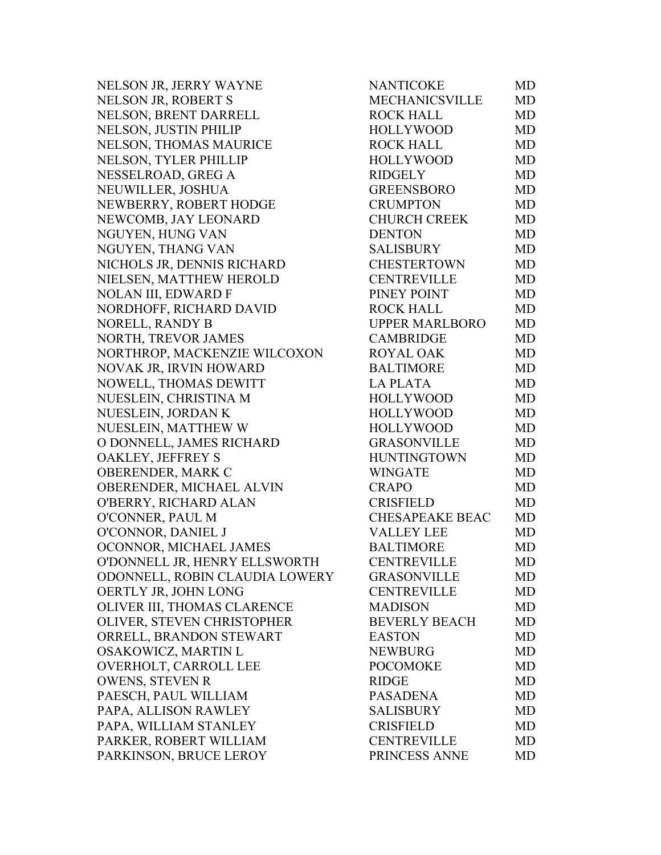NELSON JR, JERRY WAYNE NELSON JR, ROBERT S NELSON, BRENT DARRELL NELSON, JUSTIN PHILIP NELSON, THOMAS MAURICE NELSON, TYLER PHILLIP NESSELROAD, GREG A NEUWILLER, JOSHUA NEWBERRY, ROBERT HODGE NEWCOMB, JAY LEONARD NGUYEN, HUNG VAN NGUYEN, THANG VAN NICHOLS JR, DENNIS RICHARD NIELSEN, MATTHEW HEROLD NOLAN III, EDWARD F NORDHOFF, RICHARD DAVID NORELL, RANDY B NORTH, TREVOR JAMES NORTHROP, MACKENZIE WILCOXON NOVAK JR, IRVIN HOWARD NOWELL, THOMAS DEWITT NUESLEIN, CHRISTINA M NUESLEIN, JORDAN K NUESLEIN, MATTHEW W O DONNELL, JAMES RICHARD OAKLEY, JEFFREY S OBERENDER, MARK C OBERENDER, MICHAEL ALVIN O'BERRY, RICHARD ALAN O'CONNER, PAUL M O'CONNOR, DANIEL J OCONNOR, MICHAEL JAMES O'DONNELL JR, HENRY ELLSWORTH ODONNELL, ROBIN CLAUDIA LOWERY OERTLY JR, JOHN LONG OLIVER III, THOMAS CLARENCE OLIVER, STEVEN CHRISTOPHER ORRELL, BRANDON STEWART OSAKOWICZ, MARTIN L OVERHOLT, CARROLL LEE OWENS, STEVEN R PAESCH, PAUL WILLIAM PAPA, ALLISON RAWLEY PAPA, WILLIAM STANLEY PARKER, ROBERT WILLIAM PARKINSON, BRUCE LEROY

| NANTICOKE              | MD        |
|------------------------|-----------|
| <b>MECHANICSVILLE</b>  | <b>MD</b> |
| <b>ROCK HALL</b>       | MD        |
| <b>HOLLYWOOD</b>       | <b>MD</b> |
| <b>ROCK HALL</b>       | MD        |
| <b>HOLLYWOOD</b>       | <b>MD</b> |
| <b>RIDGELY</b>         | <b>MD</b> |
| <b>GREENSBORO</b>      | <b>MD</b> |
| <b>CRUMPTON</b>        | <b>MD</b> |
| <b>CHURCH CREEK</b>    | <b>MD</b> |
| <b>DENTON</b>          | <b>MD</b> |
| <b>SALISBURY</b>       | MD        |
| <b>CHESTERTOWN</b>     | MD        |
| <b>CENTREVILLE</b>     | <b>MD</b> |
| PINEY POINT            | <b>MD</b> |
| <b>ROCK HALL</b>       | <b>MD</b> |
| <b>UPPER MARLBORO</b>  | MD        |
| <b>CAMBRIDGE</b>       | <b>MD</b> |
| <b>ROYAL OAK</b>       | <b>MD</b> |
| <b>BALTIMORE</b>       | <b>MD</b> |
| <b>LA PLATA</b>        | <b>MD</b> |
| <b>HOLLYWOOD</b>       | <b>MD</b> |
| <b>HOLLYWOOD</b>       | MD        |
| <b>HOLLYWOOD</b>       | <b>MD</b> |
| <b>GRASONVILLE</b>     | <b>MD</b> |
| <b>HUNTINGTOWN</b>     | <b>MD</b> |
| <b>WINGATE</b>         | <b>MD</b> |
| <b>CRAPO</b>           | <b>MD</b> |
| <b>CRISFIELD</b>       | <b>MD</b> |
| <b>CHESAPEAKE BEAC</b> | <b>MD</b> |
| <b>VALLEY LEE</b>      | MD        |
| <b>BALTIMORE</b>       | <b>MD</b> |
| <b>CENTREVILLE</b>     | MD        |
| <b>GRASONVILLE</b>     | MD        |
| <b>CENTREVILLE</b>     | <b>MD</b> |
| <b>MADISON</b>         | <b>MD</b> |
| <b>BEVERLY BEACH</b>   | <b>MD</b> |
| <b>EASTON</b>          | <b>MD</b> |
| <b>NEWBURG</b>         | <b>MD</b> |
| <b>POCOMOKE</b>        | MD        |
| <b>RIDGE</b>           | <b>MD</b> |
| <b>PASADENA</b>        | <b>MD</b> |
| <b>SALISBURY</b>       | MD        |
| <b>CRISFIELD</b>       | <b>MD</b> |
| <b>CENTREVILLE</b>     | <b>MD</b> |
| PRINCESS ANNE          | MD        |
|                        |           |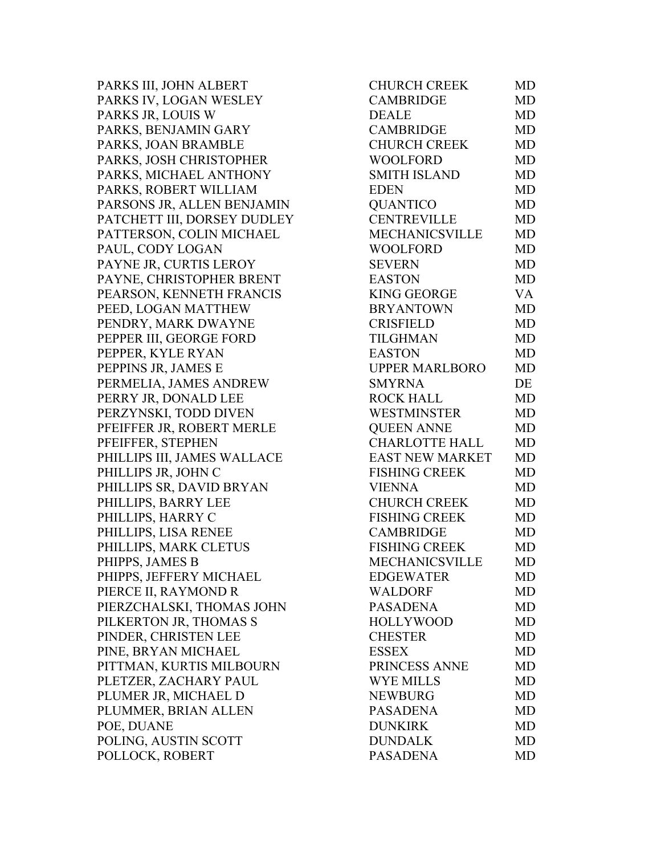PARKS III, JOHN ALBERT PARKS IV, LOGAN WESLEY PARKS JR, LOUIS W PARKS, BENJAMIN GARY PARKS, JOAN BRAMBLE PARKS, JOSH CHRISTOPHER PARKS, MICHAEL ANTHONY PARKS, ROBERT WILLIAM PARSONS JR, ALLEN BENJAMIN PATCHETT III, DORSEY DUDLEY PATTERSON, COLIN MICHAEL PAUL, CODY LOGAN PAYNE JR, CURTIS LEROY PAYNE, CHRISTOPHER BRENT PEARSON, KENNETH FRANCIS PEED, LOGAN MATTHEW PENDRY, MARK DWAYNE PEPPER III, GEORGE FORD PEPPER, KYLE RYAN PEPPINS JR, JAMES E PERMELIA, JAMES ANDREW PERRY JR, DONALD LEE PERZYNSKI, TODD DIVEN PFEIFFER JR, ROBERT MERLE PFEIFFER, STEPHEN PHILLIPS III, JAMES WALLACE PHILLIPS JR, JOHN C PHILLIPS SR, DAVID BRYAN PHILLIPS, BARRY LEE PHILLIPS, HARRY C PHILLIPS, LISA RENEE PHILLIPS, MARK CLETUS PHIPPS, JAMES B PHIPPS, JEFFERY MICHAEL PIERCE II, RAYMOND R PIERZCHALSKI, THOMAS JOHN PILKERTON JR, THOMAS S PINDER, CHRISTEN LEE PINE, BRYAN MICHAEL PITTMAN, KURTIS MILBOURN PLETZER, ZACHARY PAUL PLUMER JR, MICHAEL D PLUMMER, BRIAN ALLEN POE, DUANE POLING, AUSTIN SCOTT POLLOCK, ROBERT

| CHURCH CREEK          | MD        |
|-----------------------|-----------|
| <b>CAMBRIDGE</b>      | <b>MD</b> |
| <b>DEALE</b>          | MD        |
| <b>CAMBRIDGE</b>      | <b>MD</b> |
| <b>CHURCH CREEK</b>   | <b>MD</b> |
| <b>WOOLFORD</b>       | <b>MD</b> |
| <b>SMITH ISLAND</b>   | MD        |
| <b>EDEN</b>           | MD        |
| <b>QUANTICO</b>       | <b>MD</b> |
| <b>CENTREVILLE</b>    | <b>MD</b> |
| <b>MECHANICSVILLE</b> | <b>MD</b> |
| <b>WOOLFORD</b>       | <b>MD</b> |
| <b>SEVERN</b>         | MD        |
| <b>EASTON</b>         | <b>MD</b> |
| <b>KING GEORGE</b>    | <b>VA</b> |
| <b>BRYANTOWN</b>      | <b>MD</b> |
| <b>CRISFIELD</b>      | <b>MD</b> |
| <b>TILGHMAN</b>       | MD        |
| <b>EASTON</b>         | <b>MD</b> |
| <b>UPPER MARLBORO</b> | MD        |
| <b>SMYRNA</b>         | DE        |
| <b>ROCK HALL</b>      | <b>MD</b> |
| <b>WESTMINSTER</b>    | <b>MD</b> |
| <b>QUEEN ANNE</b>     | MD        |
| <b>CHARLOTTE HALL</b> | <b>MD</b> |
| EAST NEW MARKET       | <b>MD</b> |
| <b>FISHING CREEK</b>  | MD        |
| <b>VIENNA</b>         | <b>MD</b> |
| <b>CHURCH CREEK</b>   | <b>MD</b> |
| <b>FISHING CREEK</b>  | <b>MD</b> |
| <b>CAMBRIDGE</b>      | <b>MD</b> |
| <b>FISHING CREEK</b>  | MD        |
| <b>MECHANICSVILLE</b> | MD        |
| <b>EDGEWATER</b>      | MD        |
| <b>WALDORF</b>        | <b>MD</b> |
| <b>PASADENA</b>       | <b>MD</b> |
| <b>HOLLYWOOD</b>      | <b>MD</b> |
| <b>CHESTER</b>        | <b>MD</b> |
| <b>ESSEX</b>          | <b>MD</b> |
| PRINCESS ANNE         | <b>MD</b> |
| <b>WYE MILLS</b>      | <b>MD</b> |
| <b>NEWBURG</b>        | <b>MD</b> |
| <b>PASADENA</b>       | <b>MD</b> |
| <b>DUNKIRK</b>        | <b>MD</b> |
| <b>DUNDALK</b>        | <b>MD</b> |
| <b>PASADENA</b>       | <b>MD</b> |
|                       |           |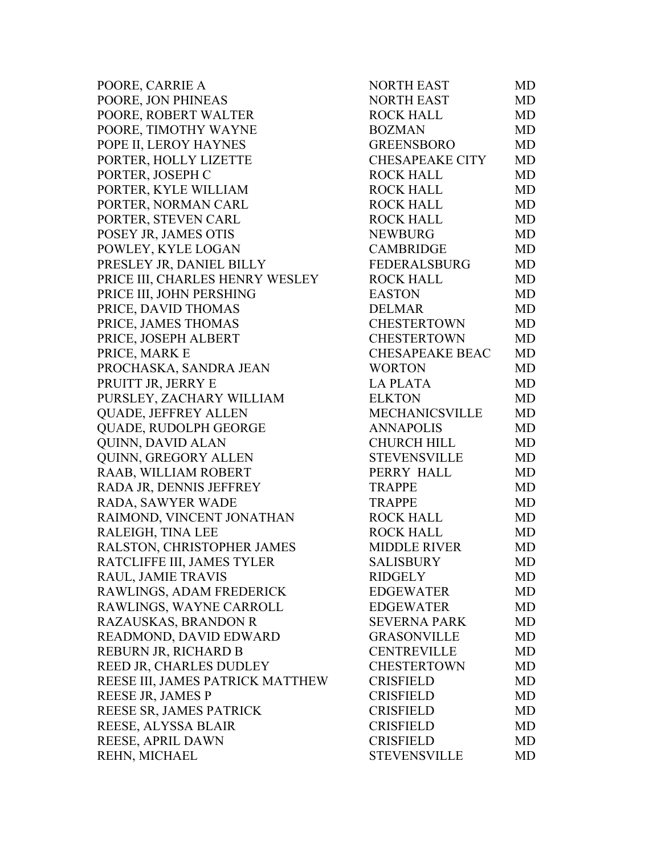POORE, CARRIE A POORE, JON PHINEAS POORE, ROBERT WALTER POORE, TIMOTHY WAYNE POPE II, LEROY HAYNES PORTER, HOLLY LIZETTE PORTER, JOSEPH C PORTER, KYLE WILLIAM PORTER, NORMAN CARL PORTER, STEVEN CARL POSEY JR, JAMES OTIS POWLEY, KYLE LOGAN PRESLEY JR, DANIEL BILLY PRICE III, CHARLES HENRY WESLEY PRICE III, JOHN PERSHING PRICE, DAVID THOMAS PRICE, JAMES THOMAS PRICE, JOSEPH ALBERT PRICE, MARK E PROCHASKA, SANDRA JEAN PRUITT JR, JERRY E PURSLEY, ZACHARY WILLIAM QUADE, JEFFREY ALLEN QUADE, RUDOLPH GEORGE QUINN, DAVID ALAN QUINN, GREGORY ALLEN RAAB, WILLIAM ROBERT RADA JR, DENNIS JEFFREY RADA, SAWYER WADE RAIMOND, VINCENT JONATHAN RALEIGH, TINA LEE RALSTON, CHRISTOPHER JAMES RATCLIFFE III, JAMES TYLER RAUL, JAMIE TRAVIS RAWLINGS, ADAM FREDERICK RAWLINGS, WAYNE CARROLL RAZAUSKAS, BRANDON R READMOND, DAVID EDWARD REBURN JR, RICHARD B REED JR, CHARLES DUDLEY REESE III, JAMES PATRICK MATTHEW REESE JR, JAMES P REESE SR, JAMES PATRICK REESE, ALYSSA BLAIR REESE, APRIL DAWN REHN, MICHAEL

| <b>NORTH EAST</b>      | <b>MD</b> |
|------------------------|-----------|
| <b>NORTH EAST</b>      | <b>MD</b> |
| <b>ROCK HALL</b>       | <b>MD</b> |
| <b>BOZMAN</b>          | <b>MD</b> |
| <b>GREENSBORO</b>      | <b>MD</b> |
| <b>CHESAPEAKE CITY</b> | <b>MD</b> |
| <b>ROCK HALL</b>       | <b>MD</b> |
| <b>ROCK HALL</b>       | <b>MD</b> |
| <b>ROCK HALL</b>       | <b>MD</b> |
| <b>ROCK HALL</b>       | <b>MD</b> |
| <b>NEWBURG</b>         | <b>MD</b> |
| <b>CAMBRIDGE</b>       | <b>MD</b> |
| FEDERALSBURG           | <b>MD</b> |
| <b>ROCK HALL</b>       | <b>MD</b> |
| <b>EASTON</b>          | <b>MD</b> |
| <b>DELMAR</b>          | <b>MD</b> |
| <b>CHESTERTOWN</b>     | <b>MD</b> |
| <b>CHESTERTOWN</b>     | <b>MD</b> |
| <b>CHESAPEAKE BEAC</b> | <b>MD</b> |
| <b>WORTON</b>          | <b>MD</b> |
| <b>LA PLATA</b>        | <b>MD</b> |
| <b>ELKTON</b>          | <b>MD</b> |
| MECHANICSVILLE         | MD        |
| <b>ANNAPOLIS</b>       | <b>MD</b> |
| <b>CHURCH HILL</b>     | <b>MD</b> |
| <b>STEVENSVILLE</b>    | <b>MD</b> |
| PERRY HALL             | <b>MD</b> |
| <b>TRAPPE</b>          | <b>MD</b> |
| <b>TRAPPE</b>          | <b>MD</b> |
| <b>ROCK HALL</b>       | <b>MD</b> |
| <b>ROCK HALL</b>       | <b>MD</b> |
| <b>MIDDLE RIVER</b>    | <b>MD</b> |
| <b>SALISBURY</b>       | MD        |
| <b>RIDGELY</b>         | MD        |
| <b>EDGEWATER</b>       | <b>MD</b> |
| <b>EDGEWATER</b>       | MD        |
| <b>SEVERNA PARK</b>    | <b>MD</b> |
| <b>GRASONVILLE</b>     | <b>MD</b> |
| <b>CENTREVILLE</b>     | <b>MD</b> |
| <b>CHESTERTOWN</b>     | <b>MD</b> |
| <b>CRISFIELD</b>       | <b>MD</b> |
| <b>CRISFIELD</b>       | <b>MD</b> |
| <b>CRISFIELD</b>       | MD        |
| <b>CRISFIELD</b>       | <b>MD</b> |
| <b>CRISFIELD</b>       | <b>MD</b> |
| <b>STEVENSVILLE</b>    | MD        |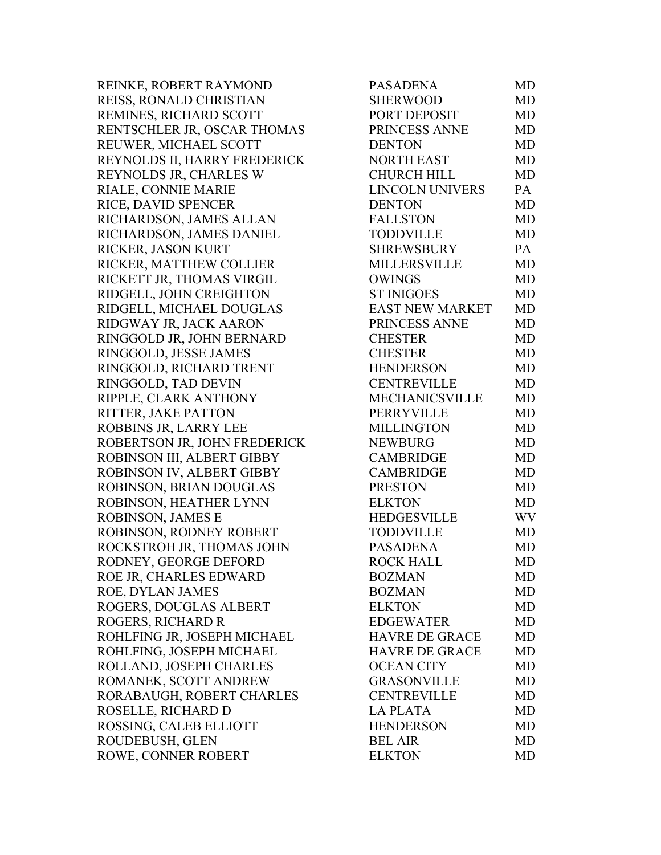REINKE, ROBERT RAYMOND REISS, RONALD CHRISTIAN REMINES, RICHARD SCOTT RENTSCHLER JR, OSCAR THOMAS REUWER, MICHAEL SCOTT REYNOLDS II, HARRY FREDERICK REYNOLDS JR, CHARLES W RIALE, CONNIE MARIE RICE, DAVID SPENCER RICHARDSON, JAMES ALLAN RICHARDSON, JAMES DANIEL RICKER, JASON KURT RICKER, MATTHEW COLLIER RICKETT JR, THOMAS VIRGIL RIDGELL, JOHN CREIGHTON RIDGELL, MICHAEL DOUGLAS RIDGWAY JR, JACK AARON RINGGOLD JR, JOHN BERNARD RINGGOLD, JESSE JAMES RINGGOLD, RICHARD TRENT RINGGOLD, TAD DEVIN RIPPLE, CLARK ANTHONY RITTER, JAKE PATTON ROBBINS JR, LARRY LEE ROBERTSON JR, JOHN FREDERICK ROBINSON III, ALBERT GIBBY ROBINSON IV, ALBERT GIBBY ROBINSON, BRIAN DOUGLAS ROBINSON, HEATHER LYNN ROBINSON, JAMES E ROBINSON, RODNEY ROBERT ROCKSTROH JR, THOMAS JOHN RODNEY, GEORGE DEFORD ROE JR, CHARLES EDWARD ROE, DYLAN JAMES ROGERS, DOUGLAS ALBERT ROGERS, RICHARD R ROHLFING JR, JOSEPH MICHAEL ROHLFING, JOSEPH MICHAEL ROLLAND, JOSEPH CHARLES ROMANEK, SCOTT ANDREW RORABAUGH, ROBERT CHARLES ROSELLE, RICHARD D ROSSING, CALEB ELLIOTT ROUDEBUSH, GLEN ROWE, CONNER ROBERT

| <b>PASADENA</b>        | <b>MD</b> |
|------------------------|-----------|
| <b>SHERWOOD</b>        | <b>MD</b> |
| PORT DEPOSIT           | <b>MD</b> |
| PRINCESS ANNE          | <b>MD</b> |
| <b>DENTON</b>          | <b>MD</b> |
| <b>NORTH EAST</b>      | <b>MD</b> |
| <b>CHURCH HILL</b>     | <b>MD</b> |
| <b>LINCOLN UNIVERS</b> | PA        |
| <b>DENTON</b>          | <b>MD</b> |
| <b>FALLSTON</b>        | <b>MD</b> |
| <b>TODDVILLE</b>       | <b>MD</b> |
| <b>SHREWSBURY</b>      | PA        |
| <b>MILLERSVILLE</b>    | <b>MD</b> |
| <b>OWINGS</b>          | <b>MD</b> |
| <b>ST INIGOES</b>      | <b>MD</b> |
| <b>EAST NEW MARKET</b> | <b>MD</b> |
| PRINCESS ANNE          | <b>MD</b> |
| <b>CHESTER</b>         | <b>MD</b> |
| <b>CHESTER</b>         | MD        |
| <b>HENDERSON</b>       | <b>MD</b> |
| <b>CENTREVILLE</b>     | <b>MD</b> |
| <b>MECHANICSVILLE</b>  | MD        |
| <b>PERRYVILLE</b>      | <b>MD</b> |
| <b>MILLINGTON</b>      | <b>MD</b> |
| <b>NEWBURG</b>         | <b>MD</b> |
| <b>CAMBRIDGE</b>       | <b>MD</b> |
| <b>CAMBRIDGE</b>       | <b>MD</b> |
| <b>PRESTON</b>         | <b>MD</b> |
| <b>ELKTON</b>          | <b>MD</b> |
| <b>HEDGESVILLE</b>     | WV        |
| <b>TODDVILLE</b>       | <b>MD</b> |
| <b>PASADENA</b>        | <b>MD</b> |
| <b>ROCK HALL</b>       | MD        |
| <b>BOZMAN</b>          | <b>MD</b> |
| <b>BOZMAN</b>          | <b>MD</b> |
| <b>ELKTON</b>          | <b>MD</b> |
| <b>EDGEWATER</b>       | MD        |
| <b>HAVRE DE GRACE</b>  | MD        |
| <b>HAVRE DE GRACE</b>  | MD        |
| <b>OCEAN CITY</b>      | <b>MD</b> |
| <b>GRASONVILLE</b>     | MD        |
| <b>CENTREVILLE</b>     | <b>MD</b> |
| <b>LA PLATA</b>        | <b>MD</b> |
| <b>HENDERSON</b>       | MD        |
| <b>BEL AIR</b>         | <b>MD</b> |
| <b>ELKTON</b>          | MD        |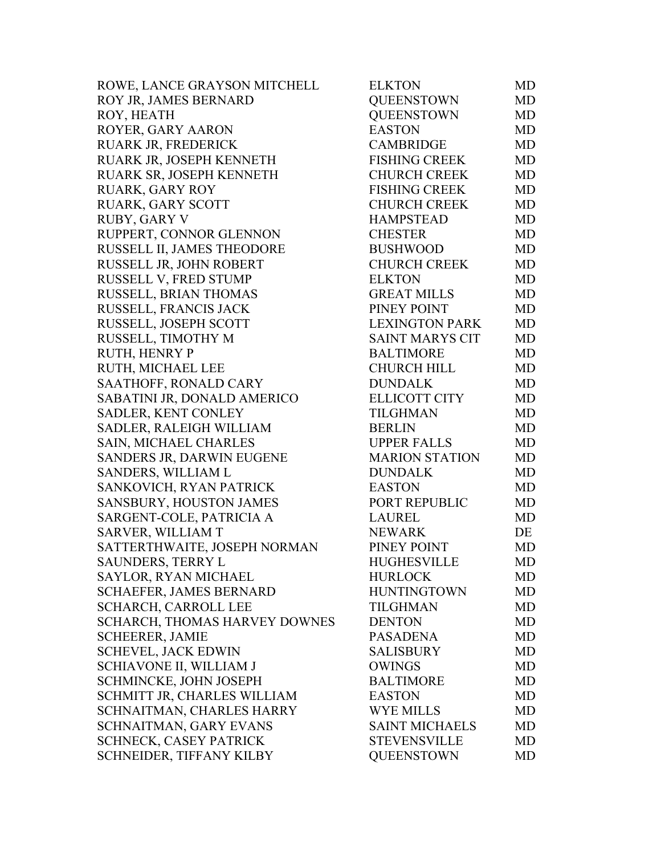| ROWE, LANCE GRAYSON MITCHELL   | <b>ELKTON</b>          | MD        |
|--------------------------------|------------------------|-----------|
| ROY JR, JAMES BERNARD          | <b>QUEENSTOWN</b>      | MD        |
| ROY, HEATH                     | <b>QUEENSTOWN</b>      | MD        |
| ROYER, GARY AARON              | <b>EASTON</b>          | <b>MD</b> |
| RUARK JR, FREDERICK            | <b>CAMBRIDGE</b>       | <b>MD</b> |
| RUARK JR, JOSEPH KENNETH       | <b>FISHING CREEK</b>   | <b>MD</b> |
| RUARK SR, JOSEPH KENNETH       | <b>CHURCH CREEK</b>    | <b>MD</b> |
| <b>RUARK, GARY ROY</b>         | <b>FISHING CREEK</b>   | MD        |
| RUARK, GARY SCOTT              | <b>CHURCH CREEK</b>    | MD        |
| <b>RUBY, GARY V</b>            | <b>HAMPSTEAD</b>       | <b>MD</b> |
| RUPPERT, CONNOR GLENNON        | <b>CHESTER</b>         | MD        |
| RUSSELL II, JAMES THEODORE     | <b>BUSHWOOD</b>        | MD        |
| RUSSELL JR, JOHN ROBERT        | <b>CHURCH CREEK</b>    | <b>MD</b> |
| RUSSELL V, FRED STUMP          | <b>ELKTON</b>          | <b>MD</b> |
| RUSSELL, BRIAN THOMAS          | <b>GREAT MILLS</b>     | MD        |
| RUSSELL, FRANCIS JACK          | PINEY POINT            | MD        |
| RUSSELL, JOSEPH SCOTT          | <b>LEXINGTON PARK</b>  | <b>MD</b> |
| RUSSELL, TIMOTHY M             | <b>SAINT MARYS CIT</b> | MD        |
| RUTH, HENRY P                  | <b>BALTIMORE</b>       | <b>MD</b> |
| RUTH, MICHAEL LEE              | <b>CHURCH HILL</b>     | <b>MD</b> |
| SAATHOFF, RONALD CARY          | <b>DUNDALK</b>         | MD        |
| SABATINI JR, DONALD AMERICO    | <b>ELLICOTT CITY</b>   | MD        |
| SADLER, KENT CONLEY            | <b>TILGHMAN</b>        | <b>MD</b> |
| SADLER, RALEIGH WILLIAM        | <b>BERLIN</b>          | MD        |
| SAIN, MICHAEL CHARLES          | <b>UPPER FALLS</b>     | <b>MD</b> |
| SANDERS JR, DARWIN EUGENE      | <b>MARION STATION</b>  | MD        |
| SANDERS, WILLIAM L             | <b>DUNDALK</b>         | <b>MD</b> |
| SANKOVICH, RYAN PATRICK        | <b>EASTON</b>          | MD        |
| SANSBURY, HOUSTON JAMES        | PORT REPUBLIC          | MD        |
| SARGENT-COLE, PATRICIA A       | <b>LAUREL</b>          | <b>MD</b> |
| <b>SARVER, WILLIAM T</b>       | <b>NEWARK</b>          | DE        |
| SATTERTHWAITE, JOSEPH NORMAN   | PINEY POINT            | MD        |
| <b>SAUNDERS, TERRY L</b>       | <b>HUGHESVILLE</b>     | MD        |
| <b>SAYLOR, RYAN MICHAEL</b>    | <b>HURLOCK</b>         | MD        |
| <b>SCHAEFER, JAMES BERNARD</b> | <b>HUNTINGTOWN</b>     | MD        |
| <b>SCHARCH, CARROLL LEE</b>    | <b>TILGHMAN</b>        | MD        |
| SCHARCH, THOMAS HARVEY DOWNES  | <b>DENTON</b>          | MD        |
| <b>SCHEERER, JAMIE</b>         | <b>PASADENA</b>        | MD        |
| <b>SCHEVEL, JACK EDWIN</b>     | <b>SALISBURY</b>       | MD        |
| SCHIAVONE II, WILLIAM J        | <b>OWINGS</b>          | <b>MD</b> |
| SCHMINCKE, JOHN JOSEPH         | <b>BALTIMORE</b>       | MD        |
| SCHMITT JR, CHARLES WILLIAM    | <b>EASTON</b>          | MD        |
| SCHNAITMAN, CHARLES HARRY      | <b>WYE MILLS</b>       | MD        |
| SCHNAITMAN, GARY EVANS         | <b>SAINT MICHAELS</b>  | MD        |
| <b>SCHNECK, CASEY PATRICK</b>  | <b>STEVENSVILLE</b>    | MD        |
| SCHNEIDER, TIFFANY KILBY       | <b>QUEENSTOWN</b>      | MD        |
|                                |                        |           |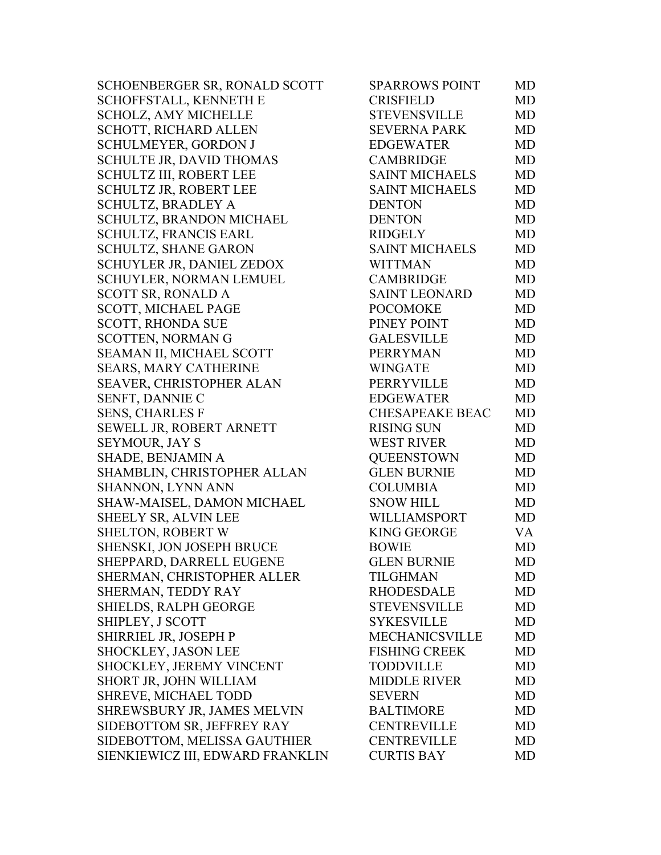| SCHOENBERGER SR, RONALD SCOTT    | <b>SPARROWS POINT</b>  | MD |
|----------------------------------|------------------------|----|
| SCHOFFSTALL, KENNETH E           | <b>CRISFIELD</b>       | MD |
| <b>SCHOLZ, AMY MICHELLE</b>      | <b>STEVENSVILLE</b>    | MD |
| SCHOTT, RICHARD ALLEN            | <b>SEVERNA PARK</b>    | MD |
| SCHULMEYER, GORDON J             | <b>EDGEWATER</b>       | MD |
| <b>SCHULTE JR, DAVID THOMAS</b>  | <b>CAMBRIDGE</b>       | MD |
| <b>SCHULTZ III, ROBERT LEE</b>   | <b>SAINT MICHAELS</b>  | MD |
| <b>SCHULTZ JR, ROBERT LEE</b>    | <b>SAINT MICHAELS</b>  | MD |
| <b>SCHULTZ, BRADLEY A</b>        | <b>DENTON</b>          | MD |
| SCHULTZ, BRANDON MICHAEL         | <b>DENTON</b>          | MD |
| SCHULTZ, FRANCIS EARL            | <b>RIDGELY</b>         | MD |
| <b>SCHULTZ, SHANE GARON</b>      | <b>SAINT MICHAELS</b>  | MD |
| SCHUYLER JR, DANIEL ZEDOX        | <b>WITTMAN</b>         | MD |
| SCHUYLER, NORMAN LEMUEL          | <b>CAMBRIDGE</b>       | MD |
| <b>SCOTT SR, RONALD A</b>        | <b>SAINT LEONARD</b>   | MD |
| <b>SCOTT, MICHAEL PAGE</b>       | <b>POCOMOKE</b>        | MD |
| <b>SCOTT, RHONDA SUE</b>         | PINEY POINT            | MD |
| <b>SCOTTEN, NORMAN G</b>         | <b>GALESVILLE</b>      | MD |
| SEAMAN II, MICHAEL SCOTT         | <b>PERRYMAN</b>        | MD |
| SEARS, MARY CATHERINE            | <b>WINGATE</b>         | MD |
| SEAVER, CHRISTOPHER ALAN         | PERRYVILLE             | MD |
| SENFT, DANNIE C                  | <b>EDGEWATER</b>       | MD |
| <b>SENS, CHARLES F</b>           | <b>CHESAPEAKE BEAC</b> | MD |
| SEWELL JR, ROBERT ARNETT         | <b>RISING SUN</b>      | MD |
| <b>SEYMOUR, JAY S</b>            | <b>WEST RIVER</b>      | MD |
| SHADE, BENJAMIN A                | <b>QUEENSTOWN</b>      | MD |
| SHAMBLIN, CHRISTOPHER ALLAN      | <b>GLEN BURNIE</b>     | MD |
| <b>SHANNON, LYNN ANN</b>         | <b>COLUMBIA</b>        | MD |
| SHAW-MAISEL, DAMON MICHAEL       | <b>SNOW HILL</b>       | MD |
| SHEELY SR, ALVIN LEE             | WILLIAMSPORT           | MD |
| <b>SHELTON, ROBERT W</b>         | <b>KING GEORGE</b>     | VA |
| SHENSKI, JON JOSEPH BRUCE        | <b>BOWIE</b>           | MD |
| SHEPPARD, DARRELL EUGENE         | <b>GLEN BURNIE</b>     | MD |
| SHERMAN, CHRISTOPHER ALLER       | <b>TILGHMAN</b>        | MD |
| SHERMAN, TEDDY RAY               | <b>RHODESDALE</b>      | MD |
| <b>SHIELDS, RALPH GEORGE</b>     | <b>STEVENSVILLE</b>    | MD |
| SHIPLEY, J SCOTT                 | <b>SYKESVILLE</b>      | MD |
| SHIRRIEL JR, JOSEPH P            | <b>MECHANICSVILLE</b>  | MD |
| SHOCKLEY, JASON LEE              | <b>FISHING CREEK</b>   | MD |
| SHOCKLEY, JEREMY VINCENT         | <b>TODDVILLE</b>       | MD |
| SHORT JR, JOHN WILLIAM           | <b>MIDDLE RIVER</b>    | MD |
| <b>SHREVE, MICHAEL TODD</b>      | <b>SEVERN</b>          | MD |
| SHREWSBURY JR, JAMES MELVIN      | <b>BALTIMORE</b>       | MD |
| SIDEBOTTOM SR, JEFFREY RAY       | <b>CENTREVILLE</b>     | MD |
| SIDEBOTTOM, MELISSA GAUTHIER     | <b>CENTREVILLE</b>     | MD |
| SIENKIEWICZ III, EDWARD FRANKLIN | <b>CURTIS BAY</b>      | MD |
|                                  |                        |    |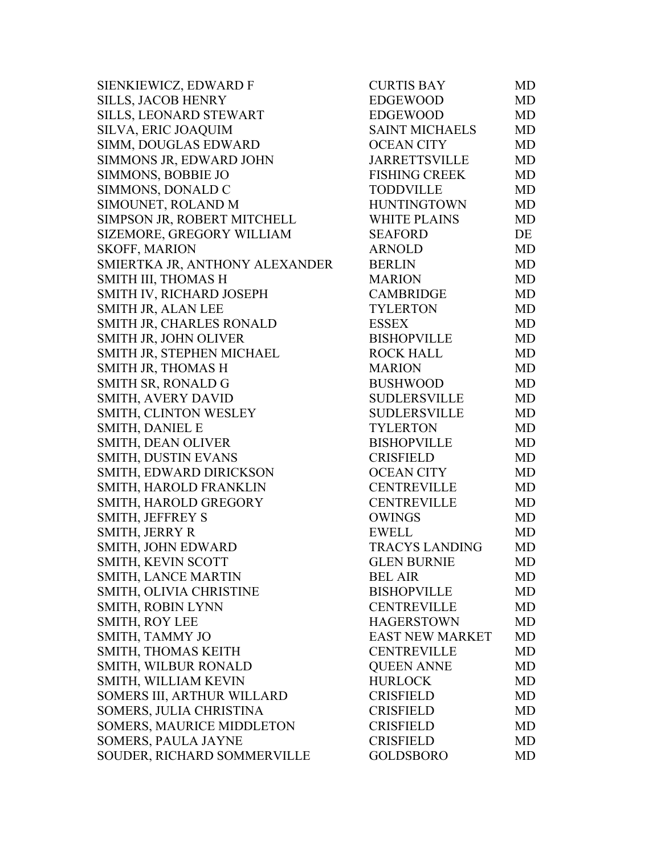SIENKIEWICZ, EDWARD F CURTIS BAY MD SILLS, JACOB HENRY SILLS, LEONARD STEWART SILVA, ERIC JOAQUIM SIMM, DOUGLAS EDWARD SIMMONS JR, EDWARD JOHN SIMMONS, BOBBIE JO SIMMONS, DONALD C SIMOUNET, ROLAND M SIMPSON JR, ROBERT MITCHELL SIZEMORE, GREGORY WILLIAM SKOFF, MARION SMIERTKA JR, ANTHONY ALEXANDER SMITH III, THOMAS H SMITH IV, RICHARD JOSEPH SMITH JR, ALAN LEE SMITH JR, CHARLES RONALD SMITH JR, JOHN OLIVER SMITH JR, STEPHEN MICHAEL SMITH JR, THOMAS H SMITH SR, RONALD G SMITH, AVERY DAVID SMITH, CLINTON WESLEY SMITH, DANIEL E SMITH, DEAN OLIVER SMITH, DUSTIN EVANS SMITH, EDWARD DIRICKSON SMITH, HAROLD FRANKLIN SMITH, HAROLD GREGORY SMITH, JEFFREY S SMITH, JERRY R SMITH, JOHN EDWARD SMITH, KEVIN SCOTT SMITH, LANCE MARTIN SMITH, OLIVIA CHRISTINE SMITH, ROBIN LYNN SMITH, ROY LEE SMITH, TAMMY JO SMITH, THOMAS KEITH SMITH, WILBUR RONALD SMITH, WILLIAM KEVIN SOMERS III, ARTHUR WILLARD SOMERS, JULIA CHRISTINA SOMERS, MAURICE MIDDLETON SOMERS, PAULA JAYNE SOUDER, RICHARD SOMMERVILLE

| CURTIS BAY             | MD        |
|------------------------|-----------|
| <b>EDGEWOOD</b>        | <b>MD</b> |
| <b>EDGEWOOD</b>        | <b>MD</b> |
| <b>SAINT MICHAELS</b>  | <b>MD</b> |
| <b>OCEAN CITY</b>      | <b>MD</b> |
| <b>JARRETTSVILLE</b>   | <b>MD</b> |
| <b>FISHING CREEK</b>   | <b>MD</b> |
| <b>TODDVILLE</b>       | <b>MD</b> |
| <b>HUNTINGTOWN</b>     | <b>MD</b> |
| <b>WHITE PLAINS</b>    | <b>MD</b> |
| <b>SEAFORD</b>         | DE        |
| <b>ARNOLD</b>          | <b>MD</b> |
| <b>BERLIN</b>          | <b>MD</b> |
| <b>MARION</b>          | <b>MD</b> |
| <b>CAMBRIDGE</b>       | <b>MD</b> |
| <b>TYLERTON</b>        | <b>MD</b> |
| <b>ESSEX</b>           | <b>MD</b> |
| <b>BISHOPVILLE</b>     | MD        |
| <b>ROCK HALL</b>       | <b>MD</b> |
| <b>MARION</b>          | <b>MD</b> |
| <b>BUSHWOOD</b>        | <b>MD</b> |
| <b>SUDLERSVILLE</b>    | <b>MD</b> |
| <b>SUDLERSVILLE</b>    | <b>MD</b> |
| <b>TYLERTON</b>        | <b>MD</b> |
| <b>BISHOPVILLE</b>     | <b>MD</b> |
| <b>CRISFIELD</b>       | <b>MD</b> |
| <b>OCEAN CITY</b>      | <b>MD</b> |
| <b>CENTREVILLE</b>     | <b>MD</b> |
| <b>CENTREVILLE</b>     | <b>MD</b> |
| <b>OWINGS</b>          | <b>MD</b> |
| <b>EWELL</b>           | <b>MD</b> |
| <b>TRACYS LANDING</b>  | <b>MD</b> |
| <b>GLEN BURNIE</b>     | <b>MD</b> |
| <b>BEL AIR</b>         | MD        |
| <b>BISHOPVILLE</b>     | <b>MD</b> |
| <b>CENTREVILLE</b>     | <b>MD</b> |
| <b>HAGERSTOWN</b>      | <b>MD</b> |
| <b>EAST NEW MARKET</b> | <b>MD</b> |
| <b>CENTREVILLE</b>     | <b>MD</b> |
| <b>OUEEN ANNE</b>      | <b>MD</b> |
| <b>HURLOCK</b>         | <b>MD</b> |
| <b>CRISFIELD</b>       | <b>MD</b> |
| <b>CRISFIELD</b>       | <b>MD</b> |
| <b>CRISFIELD</b>       | <b>MD</b> |
| <b>CRISFIELD</b>       | <b>MD</b> |
| <b>GOLDSBORO</b>       | <b>MD</b> |
|                        |           |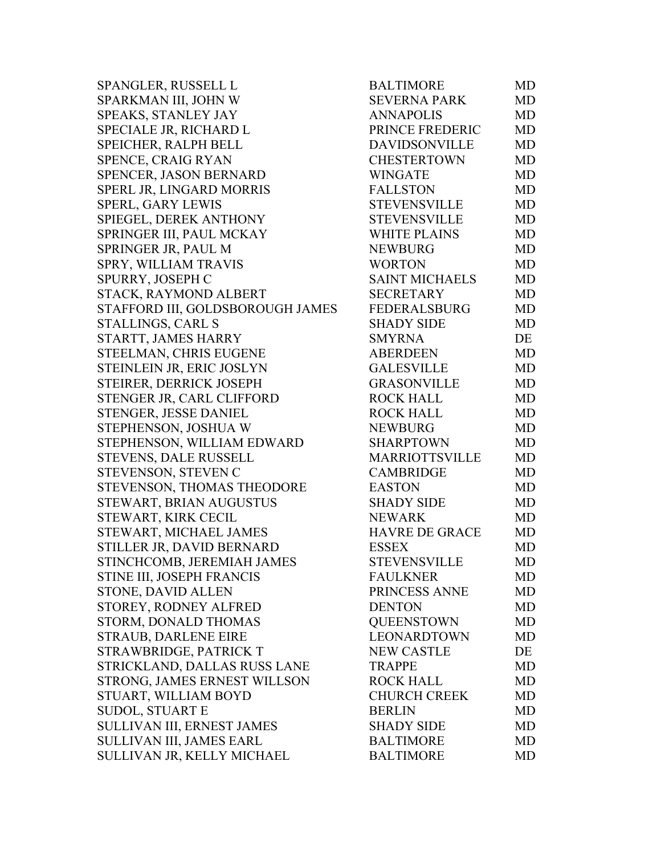SPANGLER, RUSSELL L SPARKMAN III, JOHN W SPEAKS, STANLEY JAY SPECIALE JR, RICHARD L SPEICHER, RALPH BELL SPENCE, CRAIG RYAN SPENCER, JASON BERNARD SPERL JR, LINGARD MORRIS SPERL, GARY LEWIS SPIEGEL, DEREK ANTHONY SPRINGER III, PAUL MCKAY SPRINGER JR, PAUL M SPRY, WILLIAM TRAVIS SPURRY, JOSEPH C STACK, RAYMOND ALBERT STAFFORD III, GOLDSBOROUGH JAMES STALLINGS, CARL S STARTT, JAMES HARRY STEELMAN, CHRIS EUGENE STEINLEIN JR, ERIC JOSLYN STEIRER, DERRICK JOSEPH STENGER JR, CARL CLIFFORD STENGER, JESSE DANIEL STEPHENSON, JOSHUA W STEPHENSON, WILLIAM EDWARD STEVENS, DALE RUSSELL STEVENSON, STEVEN C STEVENSON, THOMAS THEODORE STEWART, BRIAN AUGUSTUS STEWART, KIRK CECIL STEWART, MICHAEL JAMES STILLER JR, DAVID BERNARD STINCHCOMB, JEREMIAH JAMES STINE III, JOSEPH FRANCIS STONE, DAVID ALLEN STOREY, RODNEY ALFRED STORM, DONALD THOMAS STRAUB, DARLENE EIRE STRAWBRIDGE, PATRICK T STRICKLAND, DALLAS RUSS LANE STRONG, JAMES ERNEST WILL SON STUART, WILLIAM BOYD SUDOL, STUART E SULLIVAN III, ERNEST JAMES SULLIVAN III, JAMES EARL SULLIVAN JR, KELLY MICHAEL

| <b>BALTIMORE</b>      | <b>MD</b> |
|-----------------------|-----------|
| <b>SEVERNA PARK</b>   | <b>MD</b> |
| <b>ANNAPOLIS</b>      | <b>MD</b> |
| PRINCE FREDERIC       | <b>MD</b> |
| <b>DAVIDSONVILLE</b>  | <b>MD</b> |
| <b>CHESTERTOWN</b>    | <b>MD</b> |
| <b>WINGATE</b>        | <b>MD</b> |
| <b>FALLSTON</b>       | <b>MD</b> |
| <b>STEVENSVILLE</b>   | <b>MD</b> |
| <b>STEVENSVILLE</b>   | <b>MD</b> |
| <b>WHITE PLAINS</b>   | <b>MD</b> |
| <b>NEWBURG</b>        | <b>MD</b> |
| <b>WORTON</b>         | <b>MD</b> |
| <b>SAINT MICHAELS</b> | <b>MD</b> |
| <b>SECRETARY</b>      | <b>MD</b> |
| <b>FEDERALSBURG</b>   | <b>MD</b> |
| <b>SHADY SIDE</b>     | <b>MD</b> |
| <b>SMYRNA</b>         | DE        |
| <b>ABERDEEN</b>       | <b>MD</b> |
| <b>GALESVILLE</b>     | <b>MD</b> |
| <b>GRASONVILLE</b>    | <b>MD</b> |
| <b>ROCK HALL</b>      | <b>MD</b> |
| <b>ROCK HALL</b>      | <b>MD</b> |
| <b>NEWBURG</b>        | <b>MD</b> |
| <b>SHARPTOWN</b>      | <b>MD</b> |
| MARRIOTTSVILLE        | MD        |
| <b>CAMBRIDGE</b>      | <b>MD</b> |
| <b>EASTON</b>         | <b>MD</b> |
| <b>SHADY SIDE</b>     | <b>MD</b> |
| <b>NEWARK</b>         | <b>MD</b> |
| <b>HAVRE DE GRACE</b> | <b>MD</b> |
| <b>ESSEX</b>          | <b>MD</b> |
| <b>STEVENSVILLE</b>   | MD        |
| <b>FAULKNER</b>       | MD        |
| PRINCESS ANNE         | MD        |
| <b>DENTON</b>         | MD        |
| <b>QUEENSTOWN</b>     | MD        |
| <b>LEONARDTOWN</b>    | MD        |
| <b>NEW CASTLE</b>     | DE        |
| <b>TRAPPE</b>         | MD        |
| <b>ROCK HALL</b>      | <b>MD</b> |
| <b>CHURCH CREEK</b>   | MD        |
| <b>BERLIN</b>         | MD        |
| <b>SHADY SIDE</b>     | MD        |
| <b>BALTIMORE</b>      | MD        |
| <b>BALTIMORE</b>      | MD        |
|                       |           |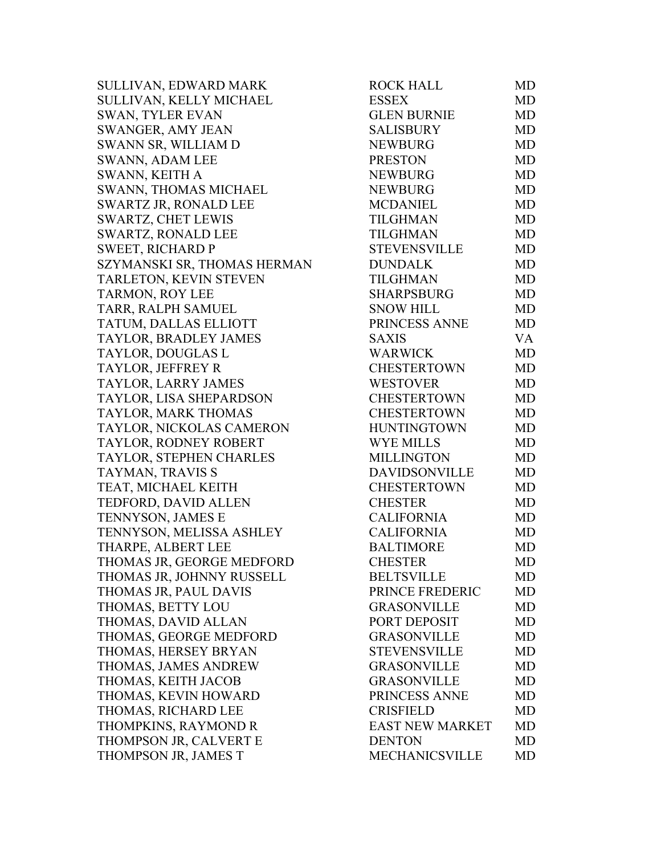SULLIVAN, EDWARD MARK SULLIVAN, KELLY MICHAEL SWAN, TYLER EVAN SWANGER, AMY JEAN SWANN SR, WILLIAM D SWANN, ADAM LEE SWANN, KEITH A SWANN, THOMAS MICHAEL SWARTZ JR, RONALD LEE SWARTZ, CHET LEWIS SWARTZ, RONALD LEE SWEET, RICHARD P SZYMANSKI SR, THOMAS HERMAN TARLETON, KEVIN STEVEN TARMON, ROY LEE TARR, RALPH SAMUEL TATUM, DALLAS ELLIOTT TAYLOR, BRADLEY JAMES TAYLOR, DOUGLAS L TAYLOR, JEFFREY R TAYLOR, LARRY JAMES TAYLOR, LISA SHEPARDSON TAYLOR, MARK THOMAS TAYLOR, NICKOLAS CAMERON TAYLOR, RODNEY ROBERT TAYLOR, STEPHEN CHARLES TAYMAN, TRAVIS S TEAT, MICHAEL KEITH TEDFORD, DAVID ALLEN TENNYSON, JAMES E TENNYSON, MELISSA ASHLEY THARPE, ALBERT LEE THOMAS JR, GEORGE MEDFORD THOMAS JR, JOHNNY RUSSELL THOMAS JR, PAUL DAVIS THOMAS, BETTY LOU THOMAS, DAVID ALLAN THOMAS, GEORGE MEDFORD THOMAS, HERSEY BRYAN THOMAS, JAMES ANDREW THOMAS, KEITH JACOB THOMAS, KEVIN HOWARD THOMAS, RICHARD LEE THOMPKINS, RAYMOND R THOMPSON JR, CALVERT E THOMPSON JR, JAMES T

| <b>ROCK HALL</b>       | <b>MD</b> |
|------------------------|-----------|
| <b>ESSEX</b>           | MD        |
| <b>GLEN BURNIE</b>     | <b>MD</b> |
| <b>SALISBURY</b>       | <b>MD</b> |
| <b>NEWBURG</b>         | <b>MD</b> |
| <b>PRESTON</b>         | <b>MD</b> |
| <b>NEWBURG</b>         | <b>MD</b> |
| <b>NEWBURG</b>         | MD        |
| <b>MCDANIEL</b>        | <b>MD</b> |
| <b>TILGHMAN</b>        | <b>MD</b> |
| <b>TILGHMAN</b>        | <b>MD</b> |
| <b>STEVENSVILLE</b>    | <b>MD</b> |
| <b>DUNDALK</b>         | <b>MD</b> |
| <b>TILGHMAN</b>        | <b>MD</b> |
| <b>SHARPSBURG</b>      | <b>MD</b> |
| <b>SNOW HILL</b>       | <b>MD</b> |
| PRINCESS ANNE          | <b>MD</b> |
| <b>SAXIS</b>           | VA        |
| <b>WARWICK</b>         | <b>MD</b> |
| <b>CHESTERTOWN</b>     | <b>MD</b> |
| <b>WESTOVER</b>        | <b>MD</b> |
| <b>CHESTERTOWN</b>     | <b>MD</b> |
| <b>CHESTERTOWN</b>     | <b>MD</b> |
| <b>HUNTINGTOWN</b>     | <b>MD</b> |
| <b>WYE MILLS</b>       | <b>MD</b> |
| <b>MILLINGTON</b>      | <b>MD</b> |
| DAVIDSONVILLE          | <b>MD</b> |
| CHESTERTOWN            | <b>MD</b> |
| <b>CHESTER</b>         | <b>MD</b> |
| <b>CALIFORNIA</b>      | <b>MD</b> |
| <b>CALIFORNIA</b>      | MD        |
| <b>BALTIMORE</b>       | <b>MD</b> |
| <b>CHESTER</b>         | MD        |
| <b>BELTSVILLE</b>      | <b>MD</b> |
| PRINCE FREDERIC        | <b>MD</b> |
| <b>GRASONVILLE</b>     | MD        |
| PORT DEPOSIT           | MD        |
| <b>GRASONVILLE</b>     | <b>MD</b> |
| <b>STEVENSVILLE</b>    | <b>MD</b> |
| <b>GRASONVILLE</b>     | <b>MD</b> |
| <b>GRASONVILLE</b>     | <b>MD</b> |
| PRINCESS ANNE          | MD        |
| <b>CRISFIELD</b>       | <b>MD</b> |
| <b>EAST NEW MARKET</b> | MD        |
| <b>DENTON</b>          | MD        |
| <b>MECHANICSVILLE</b>  | MD        |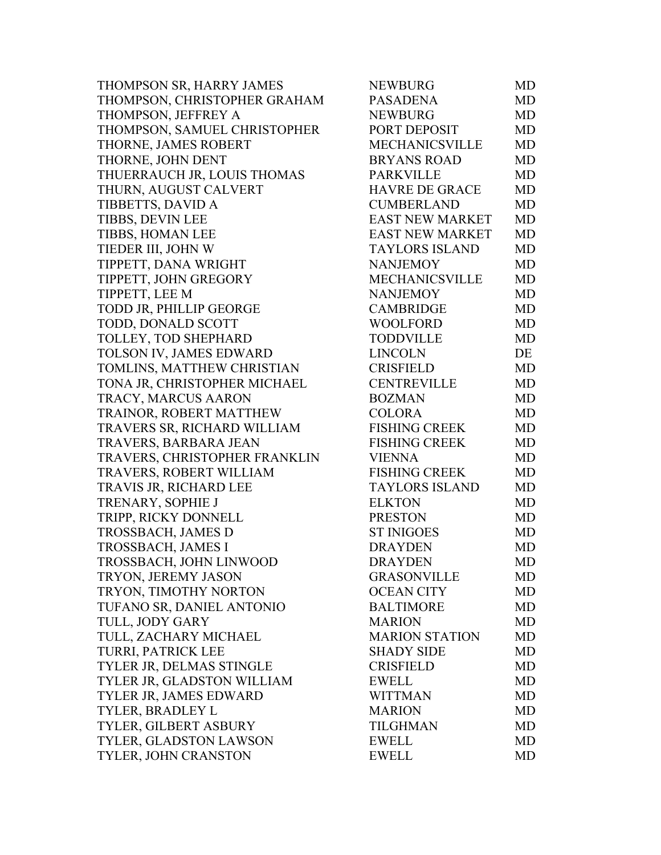| THOMPSON SR, HARRY JAMES      | <b>NEWBURG</b>         | MD        |
|-------------------------------|------------------------|-----------|
| THOMPSON, CHRISTOPHER GRAHAM  | <b>PASADENA</b>        | MD        |
| THOMPSON, JEFFREY A           | <b>NEWBURG</b>         | MD        |
| THOMPSON, SAMUEL CHRISTOPHER  | PORT DEPOSIT           | MD        |
| THORNE, JAMES ROBERT          | <b>MECHANICSVILLE</b>  | MD        |
| THORNE, JOHN DENT             | <b>BRYANS ROAD</b>     | MD        |
| THUERRAUCH JR, LOUIS THOMAS   | <b>PARKVILLE</b>       | MD        |
| THURN, AUGUST CALVERT         | <b>HAVRE DE GRACE</b>  | MD        |
| TIBBETTS, DAVID A             | <b>CUMBERLAND</b>      | MD        |
| TIBBS, DEVIN LEE              | <b>EAST NEW MARKET</b> | MD        |
| TIBBS, HOMAN LEE              | <b>EAST NEW MARKET</b> | MD        |
| TIEDER III, JOHN W            | <b>TAYLORS ISLAND</b>  | MD        |
| TIPPETT, DANA WRIGHT          | <b>NANJEMOY</b>        | MD        |
| TIPPETT, JOHN GREGORY         | <b>MECHANICSVILLE</b>  | MD        |
| TIPPETT, LEE M                | <b>NANJEMOY</b>        | MD        |
| TODD JR, PHILLIP GEORGE       | <b>CAMBRIDGE</b>       | MD        |
| TODD, DONALD SCOTT            | <b>WOOLFORD</b>        | MD        |
| TOLLEY, TOD SHEPHARD          | <b>TODDVILLE</b>       | MD        |
| TOLSON IV, JAMES EDWARD       | <b>LINCOLN</b>         | DE        |
| TOMLINS, MATTHEW CHRISTIAN    | <b>CRISFIELD</b>       | MD        |
| TONA JR, CHRISTOPHER MICHAEL  | <b>CENTREVILLE</b>     | MD        |
| TRACY, MARCUS AARON           | <b>BOZMAN</b>          | <b>MD</b> |
| TRAINOR, ROBERT MATTHEW       | <b>COLORA</b>          | MD        |
| TRAVERS SR, RICHARD WILLIAM   | <b>FISHING CREEK</b>   | MD        |
| TRAVERS, BARBARA JEAN         | <b>FISHING CREEK</b>   | MD        |
| TRAVERS, CHRISTOPHER FRANKLIN | <b>VIENNA</b>          | MD        |
| TRAVERS, ROBERT WILLIAM       | <b>FISHING CREEK</b>   | MD        |
| TRAVIS JR, RICHARD LEE        | <b>TAYLORS ISLAND</b>  | MD        |
| TRENARY, SOPHIE J             | <b>ELKTON</b>          | <b>MD</b> |
| TRIPP, RICKY DONNELL          | <b>PRESTON</b>         | MD        |
| TROSSBACH, JAMES D            | <b>ST INIGOES</b>      | MD        |
| <b>TROSSBACH, JAMES I</b>     | <b>DRAYDEN</b>         | MD        |
| TROSSBACH, JOHN LINWOOD       | <b>DRAYDEN</b>         | MD        |
| TRYON, JEREMY JASON           | <b>GRASONVILLE</b>     | MD        |
| TRYON, TIMOTHY NORTON         | <b>OCEAN CITY</b>      | MD        |
| TUFANO SR, DANIEL ANTONIO     | <b>BALTIMORE</b>       | MD        |
| TULL, JODY GARY               | <b>MARION</b>          | MD        |
| TULL, ZACHARY MICHAEL         | <b>MARION STATION</b>  | MD        |
| TURRI, PATRICK LEE            | <b>SHADY SIDE</b>      | MD        |
| TYLER JR, DELMAS STINGLE      | <b>CRISFIELD</b>       | MD        |
| TYLER JR, GLADSTON WILLIAM    | <b>EWELL</b>           | MD        |
| TYLER JR, JAMES EDWARD        | <b>WITTMAN</b>         | MD        |
| TYLER, BRADLEY L              | <b>MARION</b>          | MD        |
| TYLER, GILBERT ASBURY         | <b>TILGHMAN</b>        | MD        |
| TYLER, GLADSTON LAWSON        | <b>EWELL</b>           | MD        |
| TYLER, JOHN CRANSTON          | <b>EWELL</b>           | MD        |
|                               |                        |           |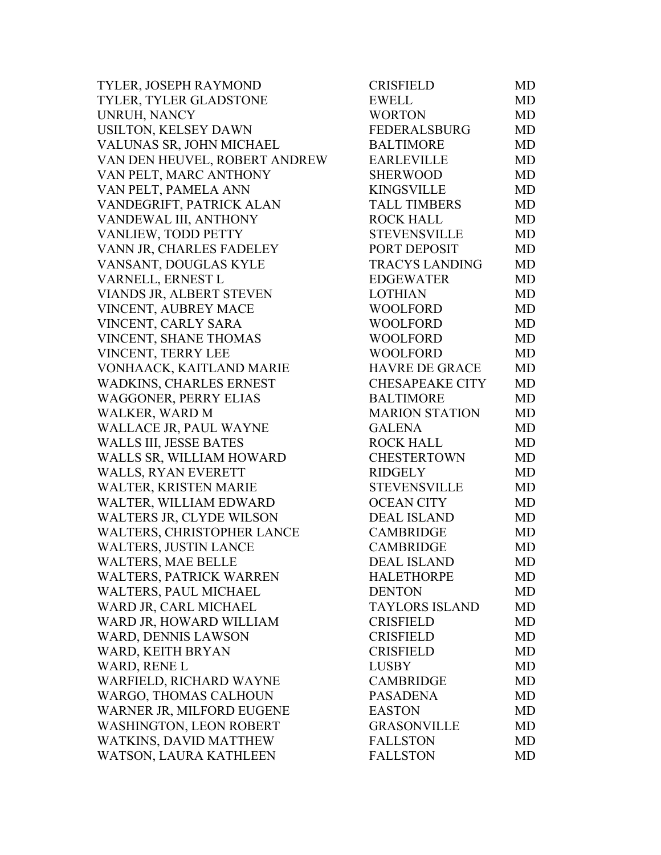| TYLER, JOSEPH RAYMOND           | <b>CRISFIELD</b>       | MD        |
|---------------------------------|------------------------|-----------|
| TYLER, TYLER GLADSTONE          | <b>EWELL</b>           | <b>MD</b> |
| UNRUH, NANCY                    | <b>WORTON</b>          | <b>MD</b> |
| USILTON, KELSEY DAWN            | <b>FEDERALSBURG</b>    | MD        |
| VALUNAS SR, JOHN MICHAEL        | <b>BALTIMORE</b>       | <b>MD</b> |
| VAN DEN HEUVEL, ROBERT ANDREW   | <b>EARLEVILLE</b>      | <b>MD</b> |
| VAN PELT, MARC ANTHONY          | <b>SHERWOOD</b>        | <b>MD</b> |
| VAN PELT, PAMELA ANN            | <b>KINGSVILLE</b>      | <b>MD</b> |
| VANDEGRIFT, PATRICK ALAN        | <b>TALL TIMBERS</b>    | <b>MD</b> |
| VANDEWAL III, ANTHONY           | <b>ROCK HALL</b>       | <b>MD</b> |
| VANLIEW, TODD PETTY             | <b>STEVENSVILLE</b>    | <b>MD</b> |
| VANN JR, CHARLES FADELEY        | PORT DEPOSIT           | MD        |
| VANSANT, DOUGLAS KYLE           | <b>TRACYS LANDING</b>  | <b>MD</b> |
| VARNELL, ERNEST L               | <b>EDGEWATER</b>       | <b>MD</b> |
| VIANDS JR, ALBERT STEVEN        | <b>LOTHIAN</b>         | <b>MD</b> |
| VINCENT, AUBREY MACE            | <b>WOOLFORD</b>        | <b>MD</b> |
| VINCENT, CARLY SARA             | <b>WOOLFORD</b>        | <b>MD</b> |
| VINCENT, SHANE THOMAS           | <b>WOOLFORD</b>        | MD        |
| VINCENT, TERRY LEE              | <b>WOOLFORD</b>        | <b>MD</b> |
| VONHAACK, KAITLAND MARIE        | <b>HAVRE DE GRACE</b>  | <b>MD</b> |
| <b>WADKINS, CHARLES ERNEST</b>  | <b>CHESAPEAKE CITY</b> | <b>MD</b> |
| <b>WAGGONER, PERRY ELIAS</b>    | <b>BALTIMORE</b>       | MD        |
| WALKER, WARD M                  | <b>MARION STATION</b>  | <b>MD</b> |
| WALLACE JR, PAUL WAYNE          | <b>GALENA</b>          | <b>MD</b> |
| <b>WALLS III, JESSE BATES</b>   | <b>ROCK HALL</b>       | <b>MD</b> |
| WALLS SR, WILLIAM HOWARD        | <b>CHESTERTOWN</b>     | <b>MD</b> |
| <b>WALLS, RYAN EVERETT</b>      | <b>RIDGELY</b>         | <b>MD</b> |
| WALTER, KRISTEN MARIE           | <b>STEVENSVILLE</b>    | <b>MD</b> |
| WALTER, WILLIAM EDWARD          | <b>OCEAN CITY</b>      | <b>MD</b> |
| <b>WALTERS JR, CLYDE WILSON</b> | <b>DEAL ISLAND</b>     | <b>MD</b> |
| WALTERS, CHRISTOPHER LANCE      | <b>CAMBRIDGE</b>       | <b>MD</b> |
| <b>WALTERS, JUSTIN LANCE</b>    | <b>CAMBRIDGE</b>       | MD        |
| <b>WALTERS, MAE BELLE</b>       | <b>DEAL ISLAND</b>     | MD        |
| <b>WALTERS, PATRICK WARREN</b>  | <b>HALETHORPE</b>      | MD        |
| WALTERS, PAUL MICHAEL           | <b>DENTON</b>          | MD        |
| WARD JR, CARL MICHAEL           | <b>TAYLORS ISLAND</b>  | MD        |
| WARD JR, HOWARD WILLIAM         | <b>CRISFIELD</b>       | <b>MD</b> |
| WARD, DENNIS LAWSON             | <b>CRISFIELD</b>       | MD        |
| WARD, KEITH BRYAN               | <b>CRISFIELD</b>       | <b>MD</b> |
| WARD, RENE L                    | <b>LUSBY</b>           | <b>MD</b> |
| WARFIELD, RICHARD WAYNE         | <b>CAMBRIDGE</b>       | MD        |
| WARGO, THOMAS CALHOUN           | <b>PASADENA</b>        | MD        |
| WARNER JR, MILFORD EUGENE       | <b>EASTON</b>          | MD        |
| <b>WASHINGTON, LEON ROBERT</b>  | <b>GRASONVILLE</b>     | <b>MD</b> |
| WATKINS, DAVID MATTHEW          | <b>FALLSTON</b>        | <b>MD</b> |
| WATSON, LAURA KATHLEEN          | <b>FALLSTON</b>        | <b>MD</b> |
|                                 |                        |           |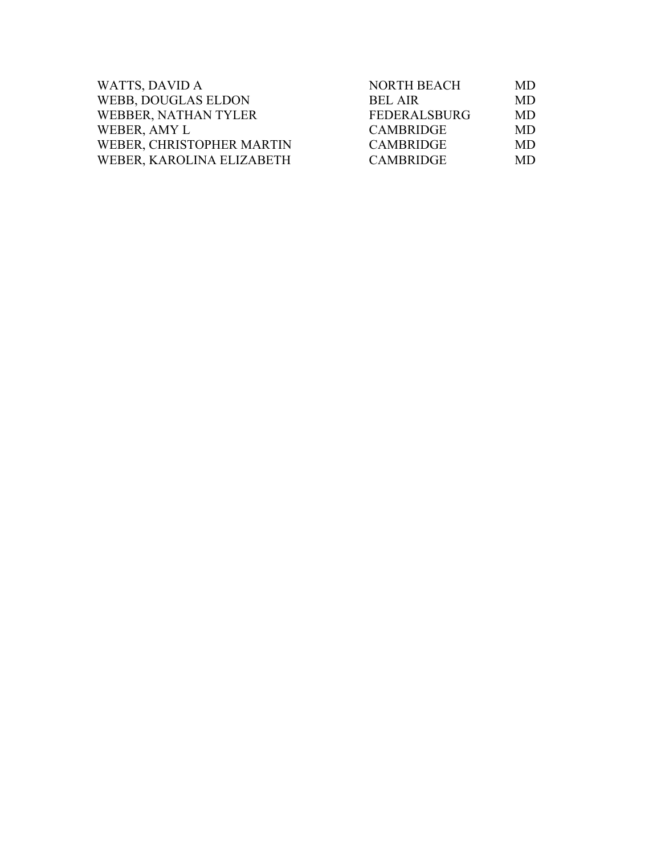| <b>WATTS, DAVID A</b>      | <b>NORTH BEACH</b>  | MD  |
|----------------------------|---------------------|-----|
| <b>WEBB, DOUGLAS ELDON</b> | <b>BEL AIR</b>      | MD. |
| WEBBER, NATHAN TYLER       | <b>FEDERALSBURG</b> | MD. |
| WEBER, AMY L               | <b>CAMBRIDGE</b>    | MD. |
| WEBER, CHRISTOPHER MARTIN  | <b>CAMBRIDGE</b>    | MD. |
| WEBER, KAROLINA ELIZABETH  | <b>CAMBRIDGE</b>    | MD. |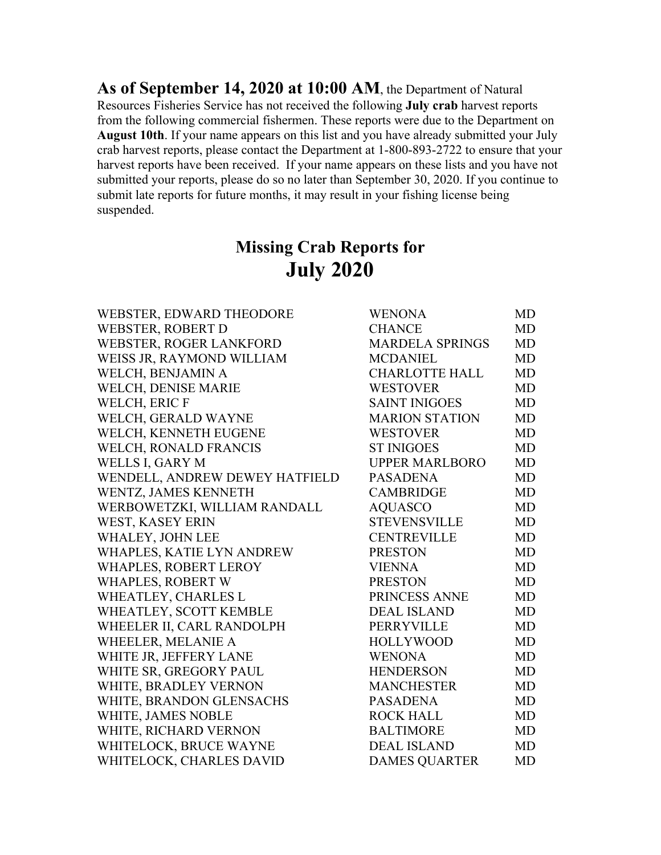**As of September 14, 2020 at 10:00 AM**, the Department of Natural Resources Fisheries Service has not received the following **July crab** harvest reports from the following commercial fishermen. These reports were due to the Department on **August 10th**. If your name appears on this list and you have already submitted your July crab harvest reports, please contact the Department at 1-800-893-2722 to ensure that your harvest reports have been received. If your name appears on these lists and you have not submitted your reports, please do so no later than September 30, 2020. If you continue to submit late reports for future months, it may result in your fishing license being suspended.

## **Missing Crab Reports for July 2020**

| WEBSTER, EDWARD THEODORE       | <b>WENONA</b>          | MD        |
|--------------------------------|------------------------|-----------|
| <b>WEBSTER, ROBERT D</b>       | <b>CHANCE</b>          | MD        |
| WEBSTER, ROGER LANKFORD        | <b>MARDELA SPRINGS</b> | MD        |
| WEISS JR, RAYMOND WILLIAM      | <b>MCDANIEL</b>        | MD        |
| WELCH, BENJAMIN A              | <b>CHARLOTTE HALL</b>  | <b>MD</b> |
| <b>WELCH, DENISE MARIE</b>     | <b>WESTOVER</b>        | MD        |
| WELCH, ERIC F                  | <b>SAINT INIGOES</b>   | MD        |
| WELCH, GERALD WAYNE            | <b>MARION STATION</b>  | <b>MD</b> |
| WELCH, KENNETH EUGENE          | <b>WESTOVER</b>        | MD        |
| <b>WELCH, RONALD FRANCIS</b>   | <b>ST INIGOES</b>      | MD        |
| <b>WELLS I, GARY M</b>         | <b>UPPER MARLBORO</b>  | <b>MD</b> |
| WENDELL, ANDREW DEWEY HATFIELD | <b>PASADENA</b>        | MD        |
| WENTZ, JAMES KENNETH           | <b>CAMBRIDGE</b>       | MD        |
| WERBOWETZKI, WILLIAM RANDALL   | <b>AQUASCO</b>         | MD        |
| WEST, KASEY ERIN               | <b>STEVENSVILLE</b>    | <b>MD</b> |
| WHALEY, JOHN LEE               | <b>CENTREVILLE</b>     | MD        |
| WHAPLES, KATIE LYN ANDREW      | <b>PRESTON</b>         | <b>MD</b> |
| WHAPLES, ROBERT LEROY          | <b>VIENNA</b>          | MD        |
| <b>WHAPLES, ROBERT W</b>       | <b>PRESTON</b>         | MD        |
| WHEATLEY, CHARLES L            | PRINCESS ANNE          | MD        |
| WHEATLEY, SCOTT KEMBLE         | <b>DEAL ISLAND</b>     | MD        |
| WHEELER II, CARL RANDOLPH      | PERRYVILLE             | <b>MD</b> |
| WHEELER, MELANIE A             | <b>HOLLYWOOD</b>       | MD        |
| WHITE JR, JEFFERY LANE         | <b>WENONA</b>          | <b>MD</b> |
| WHITE SR, GREGORY PAUL         | HENDERSON              | MD        |
| WHITE, BRADLEY VERNON          | <b>MANCHESTER</b>      | <b>MD</b> |
| WHITE, BRANDON GLENSACHS       | <b>PASADENA</b>        | MD        |
| WHITE, JAMES NOBLE             | <b>ROCK HALL</b>       | MD        |
| WHITE, RICHARD VERNON          | <b>BALTIMORE</b>       | <b>MD</b> |
| WHITELOCK, BRUCE WAYNE         | <b>DEAL ISLAND</b>     | MD        |
| WHITELOCK, CHARLES DAVID       | <b>DAMES QUARTER</b>   | MD        |
|                                |                        |           |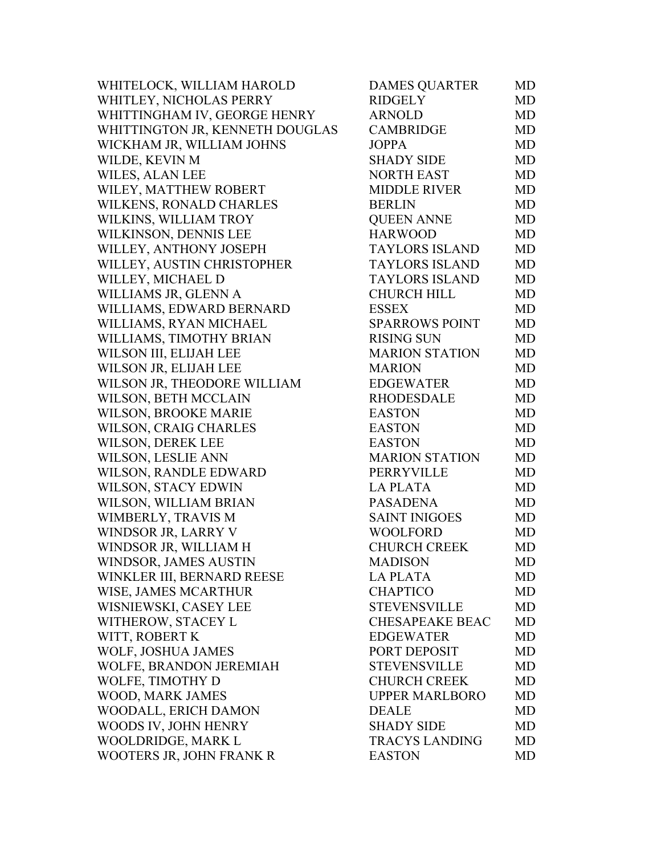| WHITELOCK, WILLIAM HAROLD       | <b>DAMES QUARTER</b>   | MD        |
|---------------------------------|------------------------|-----------|
| WHITLEY, NICHOLAS PERRY         | <b>RIDGELY</b>         | MD        |
| WHITTINGHAM IV, GEORGE HENRY    | <b>ARNOLD</b>          | <b>MD</b> |
| WHITTINGTON JR, KENNETH DOUGLAS | CAMBRIDGE              | MD        |
| WICKHAM JR, WILLIAM JOHNS       | <b>JOPPA</b>           | MD        |
| WILDE, KEVIN M                  | <b>SHADY SIDE</b>      | MD        |
| WILES, ALAN LEE                 | <b>NORTH EAST</b>      | MD        |
| WILEY, MATTHEW ROBERT           | <b>MIDDLE RIVER</b>    | MD        |
| WILKENS, RONALD CHARLES         | <b>BERLIN</b>          | MD        |
| WILKINS, WILLIAM TROY           | <b>QUEEN ANNE</b>      | MD        |
| WILKINSON, DENNIS LEE           | <b>HARWOOD</b>         | MD        |
| WILLEY, ANTHONY JOSEPH          | <b>TAYLORS ISLAND</b>  | <b>MD</b> |
| WILLEY, AUSTIN CHRISTOPHER      | <b>TAYLORS ISLAND</b>  | MD        |
| WILLEY, MICHAEL D               | <b>TAYLORS ISLAND</b>  | MD        |
| WILLIAMS JR, GLENN A            | <b>CHURCH HILL</b>     | MD        |
| WILLIAMS, EDWARD BERNARD        | <b>ESSEX</b>           | MD        |
| WILLIAMS, RYAN MICHAEL          | <b>SPARROWS POINT</b>  | MD        |
| WILLIAMS, TIMOTHY BRIAN         | <b>RISING SUN</b>      | MD        |
| WILSON III, ELIJAH LEE          | <b>MARION STATION</b>  | MD        |
| WILSON JR, ELIJAH LEE           | <b>MARION</b>          | MD        |
| WILSON JR, THEODORE WILLIAM     | <b>EDGEWATER</b>       | MD        |
| WILSON, BETH MCCLAIN            | <b>RHODESDALE</b>      | <b>MD</b> |
| <b>WILSON, BROOKE MARIE</b>     | <b>EASTON</b>          | <b>MD</b> |
| WILSON, CRAIG CHARLES           | <b>EASTON</b>          | MD        |
| WILSON, DEREK LEE               | <b>EASTON</b>          | MD        |
| WILSON, LESLIE ANN              | <b>MARION STATION</b>  | MD        |
| WILSON, RANDLE EDWARD           | PERRYVILLE             | MD        |
| WILSON, STACY EDWIN             | <b>LA PLATA</b>        | MD        |
| WILSON, WILLIAM BRIAN           | <b>PASADENA</b>        | MD        |
| WIMBERLY, TRAVIS M              | <b>SAINT INIGOES</b>   | MD        |
| WINDSOR JR, LARRY V             | WOOLFORD               | MD        |
| WINDSOR JR, WILLIAM H           | <b>CHURCH CREEK</b>    | MD        |
| WINDSOR, JAMES AUSTIN           | <b>MADISON</b>         | MD.       |
| WINKLER III, BERNARD REESE      | <b>LA PLATA</b>        | MD        |
| WISE, JAMES MCARTHUR            | <b>CHAPTICO</b>        | MD        |
| WISNIEWSKI, CASEY LEE           | <b>STEVENSVILLE</b>    | MD        |
| WITHEROW, STACEY L              | <b>CHESAPEAKE BEAC</b> | MD        |
| WITT, ROBERT K                  | <b>EDGEWATER</b>       | MD        |
| WOLF, JOSHUA JAMES              | PORT DEPOSIT           | MD        |
| WOLFE, BRANDON JEREMIAH         | <b>STEVENSVILLE</b>    | MD        |
| WOLFE, TIMOTHY D                | <b>CHURCH CREEK</b>    | MD        |
| WOOD, MARK JAMES                | <b>UPPER MARLBORO</b>  | MD        |
| WOODALL, ERICH DAMON            | <b>DEALE</b>           | MD        |
| WOODS IV, JOHN HENRY            | <b>SHADY SIDE</b>      | MD        |
| WOOLDRIDGE, MARK L              | <b>TRACYS LANDING</b>  | MD        |
| WOOTERS JR, JOHN FRANK R        | <b>EASTON</b>          | MD        |
|                                 |                        |           |